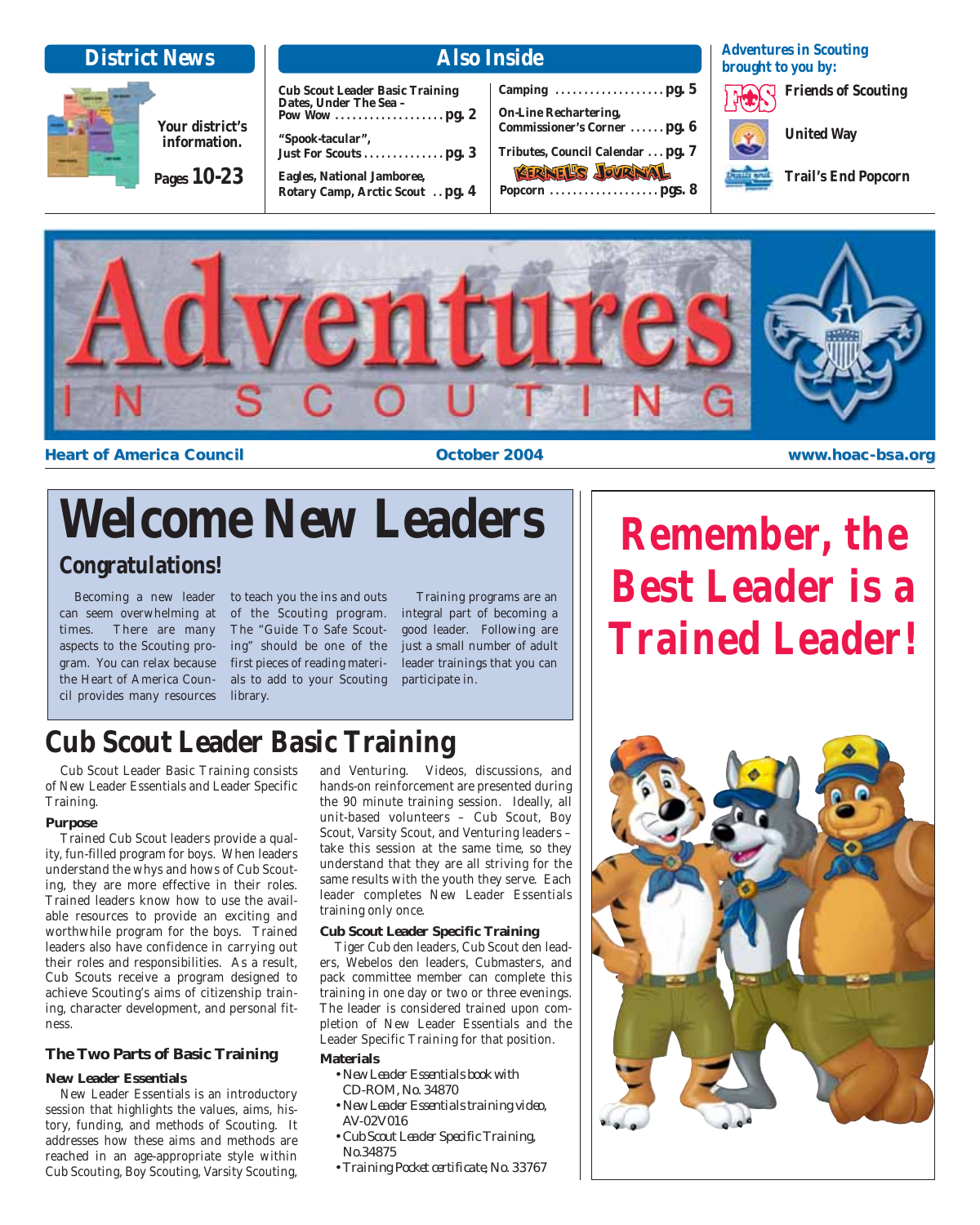

**Cub Scout Leader Basic Training Dates, Under The Sea – Pow Wow . . . . . . . . . . . . . . . . . . . pg. 2 "Spook-tacular", Just For Scouts . . . . . . . . . . . . . . pg. 3 Eagles, National Jamboree, Rotary Camp, Arctic Scout . . pg. 4**

**Camping . . . . . . . . . . . . . . . . . . . pg. 5 On-Line Rechartering, Commissioner's Corner . . . . . . pg. 6 Tributes, Council Calendar . . . pg. 7 KERNEL'S JOVRNAL Popcorn . . . . . . . . . . . . . . . . . . . pgs. 8**

**Adventures in Scouting brought to you by:**

**Friends of Scouting**

**United Way**

**Trail's End Popcorn**



**Heart of America Council <b>the Council** control of America Council control of America Council control of America Council control of  $\alpha$  of  $\alpha$  of  $\alpha$  of  $\alpha$  of  $\alpha$  of  $\alpha$  of  $\alpha$  of  $\alpha$  of  $\alpha$  of  $\alpha$  of  $\alpha$  of  $\$ 

# **Welcome New Leaders**

# **Congratulations!**

Becoming a new leader can seem overwhelming at times. There are many aspects to the Scouting program. You can relax because the Heart of America Council provides many resources

to teach you the ins and outs of the Scouting program. The "Guide To Safe Scouting" should be one of the first pieces of reading materials to add to your Scouting library.

Training programs are an integral part of becoming a good leader. Following are just a small number of adult leader trainings that you can participate in.

# **Remember, the Best Leader is a Trained Leader!**

# **Cub Scout Leader Basic Training**

Cub Scout Leader Basic Training consists of New Leader Essentials and Leader Specific Training.

#### **Purpose**

Trained Cub Scout leaders provide a quality, fun-filled program for boys. When leaders understand the whys and hows of Cub Scouting, they are more effective in their roles. Trained leaders know how to use the available resources to provide an exciting and worthwhile program for the boys. Trained leaders also have confidence in carrying out their roles and responsibilities. As a result, Cub Scouts receive a program designed to achieve Scouting's aims of citizenship training, character development, and personal fitness.

#### **The Two Parts of Basic Training**

#### **New Leader Essentials**

New Leader Essentials is an introductory session that highlights the values, aims, history, funding, and methods of Scouting. It addresses how these aims and methods are reached in an age-appropriate style within Cub Scouting, Boy Scouting, Varsity Scouting,

and Venturing. Videos, discussions, and hands-on reinforcement are presented during the 90 minute training session. Ideally, all unit-based volunteers – Cub Scout, Boy Scout, Varsity Scout, and Venturing leaders – take this session at the same time, so they understand that they are all striving for the same results with the youth they serve. Each leader completes New Leader Essentials training only once.

#### **Cub Scout Leader Specific Training**

Tiger Cub den leaders, Cub Scout den leaders, Webelos den leaders, Cubmasters, and pack committee member can complete this training in one day or two or three evenings. The leader is considered trained upon completion of New Leader Essentials and the Leader Specific Training for that position.

#### **Materials**

- *New Leader Essentials book with CD-ROM, No. 34870*
- *New Leader Essentials training video, AV-02V016*
- *Cub Scout Leader Specific Training, No.34875*
- *Training Pocket certificate, No. 33767*

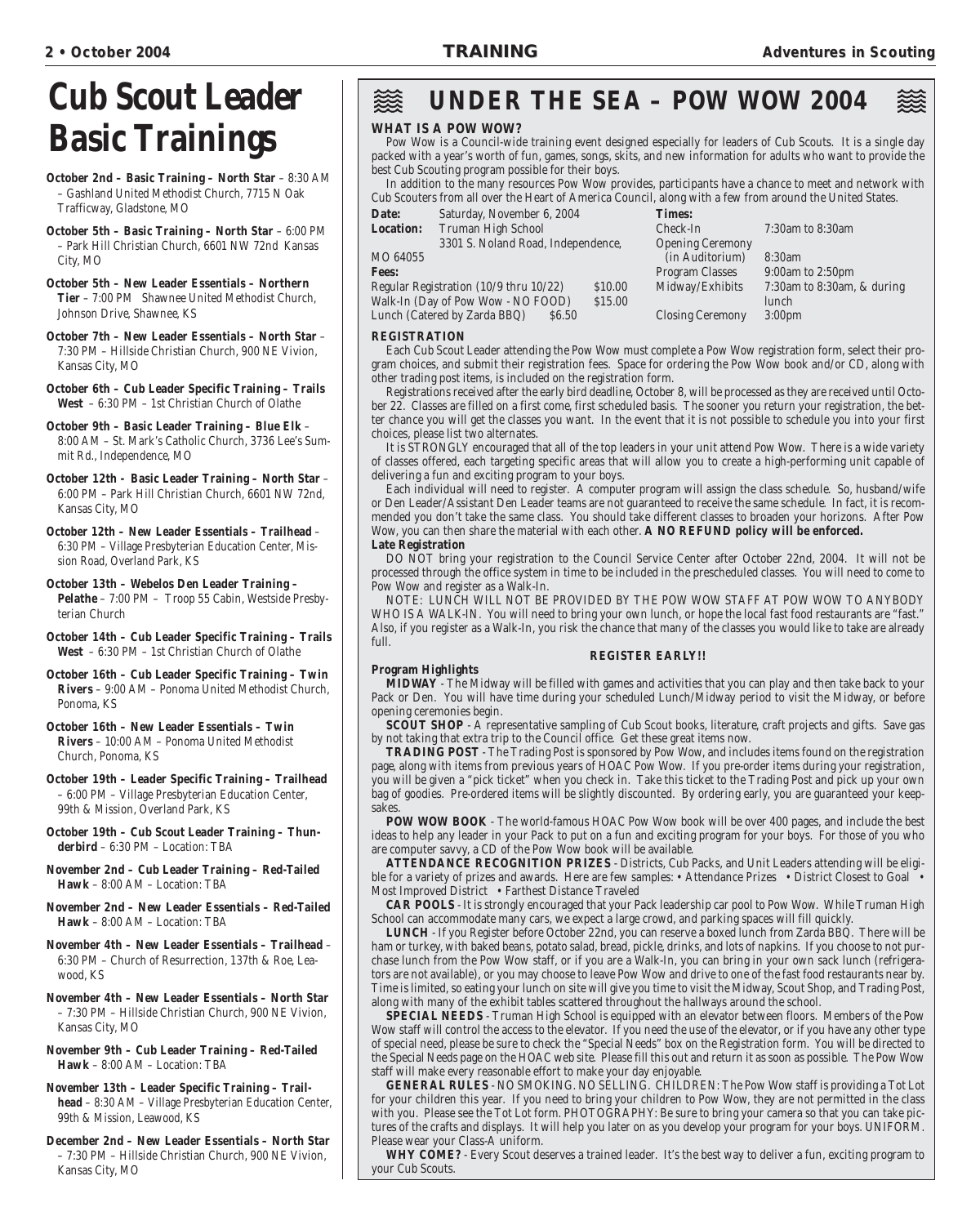# **Cub Scout Leader Basic Trainings**

- **October 2nd Basic Training North Star** 8:30 AM – Gashland United Methodist Church, 7715 N Oak Trafficway, Gladstone, MO
- **October 5th Basic Training North Star** 6:00 PM – Park Hill Christian Church, 6601 NW 72nd Kansas City, MO
- **October 5th New Leader Essentials Northern Tier** – 7:00 PM Shawnee United Methodist Church, Johnson Drive, Shawnee, KS
- **October 7th New Leader Essentials North Star** 7:30 PM – Hillside Christian Church, 900 NE Vivion, Kansas City, MO
- **October 6th Cub Leader Specific Training Trails West** – 6:30 PM – 1st Christian Church of Olathe

**October 9th – Basic Leader Training – Blue Elk** – 8:00 AM – St. Mark's Catholic Church, 3736 Lee's Summit Rd., Independence, MO

**October 12th - Basic Leader Training – North Star** – 6:00 PM – Park Hill Christian Church, 6601 NW 72nd, Kansas City, MO

**October 12th – New Leader Essentials – Trailhead** – 6:30 PM – Village Presbyterian Education Center, Mission Road, Overland Park, KS

**October 13th – Webelos Den Leader Training – Pelathe** – 7:00 PM – Troop 55 Cabin, Westside Presbyterian Church

**October 14th – Cub Leader Specific Training – Trails West** – 6:30 PM – 1st Christian Church of Olathe

**October 16th – Cub Leader Specific Training – Twin Rivers** – 9:00 AM – Ponoma United Methodist Church, Ponoma, KS

**October 16th – New Leader Essentials – Twin Rivers** – 10:00 AM – Ponoma United Methodist Church, Ponoma, KS

- **October 19th Leader Specific Training Trailhead** – 6:00 PM – Village Presbyterian Education Center, 99th & Mission, Overland Park, KS
- **October 19th Cub Scout Leader Training Thunderbird** – 6:30 PM – Location: TBA

**November 2nd – Cub Leader Training – Red-Tailed Hawk** – 8:00 AM – Location: TBA

- **November 2nd New Leader Essentials Red-Tailed Hawk** – 8:00 AM – Location: TBA
- **November 4th New Leader Essentials Trailhead** 6:30 PM – Church of Resurrection, 137th & Roe, Leawood, KS
- **November 4th New Leader Essentials North Star** – 7:30 PM – Hillside Christian Church, 900 NE Vivion, Kansas City, MO
- **November 9th Cub Leader Training Red-Tailed Hawk** – 8:00 AM – Location: TBA

**November 13th – Leader Specific Training – Trailhead** – 8:30 AM – Village Presbyterian Education Center, 99th & Mission, Leawood, KS

**December 2nd – New Leader Essentials – North Star** – 7:30 PM – Hillside Christian Church, 900 NE Vivion, Kansas City, MO

#### 燚 **UNDER THE SEA – POW WOW 2004**

#### **WHAT IS A POW WOW?**

Pow Wow is a Council-wide training event designed especially for leaders of Cub Scouts. It is a single day packed with a year's worth of fun, games, songs, skits, and new information for adults who want to provide the best Cub Scouting program possible for their boys.

In addition to the many resources Pow Wow provides, participants have a chance to meet and network with Cub Scouters from all over the Heart of America Council, along with a few from around the United States.

| Date:<br>Saturday, November 6, 2004<br><b>Times:</b>                                               |                            |
|----------------------------------------------------------------------------------------------------|----------------------------|
| Truman High School<br><b>Location:</b><br>Check-In<br>7:30am to 8:30am                             |                            |
| 3301 S. Noland Road, Independence,<br><b>Opening Ceremony</b>                                      |                            |
| MO 64055<br>(in Auditorium)<br>8:30am                                                              |                            |
| 9:00am to 2:50pm<br><b>Fees:</b><br>Program Classes                                                |                            |
| Regular Registration (10/9 thru 10/22)<br>Midway/Exhibits<br>\$10.00                               | 7:30am to 8:30am, & during |
| Walk-In (Day of Pow Wow - NO FOOD)<br>\$15.00<br>lunch                                             |                            |
| Lunch (Catered by Zarda BBQ)<br><b>Closing Ceremony</b><br>3:00 <sub>pm</sub><br>S <sub>6.50</sub> |                            |

#### **REGISTRATION**

Each Cub Scout Leader attending the Pow Wow must complete a Pow Wow registration form, select their program choices, and submit their registration fees. Space for ordering the Pow Wow book and/or CD, along with other trading post items, is included on the registration form.

Registrations received after the early bird deadline, October 8, will be processed as they are received until October 22. Classes are filled on a first come, first scheduled basis. The sooner you return your registration, the better chance you will get the classes you want. In the event that it is not possible to schedule you into your first choices, please list two alternates.

It is STRONGLY encouraged that all of the top leaders in your unit attend Pow Wow. There is a wide variety of classes offered, each targeting specific areas that will allow you to create a high-performing unit capable of delivering a fun and exciting program to your boys.

Each individual will need to register. A computer program will assign the class schedule. So, husband/wife or Den Leader/Assistant Den Leader teams are not guaranteed to receive the same schedule. In fact, it is recommended you don't take the same class. You should take different classes to broaden your horizons. After Pow Wow, you can then share the material with each other. **A NO REFUND policy will be enforced. Late Registration**

DO NOT bring your registration to the Council Service Center after October 22nd, 2004. It will not be processed through the office system in time to be included in the prescheduled classes. You will need to come to Pow Wow and register as a Walk-In.

NOTE: LUNCH WILL NOT BE PROVIDED BY THE POW WOW STAFF AT POW WOW TO ANYBODY WHO IS A WALK-IN. You will need to bring your own lunch, or hope the local fast food restaurants are "fast." Also, if you register as a Walk-In, you risk the chance that many of the classes you would like to take are already full.

#### **REGISTER EARLY!!**

#### **Program Highlights**

**MIDWAY** - The Midway will be filled with games and activities that you can play and then take back to your Pack or Den. You will have time during your scheduled Lunch/Midway period to visit the Midway, or before opening ceremonies begin.

**SCOUT SHOP** - A representative sampling of Cub Scout books, literature, craft projects and gifts. Save gas by not taking that extra trip to the Council office. Get these great items now.

**TRADING POST** - The Trading Post is sponsored by Pow Wow, and includes items found on the registration page, along with items from previous years of HOAC Pow Wow. If you pre-order items during your registration, you will be given a "pick ticket" when you check in. Take this ticket to the Trading Post and pick up your own bag of goodies. Pre-ordered items will be slightly discounted. By ordering early, you are guaranteed your keepsakes.

**POW WOW BOOK** - The world-famous HOAC Pow Wow book will be over 400 pages, and include the best ideas to help any leader in your Pack to put on a fun and exciting program for your boys. For those of you who are computer savvy, a CD of the Pow Wow book will be available.

**ATTENDANCE RECOGNITION PRIZES** - Districts, Cub Packs, and Unit Leaders attending will be eligible for a variety of prizes and awards. Here are few samples: • Attendance Prizes • District Closest to Goal • Most Improved District • Farthest Distance Traveled

**CAR POOLS** - It is strongly encouraged that your Pack leadership car pool to Pow Wow. While Truman High School can accommodate many cars, we expect a large crowd, and parking spaces will fill quickly.

**LUNCH** - If you Register before October 22nd, you can reserve a boxed lunch from Zarda BBQ. There will be ham or turkey, with baked beans, potato salad, bread, pickle, drinks, and lots of napkins. If you choose to not purchase lunch from the Pow Wow staff, or if you are a Walk-In, you can bring in your own sack lunch (refrigerators are not available), or you may choose to leave Pow Wow and drive to one of the fast food restaurants near by. Time is limited, so eating your lunch on site will give you time to visit the Midway, Scout Shop, and Trading Post, along with many of the exhibit tables scattered throughout the hallways around the school.

**SPECIAL NEEDS** - Truman High School is equipped with an elevator between floors. Members of the Pow Wow staff will control the access to the elevator. If you need the use of the elevator, or if you have any other type of special need, please be sure to check the "Special Needs" box on the Registration form. You will be directed to the Special Needs page on the HOAC web site. Please fill this out and return it as soon as possible. The Pow Wow staff will make every reasonable effort to make your day enjoyable.

**GENERAL RULES** - NO SMOKING. NO SELLING. CHILDREN: The Pow Wow staff is providing a Tot Lot for your children this year. If you need to bring your children to Pow Wow, they are not permitted in the class with you. Please see the Tot Lot form. PHOTOGRAPHY: Be sure to bring your camera so that you can take pictures of the crafts and displays. It will help you later on as you develop your program for your boys. UNIFORM. Please wear your Class-A uniform.

**WHY COME?** - Every Scout deserves a trained leader. It's the best way to deliver a fun, exciting program to your Cub Scouts.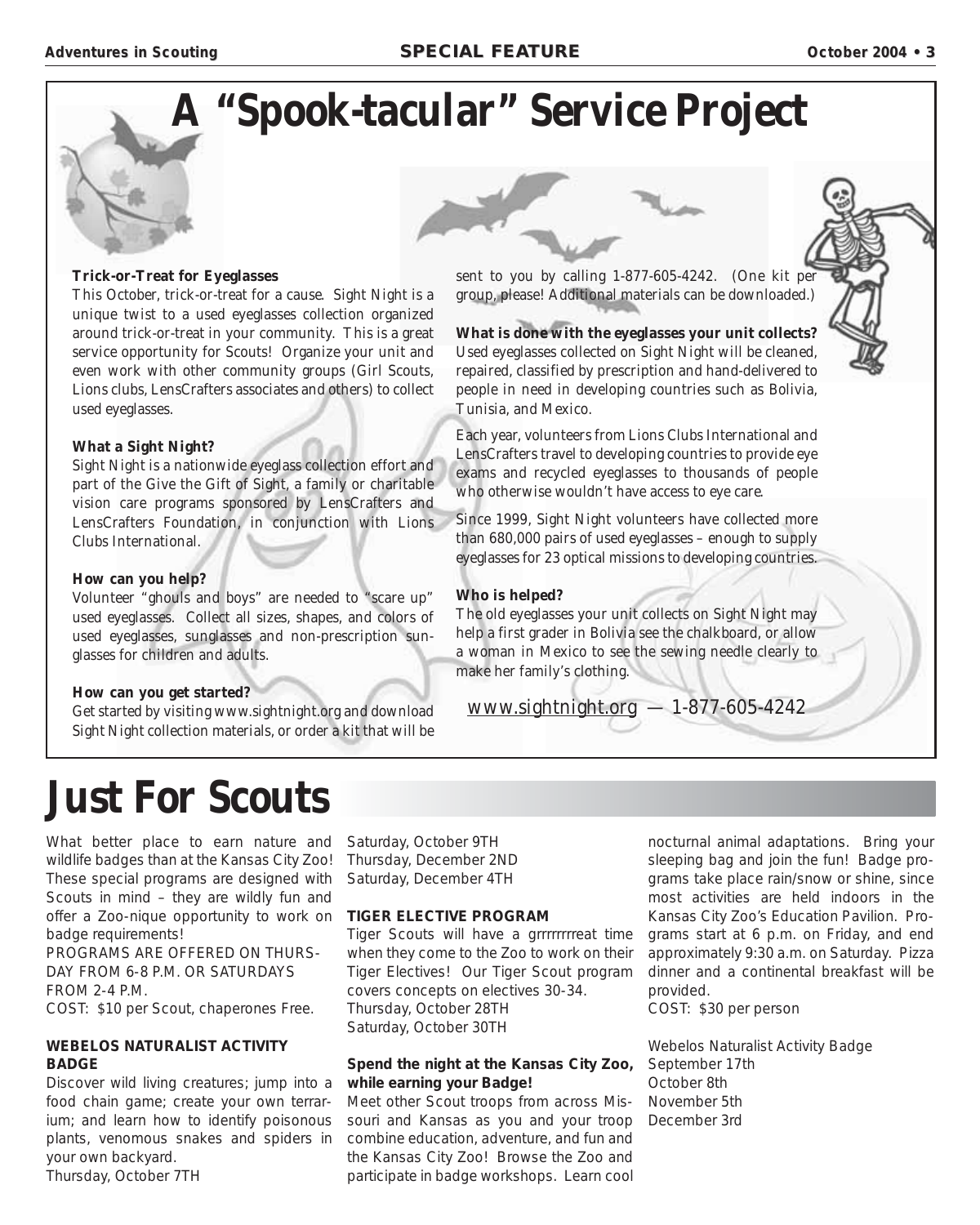

#### **Trick-or-Treat for Eyeglasses**

This October, trick-or-treat for a cause. Sight Night is a unique twist to a used eyeglasses collection organized around trick-or-treat in your community. This is a great service opportunity for Scouts! Organize your unit and even work with other community groups (Girl Scouts, Lions clubs, LensCrafters associates and others) to collect used eyeglasses.

#### **What a Sight Night?**

Sight Night is a nationwide eyeglass collection effort and part of the Give the Gift of Sight, a family or charitable vision care programs sponsored by LensCrafters and LensCrafters Foundation, in conjunction with Lions Clubs International.

#### **How can you help?**

Volunteer "ghouls and boys" are needed to "scare up" used eyeglasses. Collect all sizes, shapes, and colors of used eyeglasses, sunglasses and non-prescription sunglasses for children and adults.

#### **How can you get started?**

Get started by visiting www.sightnight.org and download Sight Night collection materials, or order a kit that will be sent to you by calling 1-877-605-4242. (One kit per group, please! Additional materials can be downloaded.)

**What is done with the eyeglasses your unit collects?** Used eyeglasses collected on Sight Night will be cleaned, repaired, classified by prescription and hand-delivered to people in need in developing countries such as Bolivia, Tunisia, and Mexico.

Each year, volunteers from Lions Clubs International and LensCrafters travel to developing countries to provide eye exams and recycled eyeglasses to thousands of people who otherwise wouldn't have access to eye care.

Since 1999, Sight Night volunteers have collected more than 680,000 pairs of used eyeglasses – enough to supply eyeglasses for 23 optical missions to developing countries.

#### **Who is helped?**

The old eyeglasses your unit collects on Sight Night may help a first grader in Bolivia see the chalkboard, or allow a woman in Mexico to see the sewing needle clearly to make her family's clothing.

www.sightnight.org — 1-877-605-4242

# **Just For Scouts**

What better place to earn nature and wildlife badges than at the Kansas City Zoo! These special programs are designed with Scouts in mind – they are wildly fun and offer a Zoo-nique opportunity to work on **TIGER ELECTIVE PROGRAM** badge requirements!

PROGRAMS ARE OFFERED ON THURS-DAY FROM 6-8 P.M. OR SATURDAYS FROM 2-4 P.M. COST: \$10 per Scout, chaperones Free.

#### **WEBELOS NATURALIST ACTIVITY BADGE**

Discover wild living creatures; jump into a food chain game; create your own terrarium; and learn how to identify poisonous plants, venomous snakes and spiders in your own backyard. Thursday, October 7TH

Saturday, October 9TH Thursday, December 2ND Saturday, December 4TH

Tiger Scouts will have a grrrrrrrreat time when they come to the Zoo to work on their Tiger Electives! Our Tiger Scout program covers concepts on electives 30-34. Thursday, October 28TH Saturday, October 30TH

#### **Spend the night at the Kansas City Zoo, while earning your Badge!**

Meet other Scout troops from across Missouri and Kansas as you and your troop combine education, adventure, and fun and the Kansas City Zoo! Browse the Zoo and participate in badge workshops. Learn cool

nocturnal animal adaptations. Bring your sleeping bag and join the fun! Badge programs take place rain/snow or shine, since most activities are held indoors in the Kansas City Zoo's Education Pavilion. Programs start at 6 p.m. on Friday, and end approximately 9:30 a.m. on Saturday. Pizza dinner and a continental breakfast will be provided.

COST: \$30 per person

Webelos Naturalist Activity Badge September 17th October 8th November 5th December 3rd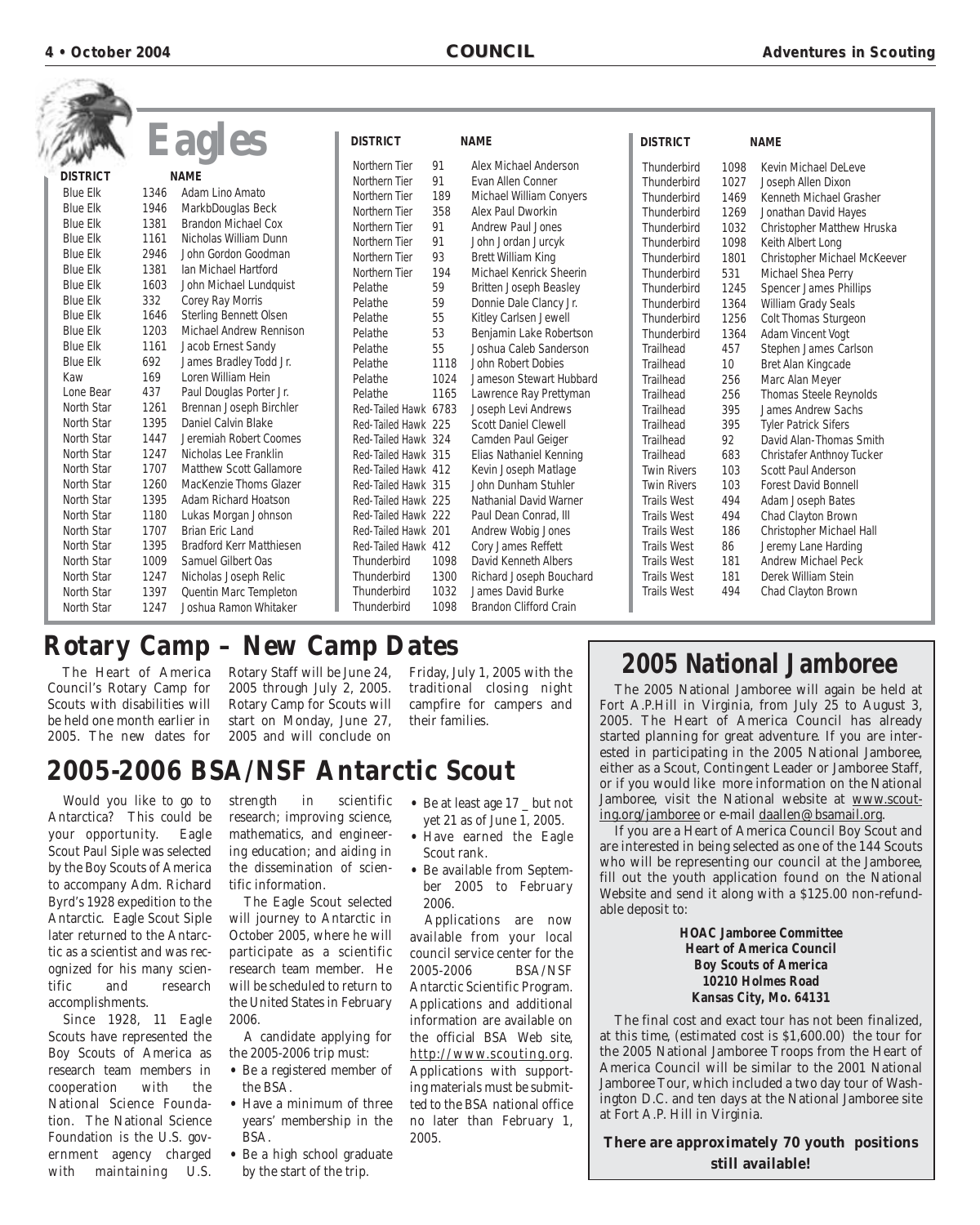|                 |      | <b>Eagles</b>                   | <b>DISTRICT</b>      |      | <b>NAME</b>                   | <b>DISTRICT</b>    |      | <b>NAME</b>                   |
|-----------------|------|---------------------------------|----------------------|------|-------------------------------|--------------------|------|-------------------------------|
|                 |      |                                 | Northern Tier        | 91   | Alex Michael Anderson         | Thunderbird        | 1098 | Kevin Michael Del eve         |
| <b>DISTRICT</b> |      | <b>NAME</b>                     | Northern Tier        | 91   | Evan Allen Conner             | Thunderbird        | 1027 | Joseph Allen Dixon            |
| <b>Blue Elk</b> | 1346 | Adam Lino Amato                 | Northern Tier        | 189  | Michael William Conyers       | Thunderbird        | 1469 | Kenneth Michael Grasher       |
| <b>Blue Elk</b> | 1946 | MarkbDouglas Beck               | Northern Tier        | 358  | Alex Paul Dworkin             | Thunderbird        | 1269 | Jonathan David Hayes          |
| <b>Blue Elk</b> | 1381 | <b>Brandon Michael Cox</b>      | Northern Tier        | 91   | <b>Andrew Paul Jones</b>      | Thunderbird        | 1032 | Christopher Matthew Hruska    |
| <b>Blue Elk</b> | 1161 | Nicholas William Dunn           | Northern Tier        | 91   | John Jordan Jurcyk            | Thunderbird        | 1098 | Keith Albert Long             |
| <b>Blue Elk</b> | 2946 | John Gordon Goodman             | Northern Tier        | 93   | <b>Brett William King</b>     | Thunderbird        | 1801 | Christopher Michael McKeever  |
| <b>Blue Elk</b> | 1381 | Ian Michael Hartford            | Northern Tier        | 194  | Michael Kenrick Sheerin       | Thunderbird        | 531  | Michael Shea Perry            |
| <b>Blue Elk</b> | 1603 | John Michael Lundquist          | Pelathe              | 59   | <b>Britten Joseph Beasley</b> | Thunderbird        | 1245 | <b>Spencer James Phillips</b> |
| <b>Blue Elk</b> | 332  | Corey Ray Morris                | Pelathe              | 59   | Donnie Dale Clancy Jr.        | Thunderbird        | 1364 | William Grady Seals           |
| <b>Blue Elk</b> | 1646 | <b>Sterling Bennett Olsen</b>   | Pelathe              | 55   | Kitley Carlsen Jewell         | Thunderbird        | 1256 | <b>Colt Thomas Sturgeon</b>   |
| <b>Blue Elk</b> | 1203 | <b>Michael Andrew Rennison</b>  | Pelathe              | 53   | Benjamin Lake Robertson       | Thunderbird        | 1364 | Adam Vincent Vogt             |
| <b>Blue Elk</b> | 1161 | Jacob Ernest Sandy              | Pelathe              | 55   | Joshua Caleb Sanderson        | Trailhead          | 457  | Stephen James Carlson         |
| <b>Blue Elk</b> | 692  | James Bradley Todd Jr.          | Pelathe              | 1118 | John Robert Dobies            | Trailhead          | 10   | Bret Alan Kingcade            |
| Kaw             | 169  | Loren William Hein              | Pelathe              | 1024 | Jameson Stewart Hubbard       | Trailhead          | 256  | Marc Alan Meyer               |
| Lone Bear       | 437  | Paul Douglas Porter Jr.         | Pelathe              | 1165 | Lawrence Ray Prettyman        | Trailhead          | 256  | <b>Thomas Steele Reynolds</b> |
| North Star      | 1261 | Brennan Joseph Birchler         | Red-Tailed Hawk 6783 |      | Joseph Levi Andrews           | Trailhead          | 395  | <b>James Andrew Sachs</b>     |
| North Star      | 1395 | Daniel Calvin Blake             | Red-Tailed Hawk 225  |      | <b>Scott Daniel Clewell</b>   | Trailhead          | 395  | <b>Tyler Patrick Sifers</b>   |
| North Star      | 1447 | Jeremiah Robert Coomes          | Red-Tailed Hawk 324  |      | Camden Paul Geiger            | Trailhead          | 92   | David Alan-Thomas Smith       |
| North Star      | 1247 | Nicholas Lee Franklin           | Red-Tailed Hawk 315  |      | Elias Nathaniel Kenning       | <b>Trailhead</b>   | 683  | Christafer Anthnoy Tucker     |
| North Star      | 1707 | <b>Matthew Scott Gallamore</b>  | Red-Tailed Hawk 412  |      | Kevin Joseph Matlage          | <b>Twin Rivers</b> | 103  | Scott Paul Anderson           |
| North Star      | 1260 | MacKenzie Thoms Glazer          | Red-Tailed Hawk 315  |      | John Dunham Stuhler           | <b>Twin Rivers</b> | 103  | <b>Forest David Bonnell</b>   |
| North Star      | 1395 | Adam Richard Hoatson            | Red-Tailed Hawk 225  |      | Nathanial David Warner        | <b>Trails West</b> | 494  | Adam Joseph Bates             |
| North Star      | 1180 | Lukas Morgan Johnson            | Red-Tailed Hawk 222  |      | Paul Dean Conrad, III         | <b>Trails West</b> | 494  | Chad Clayton Brown            |
| North Star      | 1707 | <b>Brian Eric Land</b>          | Red-Tailed Hawk 201  |      | Andrew Wobig Jones            | <b>Trails West</b> | 186  | Christopher Michael Hall      |
| North Star      | 1395 | <b>Bradford Kerr Matthiesen</b> | Red-Tailed Hawk 412  |      | Cory James Reffett            | <b>Trails West</b> | 86   | Jeremy Lane Harding           |
| North Star      | 1009 | Samuel Gilbert Oas              | Thunderbird          | 1098 | David Kenneth Albers          | <b>Trails West</b> | 181  | <b>Andrew Michael Peck</b>    |
| North Star      | 1247 | Nicholas Joseph Relic           | Thunderbird          | 1300 | Richard Joseph Bouchard       | <b>Trails West</b> | 181  | Derek William Stein           |
| North Star      | 1397 | Quentin Marc Templeton          | Thunderbird          | 1032 | <b>James David Burke</b>      | <b>Trails West</b> | 494  | Chad Clayton Brown            |
| North Star      | 1247 | Joshua Ramon Whitaker           | Thunderbird          | 1098 | <b>Brandon Clifford Crain</b> |                    |      |                               |

# **Rotary Camp – New Camp Dates**

Council's Rotary Camp for Scouts with disabilities will be held one month earlier in 2005. The new dates for

The Heart of America Rotary Staff will be June 24, 2005 through July 2, 2005. Rotary Camp for Scouts will start on Monday, June 27, 2005 and will conclude on

Friday, July 1, 2005 with the traditional closing night campfire for campers and their families.

# **2005-2006 BSA/NSF Antarctic Scout**

Would you like to go to Antarctica? This could be your opportunity. Eagle Scout Paul Siple was selected by the Boy Scouts of America to accompany Adm. Richard Byrd's 1928 expedition to the Antarctic. Eagle Scout Siple later returned to the Antarctic as a scientist and was recognized for his many scientific and research accomplishments.

Since 1928, 11 Eagle Scouts have represented the Boy Scouts of America as research team members in cooperation with the National Science Foundation. The National Science Foundation is the U.S. government agency charged with maintaining U.S.

strength in scientific research; improving science, mathematics, and engineering education; and aiding in the dissemination of scientific information.

The Eagle Scout selected will journey to Antarctic in October 2005, where he will participate as a scientific research team member. He will be scheduled to return to the United States in February 2006.

A candidate applying for the 2005-2006 trip must:

- Be a registered member of the BSA.
- Have a minimum of three years' membership in the BSA.
- Be a high school graduate by the start of the trip.
- Be at least age 17 \_ but not yet 21 as of June 1, 2005.
- Have earned the Eagle Scout rank.
- Be available from September 2005 to February 2006.

Applications are now available from your local council service center for the 2005-2006 BSA/NSF Antarctic Scientific Program. Applications and additional information are available on the official BSA Web site, http://www.scouting.org. Applications with supporting materials must be submitted to the BSA national office no later than February 1, 2005.

# **2005 National Jamboree**

The 2005 National Jamboree will again be held at Fort A.P.Hill in Virginia, from July 25 to August 3, 2005. The Heart of America Council has already started planning for great adventure. If you are interested in participating in the 2005 National Jamboree, either as a Scout, Contingent Leader or Jamboree Staff, or if you would like more information on the National Jamboree, visit the National website at www.scouting.org/jamboree or e-mail daallen@bsamail.org.

If you are a Heart of America Council Boy Scout and are interested in being selected as one of the 144 Scouts who will be representing our council at the Jamboree, fill out the youth application found on the National Website and send it along with a \$125.00 non-refundable deposit to:

> **HOAC Jamboree Committee Heart of America Council Boy Scouts of America 10210 Holmes Road Kansas City, Mo. 64131**

The final cost and exact tour has not been finalized, at this time, (estimated cost is \$1,600.00) the tour for the 2005 National Jamboree Troops from the Heart of America Council will be similar to the 2001 National Jamboree Tour, which included a two day tour of Washington D.C. and ten days at the National Jamboree site at Fort A.P. Hill in Virginia.

**There are approximately 70 youth positions still available!**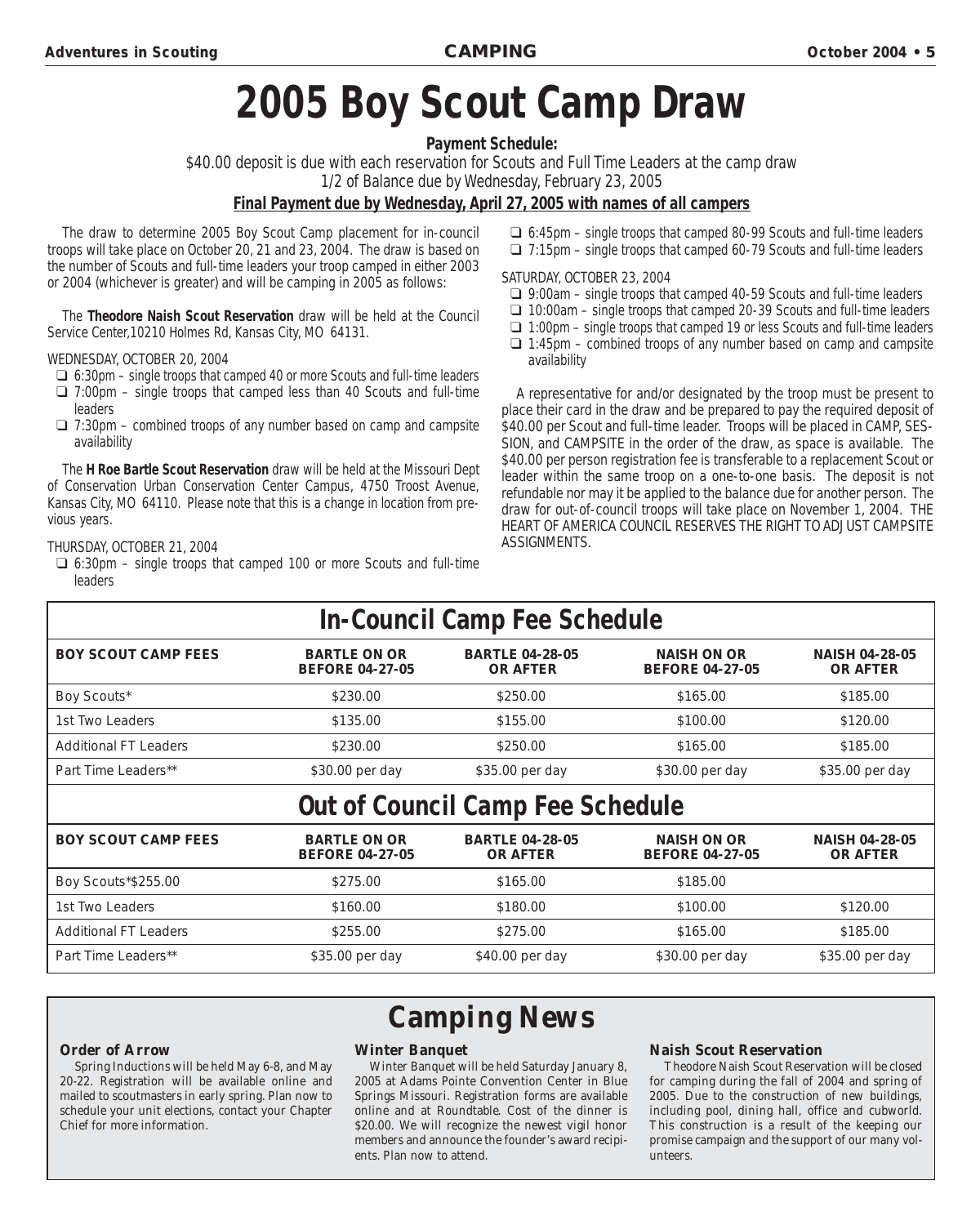# **2005 Boy Scout Camp Draw**

**Payment Schedule:**

\$40.00 deposit is due with each reservation for Scouts and Full Time Leaders at the camp draw 1/2 of Balance due by Wednesday, February 23, 2005

#### **Final Payment due by Wednesday, April 27, 2005 with names of all campers**

The draw to determine 2005 Boy Scout Camp placement for in-council troops will take place on October 20, 21 and 23, 2004. The draw is based on the number of Scouts and full-time leaders your troop camped in either 2003 or 2004 (whichever is greater) and will be camping in 2005 as follows:

The **Theodore Naish Scout Reservation** draw will be held at the Council Service Center,10210 Holmes Rd, Kansas City, MO 64131.

#### WEDNESDAY, OCTOBER 20, 2004

- ❑ 6:30pm single troops that camped 40 or more Scouts and full-time leaders
- $\Box$  7:00pm single troops that camped less than 40 Scouts and full-time leaders
- $\Box$  7:30pm combined troops of any number based on camp and campsite availability

The **H Roe Bartle Scout Reservation** draw will be held at the Missouri Dept of Conservation Urban Conservation Center Campus, 4750 Troost Avenue, Kansas City, MO 64110. Please note that this is a change in location from previous years.

#### THURSDAY, OCTOBER 21, 2004

 $\Box$  6:30pm – single troops that camped 100 or more Scouts and full-time leaders

❑ 6:45pm – single troops that camped 80-99 Scouts and full-time leaders ❑ 7:15pm – single troops that camped 60-79 Scouts and full-time leaders

#### SATURDAY, OCTOBER 23, 2004

- ❑ 9:00am single troops that camped 40-59 Scouts and full-time leaders
- ❑ 10:00am single troops that camped 20-39 Scouts and full-time leaders
- ❑ 1:00pm single troops that camped 19 or less Scouts and full-time leaders
- $\Box$  1:45pm combined troops of any number based on camp and campsite availability

A representative for and/or designated by the troop must be present to place their card in the draw and be prepared to pay the required deposit of \$40.00 per Scout and full-time leader. Troops will be placed in CAMP, SES-SION, and CAMPSITE in the order of the draw, as space is available. The \$40.00 per person registration fee is transferable to a replacement Scout or leader within the same troop on a one-to-one basis. The deposit is not refundable nor may it be applied to the balance due for another person. The draw for out-of-council troops will take place on November 1, 2004. THE HEART OF AMERICA COUNCIL RESERVES THE RIGHT TO ADJUST CAMPSITE ASSIGNMENTS.

|  | <b>In-Council Camp Fee Schedule</b> |  |
|--|-------------------------------------|--|

| <b>BOY SCOUT CAMP FEES</b>   | <b>BARTLE ON OR</b><br><b>BEFORE 04-27-05</b> | <b>BARTLE 04-28-05</b><br><b>OR AFTER</b> | <b>NAISH ON OR</b><br><b>BEFORE 04-27-05</b> | <b>NAISH 04-28-05</b><br><b>OR AFTER</b> |
|------------------------------|-----------------------------------------------|-------------------------------------------|----------------------------------------------|------------------------------------------|
| Boy Scouts*                  | \$230.00                                      | \$250.00                                  | \$165.00                                     | \$185.00                                 |
| 1st Two Leaders              | \$135.00                                      | \$155.00                                  | \$100.00                                     | \$120.00                                 |
| <b>Additional FT Leaders</b> | \$230.00                                      | \$250.00                                  | \$165.00                                     | \$185.00                                 |
| Part Time Leaders**          | \$30.00 per day                               | \$35.00 per day                           | \$30.00 per day                              | \$35.00 per day                          |

# **Out of Council Camp Fee Schedule**

| <b>BOY SCOUT CAMP FEES</b>   | <b>BARTLE ON OR</b><br><b>BEFORE 04-27-05</b> | <b>BARTLE 04-28-05</b><br><b>OR AFTER</b> | <b>NAISH ON OR</b><br><b>BEFORE 04-27-05</b> | <b>NAISH 04-28-05</b><br><b>OR AFTER</b> |
|------------------------------|-----------------------------------------------|-------------------------------------------|----------------------------------------------|------------------------------------------|
| Boy Scouts*\$255.00          | \$275.00                                      | \$165.00                                  | \$185.00                                     |                                          |
| 1st Two Leaders              | \$160.00                                      | \$180.00                                  | \$100.00                                     | \$120.00                                 |
| <b>Additional FT Leaders</b> | \$255.00                                      | \$275.00                                  | \$165.00                                     | \$185.00                                 |
| Part Time Leaders**          | \$35.00 per day                               | \$40.00 per day                           | \$30.00 per day                              | \$35.00 per day                          |

#### **Order of Arrow**

Spring Inductions will be held May 6-8, and May 20-22. Registration will be available online and mailed to scoutmasters in early spring. Plan now to schedule your unit elections, contact your Chapter Chief for more information.

# **Winter Banquet Camping News**

Winter Banquet will be held Saturday January 8, 2005 at Adams Pointe Convention Center in Blue Springs Missouri. Registration forms are available online and at Roundtable. Cost of the dinner is \$20.00. We will recognize the newest vigil honor members and announce the founder's award recipients. Plan now to attend.

#### **Naish Scout Reservation**

Theodore Naish Scout Reservation will be closed for camping during the fall of 2004 and spring of 2005. Due to the construction of new buildings, including pool, dining hall, office and cubworld. This construction is a result of the keeping our promise campaign and the support of our many volunteers.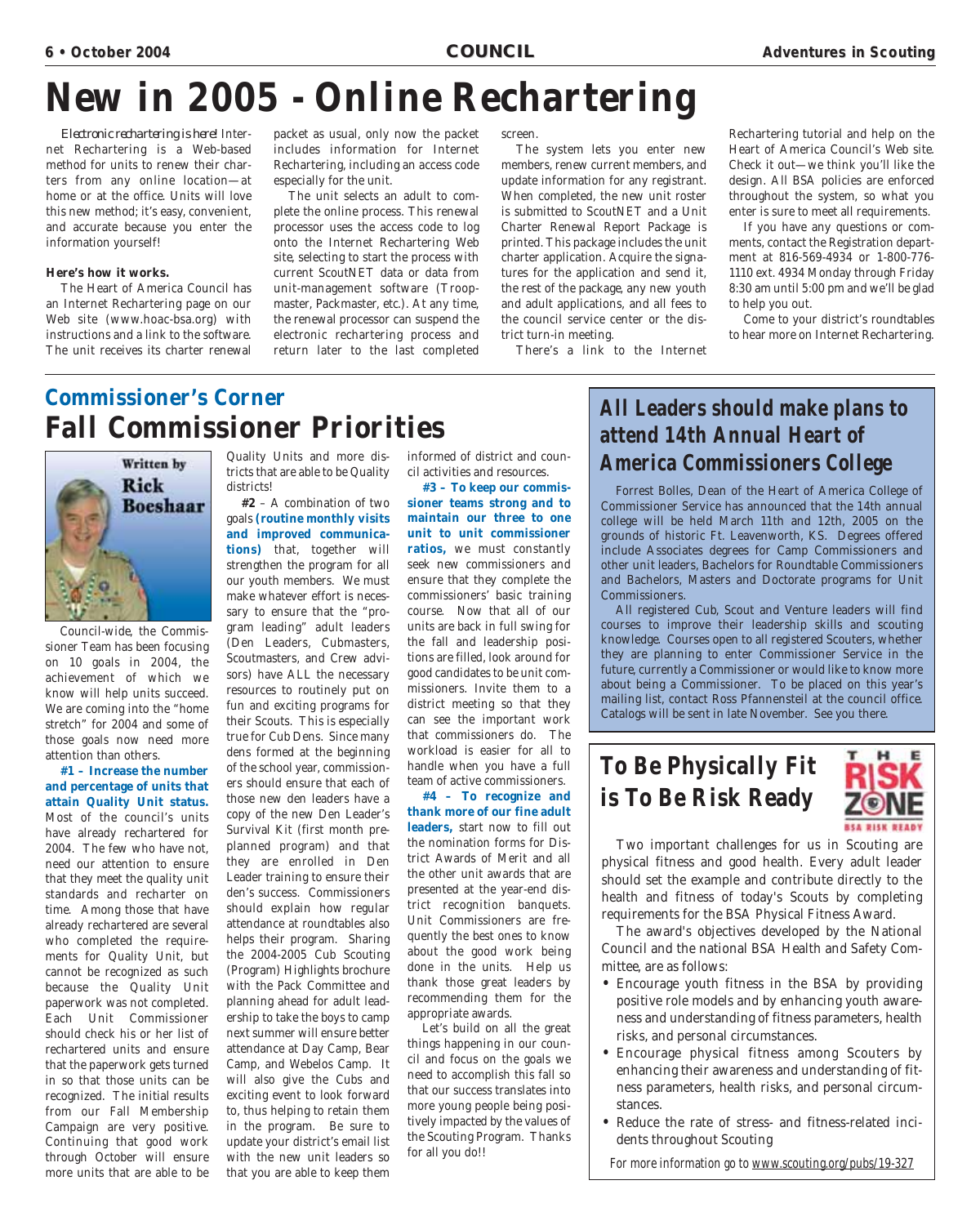# **New in 2005 - Online Rechartering**

*Electronic rechartering is here!* Internet Rechartering is a Web-based method for units to renew their charters from any online location—at home or at the office. Units will love this new method; it's easy, convenient, and accurate because you enter the information yourself!

#### **Here's how it works.**

The Heart of America Council has an Internet Rechartering page on our Web site (www.hoac-bsa.org) with instructions and a link to the software. The unit receives its charter renewal packet as usual, only now the packet includes information for Internet Rechartering, including an access code especially for the unit.

The unit selects an adult to complete the online process. This renewal processor uses the access code to log onto the Internet Rechartering Web site, selecting to start the process with current ScoutNET data or data from unit-management software (Troopmaster, Packmaster, etc.). At any time, the renewal processor can suspend the electronic rechartering process and return later to the last completed

screen.

The system lets you enter new members, renew current members, and update information for any registrant. When completed, the new unit roster is submitted to ScoutNET and a Unit Charter Renewal Report Package is printed. This package includes the unit charter application. Acquire the signatures for the application and send it, the rest of the package, any new youth and adult applications, and all fees to the council service center or the district turn-in meeting.

There's a link to the Internet

Rechartering tutorial and help on the Heart of America Council's Web site. Check it out—we think you'll like the design. All BSA policies are enforced throughout the system, so what you enter is sure to meet all requirements.

If you have any questions or comments, contact the Registration department at 816-569-4934 or 1-800-776- 1110 ext. 4934 Monday through Friday 8:30 am until 5:00 pm and we'll be glad to help you out.

Come to your district's roundtables to hear more on Internet Rechartering.

# **Commissioner's Corner Fall Commissioner Priorities**



Council-wide, the Commissioner Team has been focusing on 10 goals in 2004, the achievement of which we know will help units succeed. We are coming into the "home stretch" for 2004 and some of those goals now need more attention than others.

**#1 – Increase the number and percentage of units that attain Quality Unit status.** Most of the council's units have already rechartered for 2004. The few who have not, need our attention to ensure that they meet the quality unit standards and recharter on time. Among those that have already rechartered are several who completed the requirements for Quality Unit, but cannot be recognized as such because the Quality Unit paperwork was not completed. Each Unit Commissioner should check his or her list of rechartered units and ensure that the paperwork gets turned in so that those units can be recognized. The initial results from our Fall Membership Campaign are very positive. Continuing that good work through October will ensure more units that are able to be

Quality Units and more districts that are able to be Quality districts!

**#2** – A combination of two goals **(routine monthly visits and improved communications)** that, together will strengthen the program for all our youth members. We must make whatever effort is necessary to ensure that the "program leading" adult leaders (Den Leaders, Cubmasters, Scoutmasters, and Crew advisors) have ALL the necessary resources to routinely put on fun and exciting programs for their Scouts. This is especially true for Cub Dens. Since many dens formed at the beginning of the school year, commissioners should ensure that each of those new den leaders have a copy of the new Den Leader's Survival Kit (first month preplanned program) and that they are enrolled in Den Leader training to ensure their den's success. Commissioners should explain how regular attendance at roundtables also helps their program. Sharing the 2004-2005 Cub Scouting (Program) Highlights brochure with the Pack Committee and planning ahead for adult leadership to take the boys to camp next summer will ensure better attendance at Day Camp, Bear Camp, and Webelos Camp. It will also give the Cubs and exciting event to look forward to, thus helping to retain them in the program. Be sure to update your district's email list with the new unit leaders so that you are able to keep them

informed of district and council activities and resources.

**#3 – To keep our commissioner teams strong and to maintain our three to one unit to unit commissioner ratios,** we must constantly seek new commissioners and ensure that they complete the commissioners' basic training course. Now that all of our units are back in full swing for the fall and leadership positions are filled, look around for good candidates to be unit commissioners. Invite them to a district meeting so that they can see the important work that commissioners do. The workload is easier for all to handle when you have a full team of active commissioners.

**#4 – To recognize and thank more of our fine adult leaders,** start now to fill out the nomination forms for District Awards of Merit and all the other unit awards that are presented at the year-end district recognition banquets. Unit Commissioners are frequently the best ones to know about the good work being done in the units. Help us thank those great leaders by recommending them for the appropriate awards.

Let's build on all the great things happening in our council and focus on the goals we need to accomplish this fall so that our success translates into more young people being positively impacted by the values of the Scouting Program. Thanks for all you do!!

# **All Leaders should make plans to attend 14th Annual Heart of America Commissioners College**

Forrest Bolles, Dean of the Heart of America College of Commissioner Service has announced that the 14th annual college will be held March 11th and 12th, 2005 on the grounds of historic Ft. Leavenworth, KS. Degrees offered include Associates degrees for Camp Commissioners and other unit leaders, Bachelors for Roundtable Commissioners and Bachelors, Masters and Doctorate programs for Unit Commissioners.

All registered Cub, Scout and Venture leaders will find courses to improve their leadership skills and scouting knowledge. Courses open to all registered Scouters, whether they are planning to enter Commissioner Service in the future, currently a Commissioner or would like to know more about being a Commissioner. To be placed on this year's mailing list, contact Ross Pfannensteil at the council office. Catalogs will be sent in late November. See you there.

# **To Be Physically Fit is To Be Risk Ready**



Two important challenges for us in Scouting are physical fitness and good health. Every adult leader should set the example and contribute directly to the health and fitness of today's Scouts by completing requirements for the BSA Physical Fitness Award.

The award's objectives developed by the National Council and the national BSA Health and Safety Committee, are as follows:

- Encourage youth fitness in the BSA by providing positive role models and by enhancing youth awareness and understanding of fitness parameters, health risks, and personal circumstances.
- Encourage physical fitness among Scouters by enhancing their awareness and understanding of fitness parameters, health risks, and personal circumstances.
- Reduce the rate of stress- and fitness-related incidents throughout Scouting

For more information go to www.scouting.org/pubs/19-327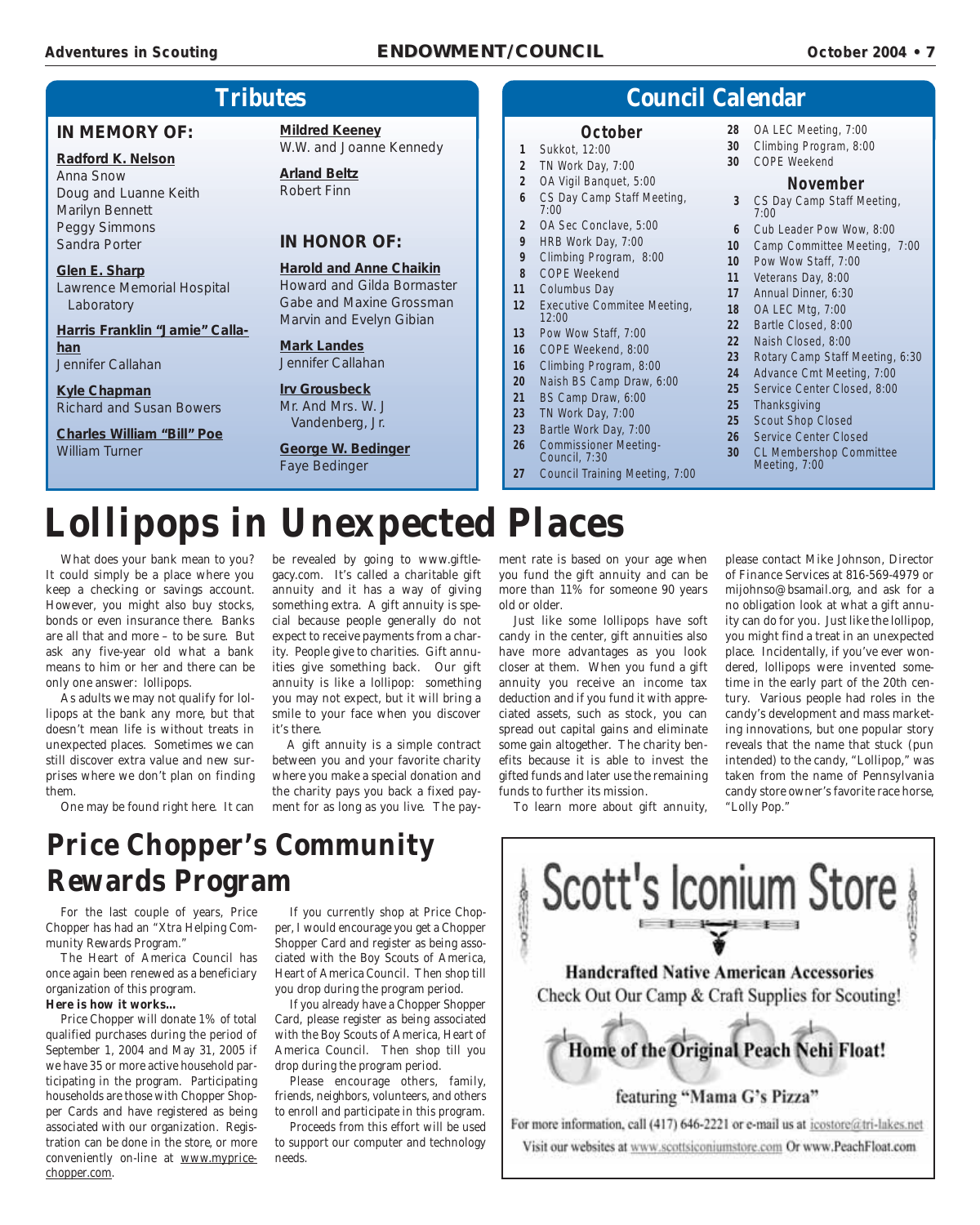#### **Adventur Adventures in Scouting es in Scouting ENDOWMENT/COUNCIL ENDOWMENT/COUNCIL October 2004 October 2004• 7**

# **Tributes**

#### **IN MEMORY OF:**

**Radford K. Nelson** Anna Snow Doug and Luanne Keith Marilyn Bennett Peggy Simmons Sandra Porter

#### **Glen E. Sharp** Lawrence Memorial Hospital Laboratory

**Harris Franklin "Jamie" Callahan** Jennifer Callahan

**Kyle Chapman** Richard and Susan Bowers

**Charles William "Bill" Poe** William Turner

**Mildred Keeney** W.W. and Joanne Kennedy

**Arland Beltz** Robert Finn

#### **IN HONOR OF:**

#### **Harold and Anne Chaikin**

Howard and Gilda Bormaster Gabe and Maxine Grossman Marvin and Evelyn Gibian

#### **Mark Landes** Jennifer Callahan

**Irv Grousbeck** Mr. And Mrs. W. J Vandenberg, Jr.

#### **George W. Bedinger** Faye Bedinger

**6** CS Day Camp Staff Meeting, 7:00 **2** OA Sec Conclave, 5:00

**9** HRB Work Day, 7:00 **9** Climbing Program, 8:00

**1** Sukkot, 12:00 **2** TN Work Day, 7:00 **2** OA Vigil Banquet, 5:00

- **8** COPE Weekend
- **11** Columbus Day
- **12** Executive Commitee Meeting, 12:00

**October**

- **13** Pow Wow Staff, 7:00
- **16** COPE Weekend, 8:00
- **16** Climbing Program, 8:00
- **20** Naish BS Camp Draw, 6:00
- **21** BS Camp Draw, 6:00 **23** TN Work Day, 7:00
- **23** Bartle Work Day, 7:00
- **26** Commissioner Meeting-
- Council, 7:30
- **27** Council Training Meeting, 7:00
- **28** OA LEC Meeting, 7:00
- **30** Climbing Program, 8:00
- **30** COPE Weekend

**Council Calendar**

#### **November**

- **3** CS Day Camp Staff Meeting, 7:00
- **6** Cub Leader Pow Wow, 8:00
- **10** Camp Committee Meeting, 7:00
- **10** Pow Wow Staff, 7:00
- **11** Veterans Day, 8:00
- **17** Annual Dinner, 6:30
- **18** OA LEC Mtg, 7:00
- **22** Bartle Closed, 8:00
- **22** Naish Closed, 8:00
- **23** Rotary Camp Staff Meeting, 6:30
- **24** Advance Cmt Meeting, 7:00
- **25** Service Center Closed, 8:00
- **25** Thanksgiving
	- **25** Scout Shop Closed
	- **26** Service Center Closed
	- **30** CL Membershop Committee Meeting, 7:00

# **Lollipops in Unexpected Places**

What does your bank mean to you? It could simply be a place where you keep a checking or savings account. However, you might also buy stocks, bonds or even insurance there. Banks are all that and more – to be sure. But ask any five-year old what a bank means to him or her and there can be only one answer: lollipops.

As adults we may not qualify for lollipops at the bank any more, but that doesn't mean life is without treats in unexpected places. Sometimes we can still discover extra value and new surprises where we don't plan on finding them.

One may be found right here. It can

be revealed by going to www.giftlegacy.com. It's called a charitable gift annuity and it has a way of giving something extra. A gift annuity is special because people generally do not expect to receive payments from a charity. People give to charities. Gift annuities give something back. Our gift annuity is like a lollipop: something you may not expect, but it will bring a smile to your face when you discover it's there.

A gift annuity is a simple contract between you and your favorite charity where you make a special donation and the charity pays you back a fixed payment for as long as you live. The payment rate is based on your age when you fund the gift annuity and can be more than 11% for someone 90 years old or older.

Just like some lollipops have soft candy in the center, gift annuities also have more advantages as you look closer at them. When you fund a gift annuity you receive an income tax deduction and if you fund it with appreciated assets, such as stock, you can spread out capital gains and eliminate some gain altogether. The charity benefits because it is able to invest the gifted funds and later use the remaining funds to further its mission.

To learn more about gift annuity,

please contact Mike Johnson, Director of Finance Services at 816-569-4979 or mijohnso@bsamail.org, and ask for a no obligation look at what a gift annuity can do for you. Just like the lollipop, you might find a treat in an unexpected place. Incidentally, if you've ever wondered, lollipops were invented sometime in the early part of the 20th century. Various people had roles in the candy's development and mass marketing innovations, but one popular story reveals that the name that stuck (pun intended) to the candy, "Lollipop," was taken from the name of Pennsylvania candy store owner's favorite race horse, "Lolly Pop."

# **Price Chopper's Community Rewards Program**

For the last couple of years, Price Chopper has had an "Xtra Helping Community Rewards Program."

The Heart of America Council has once again been renewed as a beneficiary organization of this program.

#### **Here is how it works…**

Price Chopper will donate 1% of total qualified purchases during the period of September 1, 2004 and May 31, 2005 if we have 35 or more active household participating in the program. Participating households are those with Chopper Shopper Cards and have registered as being associated with our organization. Registration can be done in the store, or more conveniently on-line at www.mypricechopper.com.

If you currently shop at Price Chopper, I would encourage you get a Chopper Shopper Card and register as being associated with the Boy Scouts of America, Heart of America Council. Then shop till you drop during the program period.

If you already have a Chopper Shopper Card, please register as being associated with the Boy Scouts of America, Heart of America Council. Then shop till you drop during the program period.

Please encourage others, family, friends, neighbors, volunteers, and others to enroll and participate in this program.

Proceeds from this effort will be used to support our computer and technology needs.

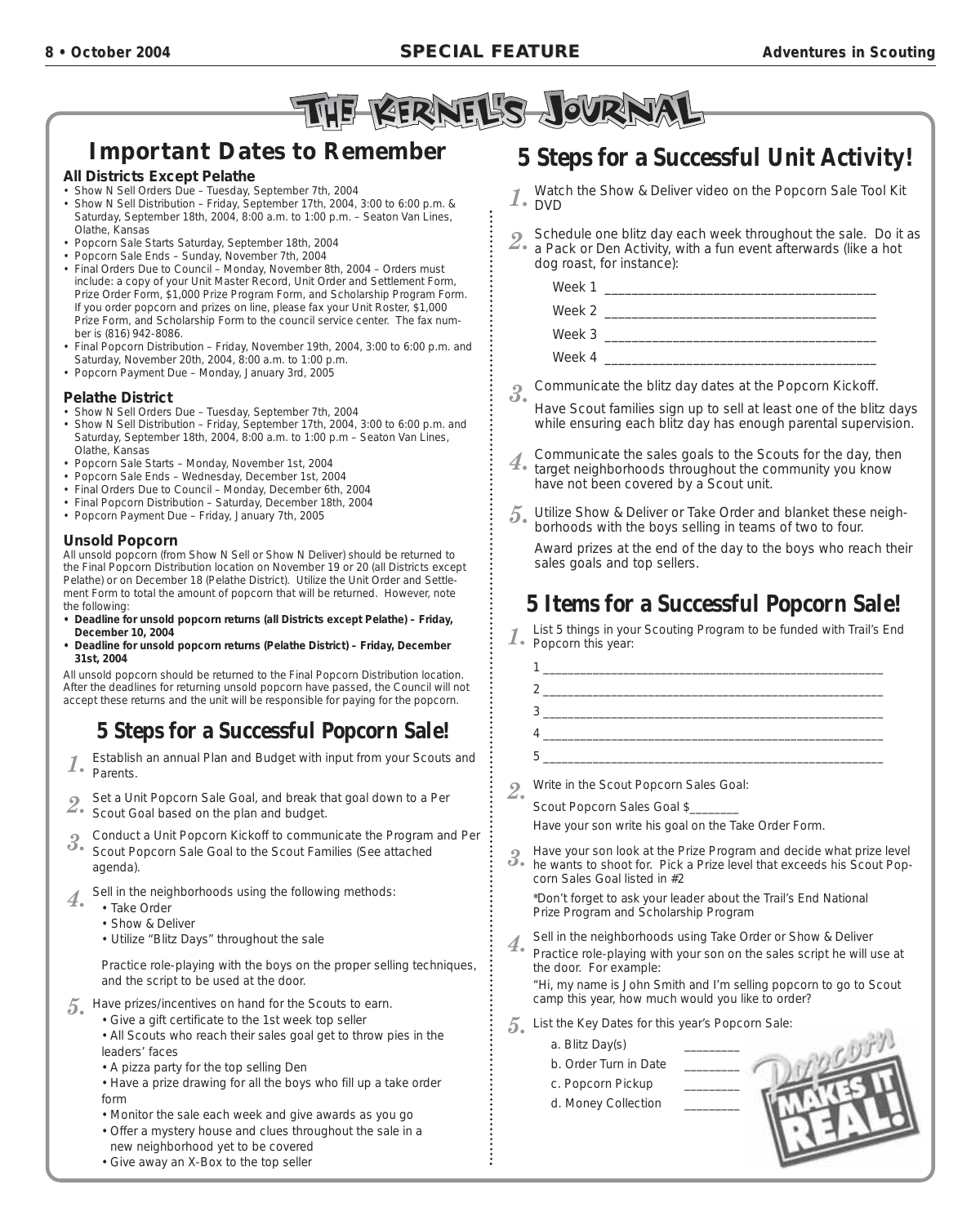

# **Important Dates to Remember**

#### **All Districts Except Pelathe**

- Show N Sell Orders Due Tuesday, September 7th, 2004
- Show N Sell Distribution Friday, September 17th, 2004, 3:00 to 6:00 p.m. & Saturday, September 18th, 2004, 8:00 a.m. to 1:00 p.m. – Seaton Van Lines, Olathe, Kansas
- Popcorn Sale Starts Saturday, September 18th, 2004
- Popcorn Sale Ends Sunday, November 7th, 2004
- Final Orders Due to Council Monday, November 8th, 2004 Orders must include: a copy of your Unit Master Record, Unit Order and Settlement Form, Prize Order Form, \$1,000 Prize Program Form, and Scholarship Program Form. If you order popcorn and prizes on line, please fax your Unit Roster, \$1,000 Prize Form, and Scholarship Form to the council service center. The fax number is (816) 942-8086.
- Final Popcorn Distribution Friday, November 19th, 2004, 3:00 to 6:00 p.m. and Saturday, November 20th, 2004, 8:00 a.m. to 1:00 p.m.
- Popcorn Payment Due Monday, January 3rd, 2005

#### **Pelathe District**

- Show N Sell Orders Due Tuesday, September 7th, 2004
- Show N Sell Distribution Friday, September 17th, 2004, 3:00 to 6:00 p.m. and Saturday, September 18th, 2004, 8:00 a.m. to 1:00 p.m – Seaton Van Lines, Olathe, Kansas
- Popcorn Sale Starts Monday, November 1st, 2004
- Popcorn Sale Ends Wednesday, December 1st, 2004
- Final Orders Due to Council Monday, December 6th, 2004
- Final Popcorn Distribution Saturday, December 18th, 2004
- Popcorn Payment Due Friday, January 7th, 2005

#### **Unsold Popcorn**

All unsold popcorn (from Show N Sell or Show N Deliver) should be returned to the Final Popcorn Distribution location on November 19 or 20 (all Districts except Pelathe) or on December 18 (Pelathe District). Utilize the Unit Order and Settlement Form to total the amount of popcorn that will be returned. However, note the following:

- **Deadline for unsold popcorn returns (all Districts except Pelathe) Friday, December 10, 2004**
- **Deadline for unsold popcorn returns (Pelathe District) Friday, December 31st, 2004**

All unsold popcorn should be returned to the Final Popcorn Distribution location. After the deadlines for returning unsold popcorn have passed, the Council will not accept these returns and the unit will be responsible for paying for the popcorn.

# **5 Steps for a Successful Popcorn Sale!**

1. Establish an annual Plan and Budget with input from your Scouts and<br>1. Decepts Parents.

*2.* Set a Unit Popcorn Sale Goal, and break that goal down to a Per Scout Goal based on the plan and budget.

- *3.* Conduct a Unit Popcorn Kickoff to communicate the Program and Per
- Scout Popcorn Sale Goal to the Scout Families (See attached agenda).
- *4.* Sell in the neighborhoods using the following methods:
	- Take Order
		- Show & Deliver
		- Utilize "Blitz Days" throughout the sale

Practice role-playing with the boys on the proper selling techniques, and the script to be used at the door.

- *5.* Have prizes/incentives on hand for the Scouts to earn.
	- Give a gift certificate to the 1st week top seller
	- All Scouts who reach their sales goal get to throw pies in the leaders' faces
	- A pizza party for the top selling Den
	- Have a prize drawing for all the boys who fill up a take order form
	- Monitor the sale each week and give awards as you go
	- Offer a mystery house and clues throughout the sale in a new neighborhood yet to be covered
	- Give away an X-Box to the top seller

# **5 Steps for a Successful Unit Activity!**

- *1.* Watch the Show & Deliver video on the Popcorn Sale Tool Kit  $1.$  NVD.
- **2.** Schedule one blitz day each week throughout the sale. Do it as <br> **2.** a Pack or Den Activity, with a fun event afterwards (like a hot dog roast, for instance):

Week  $1_{-}$ Week  $2$ Week 3 Week 4  $\_$ 

- *3.* Communicate the blitz day dates at the Popcorn Kickoff.
- Have Scout families sign up to sell at least one of the blitz days while ensuring each blitz day has enough parental supervision.
- *4.* Communicate the sales goals to the Scouts for the day, then target neighborhoods throughout the community you know have not been covered by a Scout unit.
- *5.* Utilize Show & Deliver or Take Order and blanket these neighborhoods with the boys selling in teams of two to four.

Award prizes at the end of the day to the boys who reach their sales goals and top sellers.

# **5 Items for a Successful Popcorn Sale!**

List 5 things in your Scouting Program to be funded with Trail's End 1. Popcorn this year:

*2.* Write in the Scout Popcorn Sales Goal:

Scout Popcorn Sales Goal \$

*Have your son write his goal on the Take Order Form.*

*3.* Have your son look at the Prize Program and decide what prize level he wants to shoot for. Pick a Prize level that exceeds his Scout Popcorn Sales Goal listed in #2

*\*Don't forget to ask your leader about the Trail's End National Prize Program and Scholarship Program*

**4.** Sell in the neighborhoods using Take Order or Show & Deliver Practice role-playing with your son on the sales script he will use at the door. For example:

*"Hi, my name is John Smith and I'm selling popcorn to go to Scout camp this year, how much would you like to order?*

*5.* List the Key Dates for this year's Popcorn Sale:

a. Blitz Day(s)

b. Order Turn in Date c. Popcorn Pickup

d. Money Collection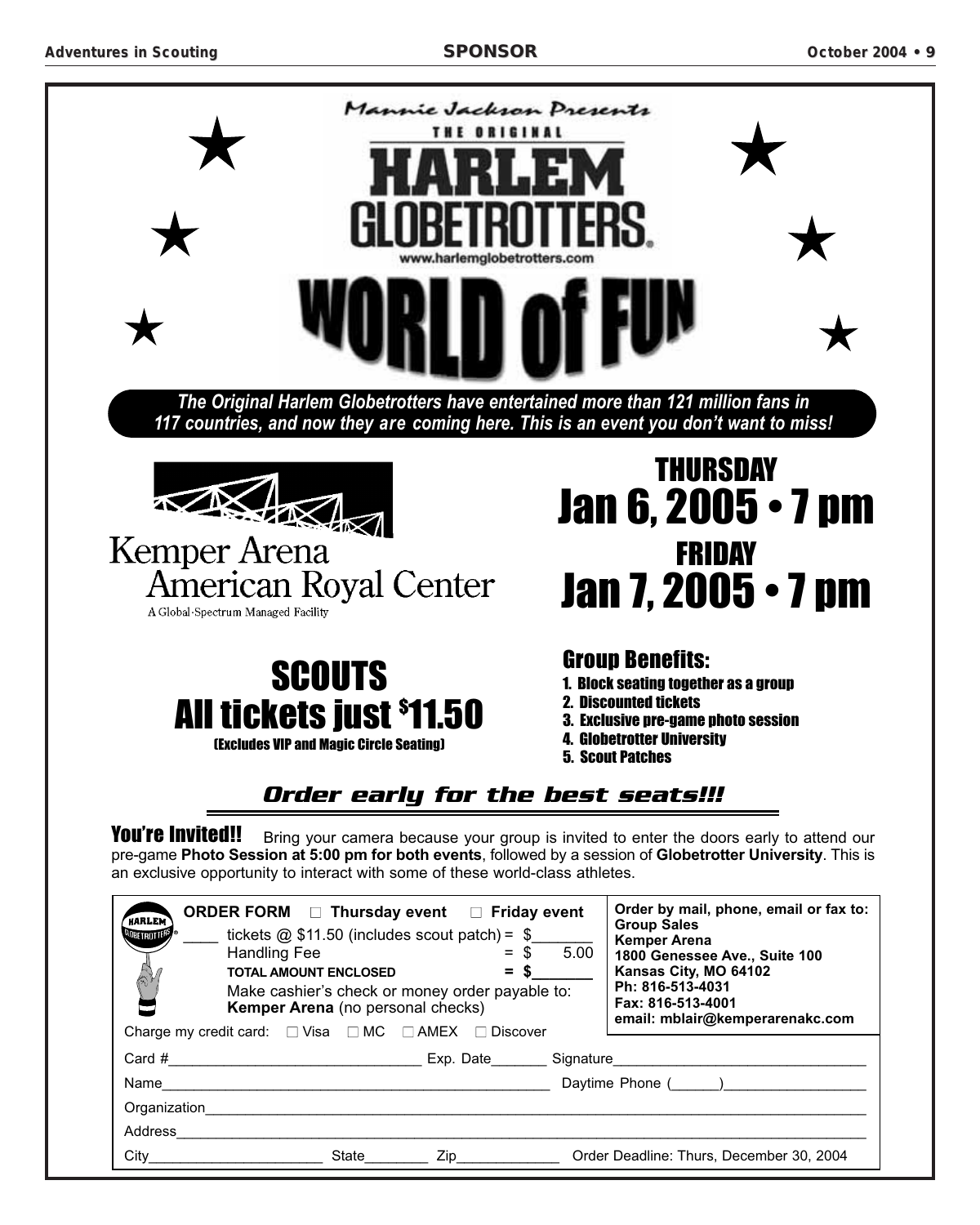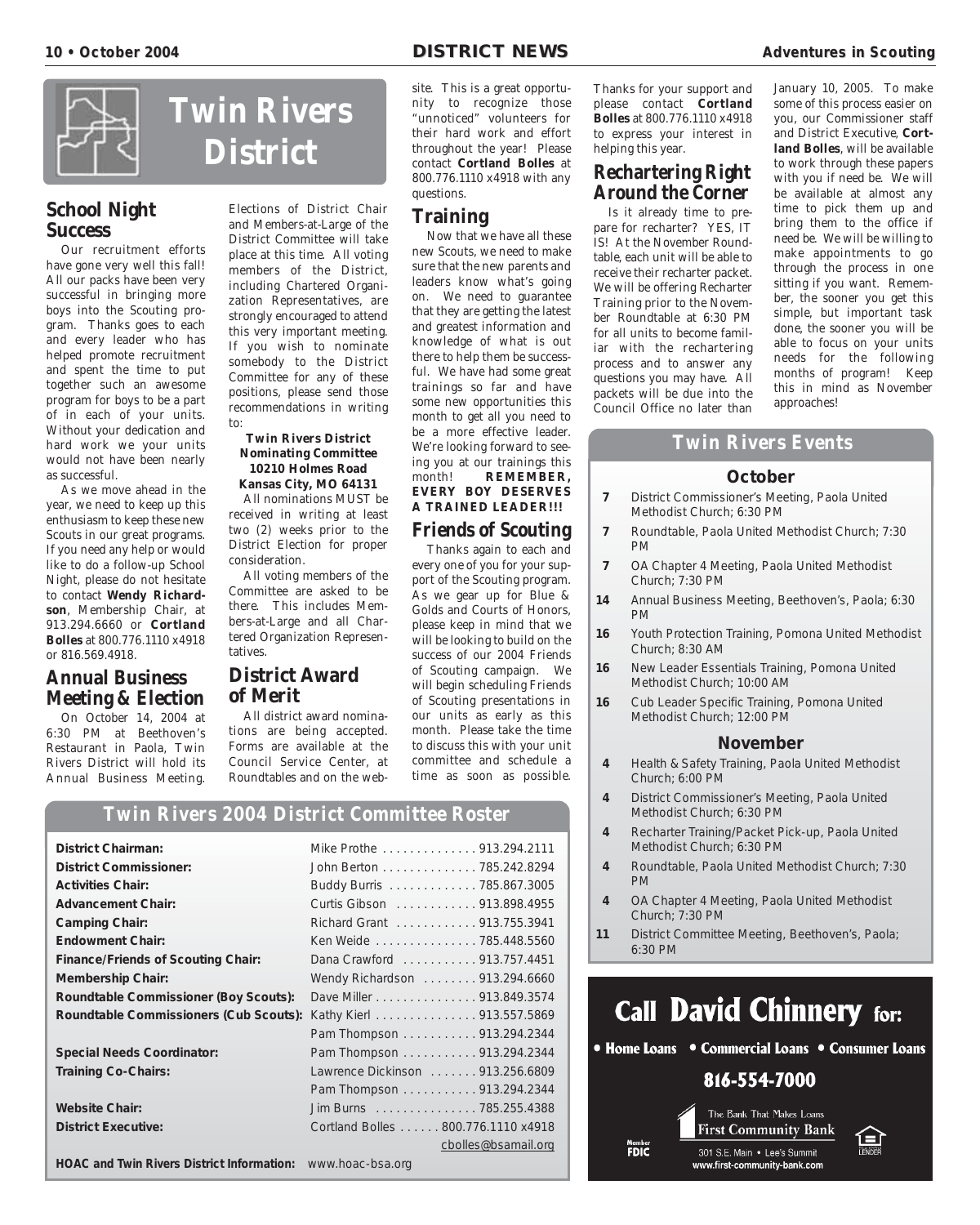![](_page_9_Picture_3.jpeg)

# **School Night Success**

Our recruitment efforts have gone very well this fall! All our packs have been very successful in bringing more boys into the Scouting program. Thanks goes to each and every leader who has helped promote recruitment and spent the time to put together such an awesome program for boys to be a part of in each of your units. Without your dedication and hard work we your units would not have been nearly as successful.

As we move ahead in the year, we need to keep up this enthusiasm to keep these new Scouts in our great programs. If you need any help or would like to do a follow-up School Night, please do not hesitate to contact **Wendy Richardson**, Membership Chair, at 913.294.6660 or **Cortland Bolles** at 800.776.1110 x4918 or 816.569.4918.

## **Annual Business Meeting & Election**

On October 14, 2004 at 6:30 PM at Beethoven's Restaurant in Paola, Twin Rivers District will hold its Annual Business Meeting.

# **Twin Rivers District**

Elections of District Chair and Members-at-Large of the District Committee will take place at this time. All voting members of the District, including Chartered Organization Representatives, are strongly encouraged to attend this very important meeting. If you wish to nominate somebody to the District Committee for any of these positions, please send those recommendations in writing to:

#### **Twin Rivers District Nominating Committee 10210 Holmes Road Kansas City, MO 64131**

All nominations MUST be received in writing at least two (2) weeks prior to the District Election for proper consideration.

All voting members of the Committee are asked to be there. This includes Members-at-Large and all Chartered Organization Representatives.

# **District Award of Merit**

All district award nominations are being accepted. Forms are available at the Council Service Center, at Roundtables and on the web-

site. This is a great opportunity to recognize those "unnoticed" volunteers for their hard work and effort throughout the year! Please contact **Cortland Bolles** at 800.776.1110 x4918 with any questions.

# **Training**

Now that we have all these new Scouts, we need to make sure that the new parents and leaders know what's going on. We need to guarantee that they are getting the latest and greatest information and knowledge of what is out there to help them be successful. We have had some great trainings so far and have some new opportunities this month to get all you need to be a more effective leader. We're looking forward to seeing you at our trainings this month! **REMEMBER, EVERY BOY DESERVES A TRAINED LEADER!!!**

# **Friends of Scouting**

Thanks again to each and every one of you for your support of the Scouting program. As we gear up for Blue & Golds and Courts of Honors, please keep in mind that we will be looking to build on the success of our 2004 Friends of Scouting campaign. We will begin scheduling Friends of Scouting presentations in our units as early as this month. Please take the time to discuss this with your unit committee and schedule a time as soon as possible.

Thanks for your support and please contact **Cortland Bolles** at 800.776.1110 x4918 to express your interest in helping this year.

## **Rechartering Right Around the Corner**

Is it already time to prepare for recharter? YES, IT IS! At the November Roundtable, each unit will be able to receive their recharter packet. We will be offering Recharter Training prior to the November Roundtable at 6:30 PM for all units to become familiar with the rechartering process and to answer any questions you may have. All packets will be due into the Council Office no later than

January 10, 2005. To make some of this process easier on you, our Commissioner staff and District Executive, **Cortland Bolles**, will be available to work through these papers with you if need be. We will be available at almost any time to pick them up and bring them to the office if need be. We will be willing to make appointments to go through the process in one sitting if you want. Remember, the sooner you get this simple, but important task done, the sooner you will be able to focus on your units needs for the following months of program! Keep this in mind as November approaches!

# **Twin Rivers Events**

#### **October**

- **7** District Commissioner's Meeting, Paola United Methodist Church; 6:30 PM
- **7** Roundtable, Paola United Methodist Church; 7:30 PM
- **7** OA Chapter 4 Meeting, Paola United Methodist Church; 7:30 PM
- **14** Annual Business Meeting, Beethoven's, Paola; 6:30 PM
- **16** Youth Protection Training, Pomona United Methodist Church; 8:30 AM
- **16** New Leader Essentials Training, Pomona United Methodist Church; 10:00 AM
- **16** Cub Leader Specific Training, Pomona United Methodist Church; 12:00 PM

#### **November**

- **4** Health & Safety Training, Paola United Methodist Church; 6:00 PM
- **4** District Commissioner's Meeting, Paola United Methodist Church; 6:30 PM
- **4** Recharter Training/Packet Pick-up, Paola United Methodist Church; 6:30 PM
- **4** Roundtable, Paola United Methodist Church; 7:30 PM
- **4** OA Chapter 4 Meeting, Paola United Methodist Church; 7:30 PM
- **11** District Committee Meeting, Beethoven's, Paola; 6:30 PM

![](_page_9_Picture_42.jpeg)

# **Twin Rivers 2004 District Committee Roster**

| <b>District Chairman:</b>                                   | Mike Prothe 913.294.2111           |
|-------------------------------------------------------------|------------------------------------|
| <b>District Commissioner:</b>                               | John Berton 785.242.8294           |
| <b>Activities Chair:</b>                                    | Buddy Burris 785.867.3005          |
| <b>Advancement Chair:</b>                                   | Curtis Gibson 913.898.4955         |
| <b>Camping Chair:</b>                                       | Richard Grant 913.755.3941         |
| <b>Endowment Chair:</b>                                     | Ken Weide 785.448.5560             |
| <b>Finance/Friends of Scouting Chair:</b>                   | Dana Crawford 913.757.4451         |
| <b>Membership Chair:</b>                                    | Wendy Richardson 913.294.6660      |
| Roundtable Commissioner (Boy Scouts):                       | Dave Miller 913.849.3574           |
| Roundtable Commissioners (Cub Scouts):                      | Kathy Kierl 913.557.5869           |
|                                                             | Pam Thompson 913.294.2344          |
| <b>Special Needs Coordinator:</b>                           | Pam Thompson 913.294.2344          |
| <b>Training Co-Chairs:</b>                                  | Lawrence Dickinson  913.256.6809   |
|                                                             | Pam Thompson 913.294.2344          |
| <b>Website Chair:</b>                                       | Jim Burns 785.255.4388             |
| <b>District Executive:</b>                                  | Cortland Bolles 800.776.1110 x4918 |
|                                                             | cbolles@bsamail.org                |
| HOAC and Twin Rivers District Information: www.hoac-bsa.org |                                    |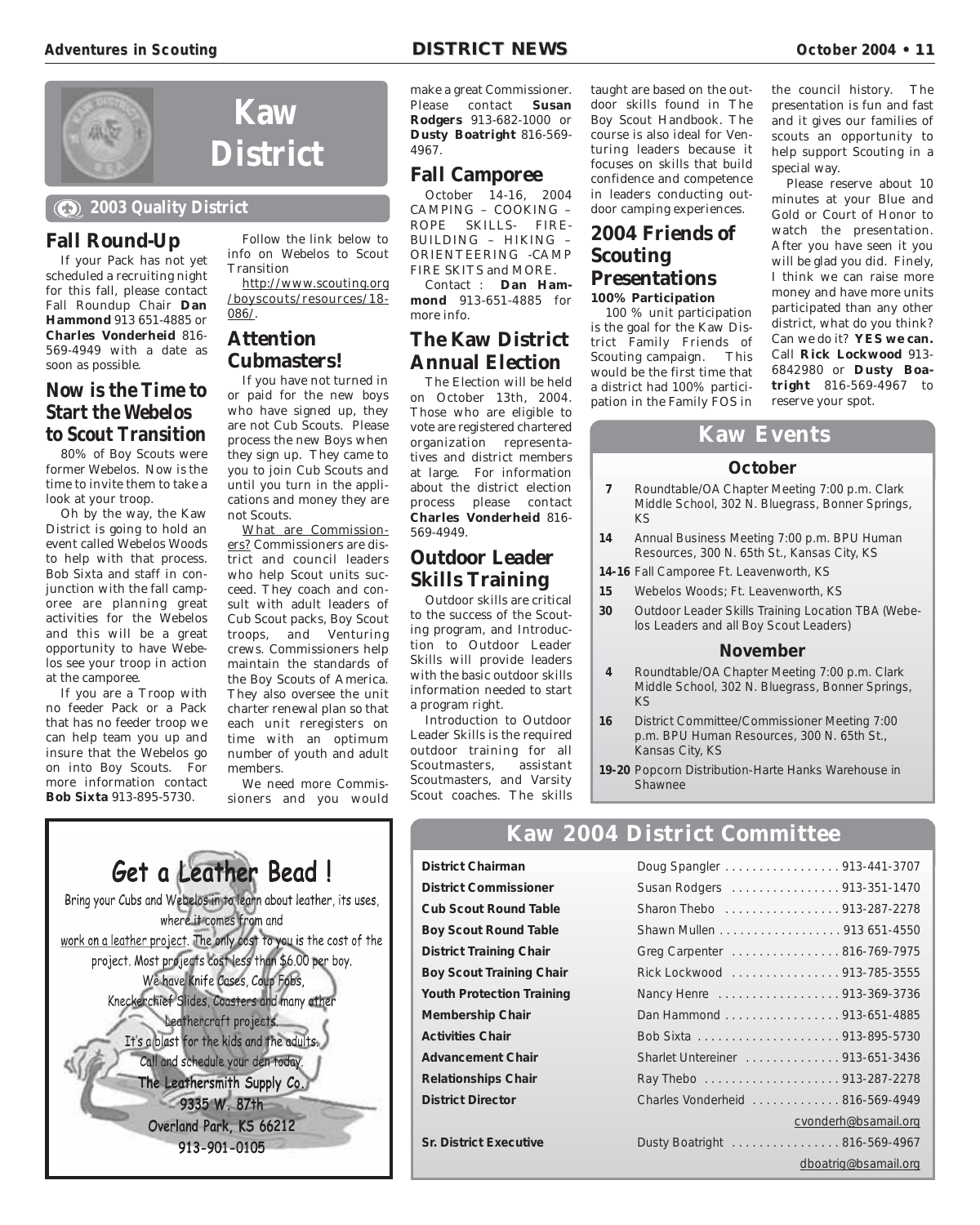![](_page_10_Picture_3.jpeg)

#### **2003 Quality District**

**Fall Round-Up**

If your Pack has not yet scheduled a recruiting night for this fall, please contact Fall Roundup Chair **Dan Hammond** 913 651-4885 or **Charles Vonderheid** 816- 569-4949 with a date as soon as possible.

## **Now is the Time to Start the Webelos to Scout Transition**

80% of Boy Scouts were former Webelos. Now is the time to invite them to take a look at your troop.

Oh by the way, the Kaw District is going to hold an event called Webelos Woods to help with that process. Bob Sixta and staff in conjunction with the fall camporee are planning great activities for the Webelos and this will be a great opportunity to have Webelos see your troop in action at the camporee.

If you are a Troop with no feeder Pack or a Pack that has no feeder troop we can help team you up and insure that the Webelos go on into Boy Scouts. For more information contact **Bob Sixta** 913-895-5730.

Follow the link below to info on Webelos to Scout **Transition** 

http://www.scouting.org /boyscouts/resources/18- 086/.

# **Attention Cubmasters!**

**Kaw**

If you have not turned in or paid for the new boys who have signed up, they are not Cub Scouts. Please process the new Boys when they sign up. They came to you to join Cub Scouts and until you turn in the applications and money they are not Scouts.

What are Commissioners? Commissioners are district and council leaders who help Scout units succeed. They coach and consult with adult leaders of Cub Scout packs, Boy Scout troops, and Venturing crews. Commissioners help maintain the standards of the Boy Scouts of America. They also oversee the unit charter renewal plan so that each unit reregisters on time with an optimum number of youth and adult members.

We need more Commissioners and you would make a great Commissioner. Please contact **Susan Rodgers** 913-682-1000 or **Dusty Boatright** 816-569- 4967.

## **Fall Camporee**

October 14-16, 2004 CAMPING – COOKING – ROPE SKILLS- FIRE-BUILDING – HIKING – ORIENTEERING -CAMP FIRE SKITS and MORE. Contact : **Dan Ham-**

**mond** 913-651-4885 for more info.

## **The Kaw District Annual Election**

The Election will be held on October 13th, 2004. Those who are eligible to vote are registered chartered organization representatives and district members at large. For information about the district election process please contact **Charles Vonderheid** 816- 569-4949.

# **Outdoor Leader Skills Training**

Outdoor skills are critical to the success of the Scouting program, and Introduction to Outdoor Leader Skills will provide leaders with the basic outdoor skills information needed to start a program right.

Introduction to Outdoor Leader Skills is the required outdoor training for all<br>Scoutmasters. assistant Scoutmasters, Scoutmasters, and Varsity Scout coaches. The skills

**District Chairman** 

**Membership Chair Activities Chair** 

**Advancement Chair** . **Relationships Chair District Director** 

**Sr. District Executive** 

**District Commissioner Cub Scout Round Table Boy Scout Round Table District Training Chair Boy Scout Training Chair Youth Protection Training** 

taught are based on the outdoor skills found in The Boy Scout Handbook. The course is also ideal for Venturing leaders because it focuses on skills that build confidence and competence in leaders conducting outdoor camping experiences.

## **2004 Friends of Scouting Presentations 100% Participation**

100 % unit participation is the goal for the Kaw District Family Friends of Scouting campaign. This would be the first time that a district had 100% participation in the Family FOS in

the council history. The presentation is fun and fast and it gives our families of scouts an opportunity to help support Scouting in a special way.

Please reserve about 10 minutes at your Blue and Gold or Court of Honor to watch the presentation. After you have seen it you will be glad you did. Finely, I think we can raise more money and have more units participated than any other district, what do you think? Can we do it? **YES we can.** Call **Rick Lockwood** 913- 6842980 or **Dusty Boatright** 816-569-4967 to reserve your spot.

## **Kaw Events**

#### **October**

- **7** Roundtable/OA Chapter Meeting 7:00 p.m. Clark Middle School, 302 N. Bluegrass, Bonner Springs, KS
- **14** Annual Business Meeting 7:00 p.m. BPU Human Resources, 300 N. 65th St., Kansas City, KS
- **14-16** Fall Camporee Ft. Leavenworth, KS
- **15** Webelos Woods; Ft. Leavenworth, KS
- **30** Outdoor Leader Skills Training Location TBA (Webelos Leaders and all Boy Scout Leaders)

#### **November**

- **4** Roundtable/OA Chapter Meeting 7:00 p.m. Clark Middle School, 302 N. Bluegrass, Bonner Springs, KS
- **16** District Committee/Commissioner Meeting 7:00 p.m. BPU Human Resources, 300 N. 65th St., Kansas City, KS
- **19-20** Popcorn Distribution-Harte Hanks Warehouse in Shawnee

# **Kaw 2004 District Committee**

![](_page_10_Picture_44.jpeg)

| Doug Spangler 913-441-3707      |                      |
|---------------------------------|----------------------|
| Susan Rodgers 913-351-1470      |                      |
| Sharon Thebo 913-287-2278       |                      |
| Shawn Mullen 913 651-4550       |                      |
| Greg Carpenter 816-769-7975     |                      |
| Rick Lockwood 913-785-3555      |                      |
| Nancy Henre 913-369-3736        |                      |
| Dan Hammond 913-651-4885        |                      |
|                                 |                      |
| Sharlet Untereiner 913-651-3436 |                      |
|                                 |                      |
| Charles Vonderheid 816-569-4949 |                      |
|                                 | cvonderh@bsamail.org |
| Dusty Boatright 816-569-4967    |                      |
|                                 | dboatrig@bsamail.org |
|                                 |                      |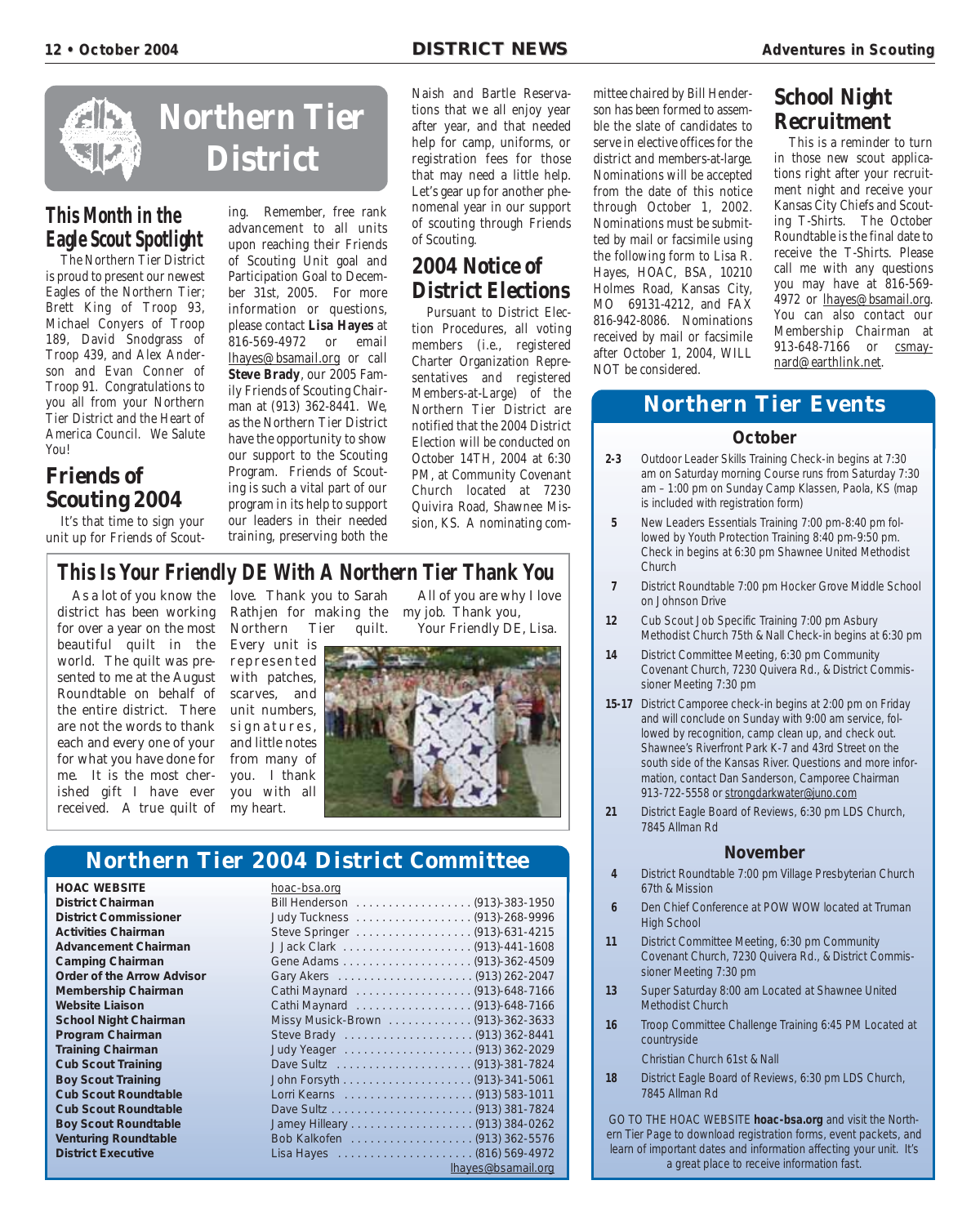![](_page_11_Picture_3.jpeg)

# **This Month in the Eagle Scout Spotlight**

The Northern Tier District is proud to present our newest Eagles of the Northern Tier; Brett King of Troop 93, Michael Conyers of Troop 189, David Snodgrass of Troop 439, and Alex Anderson and Evan Conner of Troop 91. Congratulations to you all from your Northern Tier District and the Heart of America Council. We Salute You!

# **Friends of Scouting 2004**

It's that time to sign your unit up for Friends of Scouting. Remember, free rank advancement to all units upon reaching their Friends of Scouting Unit goal and Participation Goal to December 31st, 2005. For more information or questions, please contact **Lisa Hayes** at 816-569-4972 or email lhayes@bsamail.org or call **Steve Brady**, our 2005 Family Friends of Scouting Chairman at (913) 362-8441. We, as the Northern Tier District have the opportunity to show our support to the Scouting Program. Friends of Scouting is such a vital part of our program in its help to support our leaders in their needed training, preserving both the

Naish and Bartle Reservations that we all enjoy year after year, and that needed help for camp, uniforms, or registration fees for those that may need a little help. Let's gear up for another phenomenal year in our support of scouting through Friends of Scouting.

# **2004 Notice of District Elections**

Pursuant to District Election Procedures, all voting members (i.e., registered Charter Organization Representatives and registered Members-at-Large) of the Northern Tier District are notified that the 2004 District Election will be conducted on October 14TH, 2004 at 6:30 PM, at Community Covenant Church located at 7230 Quivira Road, Shawnee Mission, KS. A nominating com-

# **This Is Your Friendly DE With A Northern Tier Thank You**

As a lot of you know the district has been working for over a year on the most beautiful quilt in the world. The quilt was presented to me at the August Roundtable on behalf of the entire district. There are not the words to thank each and every one of your for what you have done for me. It is the most cherished gift I have ever received. A true quilt of my heart.

love. Thank you to Sarah Rathjen for making the my job. Thank you, Northern Tier quilt.

All of you are why I love Your Friendly DE, Lisa.

![](_page_11_Picture_16.jpeg)

# **Northern Tier 2004 District Committee**

**HOAC WEBSITE District Chairman District Commissioner Activities Chairman Advancement Chairman Camping Chairman Order of the Arrow Advisor Membership Chairman Website Liaison School Night Chairman Program Chairman Training Chairman Cub Scout Training Boy Scout Training Cub Scout Roundtable Cub Scout Roundtable Boy Scout Roundtable Venturing Roundtable District Executive** 

| <u>110ac-03a.019</u>              |
|-----------------------------------|
| Bill Henderson (913)-383-1950     |
|                                   |
| Steve Springer (913)-631-4215     |
|                                   |
|                                   |
|                                   |
| Cathi Maynard (913)-648-7166      |
| Cathi Maynard (913)-648-7166      |
| Missy Musick-Brown (913)-362-3633 |
|                                   |
|                                   |
|                                   |
|                                   |
|                                   |
|                                   |
|                                   |
|                                   |
|                                   |
| lhayes@bsamail.org                |
|                                   |

mittee chaired by Bill Henderson has been formed to assemble the slate of candidates to serve in elective offices for the district and members-at-large. Nominations will be accepted from the date of this notice through October 1, 2002. Nominations must be submitted by mail or facsimile using the following form to Lisa R. Hayes, HOAC, BSA, 10210 Holmes Road, Kansas City, MO 69131-4212, and FAX 816-942-8086. Nominations received by mail or facsimile after October 1, 2004, WILL NOT be considered.

# **School Night Recruitment**

This is a reminder to turn in those new scout applications right after your recruitment night and receive your Kansas City Chiefs and Scouting T-Shirts. The October Roundtable is the final date to receive the T-Shirts. Please call me with any questions you may have at 816-569- 4972 or lhayes@bsamail.org. You can also contact our Membership Chairman at 913-648-7166 or csmaynard@earthlink.net.

# **Northern Tier Events**

#### **October**

- **2-3** Outdoor Leader Skills Training Check-in begins at 7:30 am on Saturday morning Course runs from Saturday 7:30 am – 1:00 pm on Sunday Camp Klassen, Paola, KS (map is included with registration form)
- **5** New Leaders Essentials Training 7:00 pm-8:40 pm followed by Youth Protection Training 8:40 pm-9:50 pm. Check in begins at 6:30 pm Shawnee United Methodist Church
- **7** District Roundtable 7:00 pm Hocker Grove Middle School on Johnson Drive
- **12** Cub Scout Job Specific Training 7:00 pm Asbury Methodist Church 75th & Nall Check-in begins at 6:30 pm
- **14** District Committee Meeting, 6:30 pm Community Covenant Church, 7230 Quivera Rd., & District Commissioner Meeting 7:30 pm
- **15-17** District Camporee check-in begins at 2:00 pm on Friday and will conclude on Sunday with 9:00 am service, followed by recognition, camp clean up, and check out. Shawnee's Riverfront Park K-7 and 43rd Street on the south side of the Kansas River. Questions and more information, contact Dan Sanderson, Camporee Chairman 913-722-5558 or strongdarkwater@juno.com
- **21** District Eagle Board of Reviews, 6:30 pm LDS Church, 7845 Allman Rd

#### **November**

- **4** District Roundtable 7:00 pm Village Presbyterian Church 67th & Mission
- **6** Den Chief Conference at POW WOW located at Truman High School
- **11** District Committee Meeting, 6:30 pm Community Covenant Church, 7230 Quivera Rd., & District Commissioner Meeting 7:30 pm
- **13** Super Saturday 8:00 am Located at Shawnee United Methodist Church
- **16** Troop Committee Challenge Training 6:45 PM Located at countryside

Christian Church 61st & Nall

**18** District Eagle Board of Reviews, 6:30 pm LDS Church, 7845 Allman Rd

GO TO THE HOAC WEBSITE **hoac-bsa.org** and visit the Northern Tier Page to download registration forms, event packets, and learn of important dates and information affecting your unit. It's a great place to receive information fast.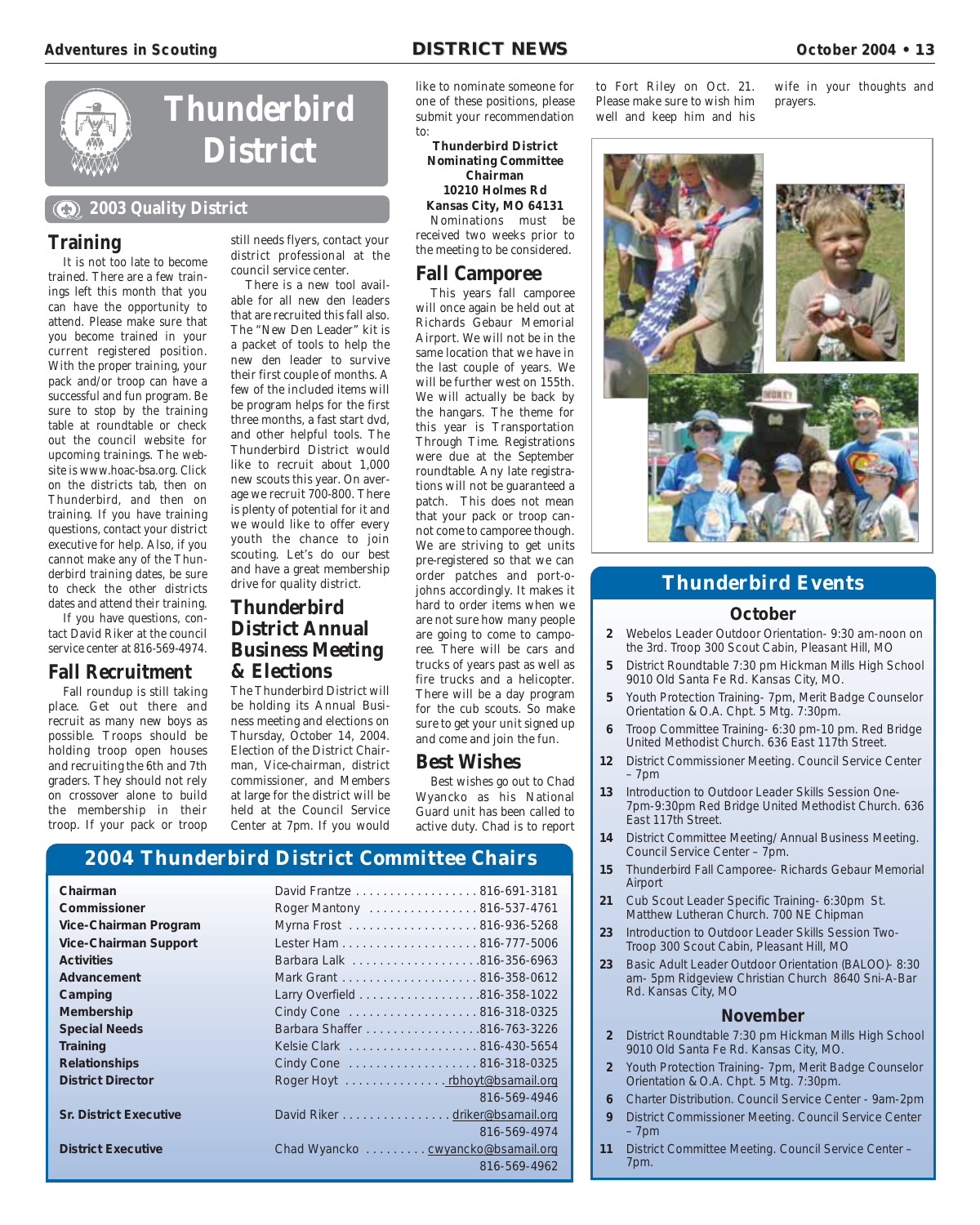![](_page_12_Picture_3.jpeg)

# **Thunderbird District**

#### **2003 Quality District**

#### **Training**

It is not too late to become trained. There are a few trainings left this month that you can have the opportunity to attend. Please make sure that you become trained in your current registered position. With the proper training, your pack and/or troop can have a successful and fun program. Be sure to stop by the training table at roundtable or check out the council website for upcoming trainings. The website is www.hoac-bsa.org. Click on the districts tab, then on Thunderbird, and then on training. If you have training questions, contact your district executive for help. Also, if you cannot make any of the Thunderbird training dates, be sure to check the other districts dates and attend their training.

If you have questions, contact David Riker at the council service center at 816-569-4974.

## **Fall Recruitment**

Fall roundup is still taking place. Get out there and recruit as many new boys as possible. Troops should be holding troop open houses and recruiting the 6th and 7th graders. They should not rely on crossover alone to build the membership in their troop. If your pack or troop

still needs flyers, contact your district professional at the council service center.

There is a new tool available for all new den leaders that are recruited this fall also. The "New Den Leader" kit is a packet of tools to help the new den leader to survive their first couple of months. A few of the included items will be program helps for the first three months, a fast start dvd, and other helpful tools. The Thunderbird District would like to recruit about 1,000 new scouts this year. On average we recruit 700-800. There is plenty of potential for it and we would like to offer every youth the chance to join scouting. Let's do our best and have a great membership drive for quality district.

# **Thunderbird District Annual Business Meeting & Elections**

The Thunderbird District will be holding its Annual Business meeting and elections on Thursday, October 14, 2004. Election of the District Chairman, Vice-chairman, district commissioner, and Members at large for the district will be held at the Council Service Center at 7pm. If you would like to nominate someone for one of these positions, please submit your recommendation to:

#### **Thunderbird District Nominating Committee Chairman 10210 Holmes Rd Kansas City, MO 64131**

Nominations must be received two weeks prior to the meeting to be considered.

# **Fall Camporee**

This years fall camporee will once again be held out at Richards Gebaur Memorial Airport. We will not be in the same location that we have in the last couple of years. We will be further west on 155th. We will actually be back by the hangars. The theme for this year is Transportation Through Time. Registrations were due at the September roundtable. Any late registrations will not be guaranteed a patch. This does not mean that your pack or troop cannot come to camporee though. We are striving to get units pre-registered so that we can order patches and port-ojohns accordingly. It makes it hard to order items when we are not sure how many people are going to come to camporee. There will be cars and trucks of years past as well as fire trucks and a helicopter. There will be a day program for the cub scouts. So make sure to get your unit signed up and come and join the fun.

#### **Best Wishes**

Best wishes go out to Chad Wyancko as his National Guard unit has been called to active duty. Chad is to report

**2004 Thunderbird District Committee Chairs**

| Chairman                      | David Frantze 816-691-3181        |              |
|-------------------------------|-----------------------------------|--------------|
| Commissioner                  | Roger Mantony 816-537-4761        |              |
| Vice-Chairman Program         | Myrna Frost 816-936-5268          |              |
| <b>Vice-Chairman Support</b>  |                                   |              |
| <b>Activities</b>             |                                   |              |
| Advancement                   |                                   |              |
| Camping                       |                                   |              |
| Membership                    | Cindy Cone 816-318-0325           |              |
| <b>Special Needs</b>          | Barbara Shaffer 816-763-3226      |              |
| Training                      | Kelsie Clark 816-430-5654         |              |
| <b>Relationships</b>          | Cindy Cone 816-318-0325           |              |
| <b>District Director</b>      | Roger Hoyt rbhoyt@bsamail.org     |              |
|                               |                                   | 816-569-4946 |
| <b>Sr. District Executive</b> | David Riker driker@bsamail.org    |              |
|                               |                                   | 816-569-4974 |
| <b>District Executive</b>     | Chad Wyancko cwyancko@bsamail.org |              |
|                               |                                   | 816-569-4962 |

to Fort Riley on Oct. 21. Please make sure to wish him well and keep him and his

wife in your thoughts and prayers.

![](_page_12_Picture_26.jpeg)

# **Thunderbird Events**

#### **October**

- **2** Webelos Leader Outdoor Orientation- 9:30 am-noon on the 3rd. Troop 300 Scout Cabin, Pleasant Hill, MO
- **5** District Roundtable 7:30 pm Hickman Mills High School 9010 Old Santa Fe Rd. Kansas City, MO.
- **5** Youth Protection Training- 7pm, Merit Badge Counselor Orientation & O.A. Chpt. 5 Mtg. 7:30pm.
- **6** Troop Committee Training- 6:30 pm-10 pm. Red Bridge United Methodist Church. 636 East 117th Street.
- **12** District Commissioner Meeting. Council Service Center – 7pm
- **13** Introduction to Outdoor Leader Skills Session One-7pm-9:30pm Red Bridge United Methodist Church. 636 East 117th Street.
- **14** District Committee Meeting/ Annual Business Meeting. Council Service Center – 7pm.
- **15** Thunderbird Fall Camporee- Richards Gebaur Memorial Airport
- **21** Cub Scout Leader Specific Training- 6:30pm St. Matthew Lutheran Church. 700 NE Chipman
- **23** Introduction to Outdoor Leader Skills Session Two-Troop 300 Scout Cabin, Pleasant Hill, MO
- **23** Basic Adult Leader Outdoor Orientation (BALOO)- 8:30 am- 5pm Ridgeview Christian Church 8640 Sni-A-Bar Rd. Kansas City, MO

#### **November**

- **2** District Roundtable 7:30 pm Hickman Mills High School 9010 Old Santa Fe Rd. Kansas City, MO.
- **2** Youth Protection Training- 7pm, Merit Badge Counselor Orientation & O.A. Chpt. 5 Mtg. 7:30pm.
- **6** Charter Distribution. Council Service Center 9am-2pm
- **9** District Commissioner Meeting. Council Service Center – 7pm
- **11** District Committee Meeting. Council Service Center 7pm.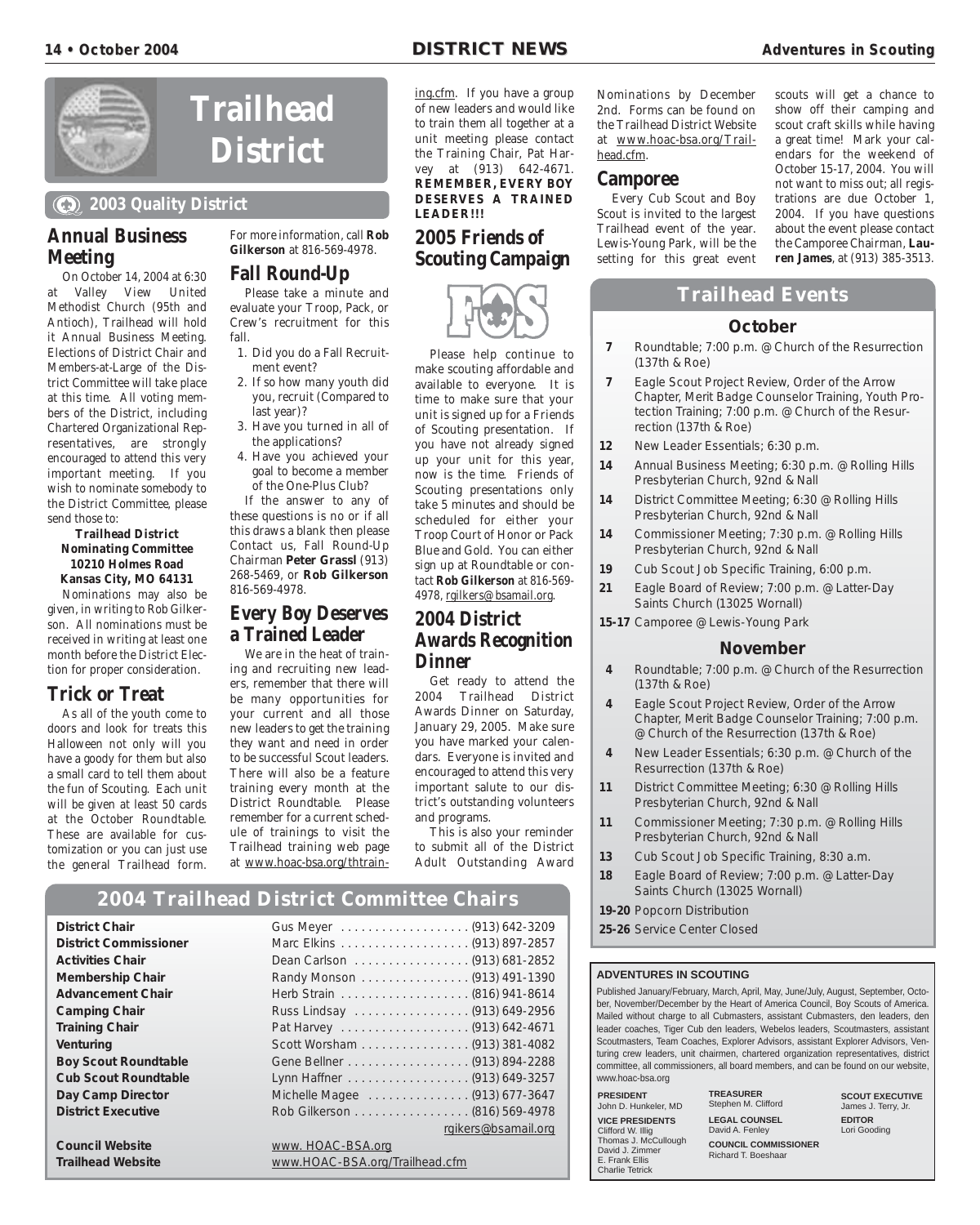![](_page_13_Picture_3.jpeg)

# **District**

# **2003 Quality District**

#### **Annual Business Meeting**

On October 14, 2004 at 6:30 at Valley View United Methodist Church (95th and Antioch), Trailhead will hold it Annual Business Meeting. Elections of District Chair and Members-at-Large of the District Committee will take place at this time. All voting members of the District, including Chartered Organizational Representatives, are strongly encouraged to attend this very important meeting. If you wish to nominate somebody to the District Committee, please send those to:

#### **Trailhead District Nominating Committee 10210 Holmes Road Kansas City, MO 64131**

Nominations may also be given, in writing to Rob Gilkerson. All nominations must be received in writing at least one month before the District Election for proper consideration.

## **Trick or Treat**

As all of the youth come to doors and look for treats this Halloween not only will you have a goody for them but also a small card to tell them about the fun of Scouting. Each unit will be given at least 50 cards at the October Roundtable. These are available for customization or you can just use the general Trailhead form.

For more information, call **Rob Gilkerson** at 816-569-4978.

# **Fall Round-Up**

**Trailhead**

Please take a minute and evaluate your Troop, Pack, or Crew's recruitment for this fall.

- 1. Did you do a Fall Recruitment event?
- 2. If so how many youth did you, recruit (Compared to last year)?
- 3. Have you turned in all of the applications?
- 4. Have you achieved your goal to become a member of the One-Plus Club?

If the answer to any of these questions is no or if all this draws a blank then please Contact us, Fall Round-Up Chairman **Peter Grassl** (913) 268-5469, or **Rob Gilkerson** 816-569-4978.

#### **Every Boy Deserves a Trained Leader**

We are in the heat of training and recruiting new leaders, remember that there will be many opportunities for your current and all those new leaders to get the training they want and need in order to be successful Scout leaders. There will also be a feature training every month at the District Roundtable. Please remember for a current schedule of trainings to visit the Trailhead training web page at www.hoac-bsa.org/thtrain-

# **2004 Trailhead District Committee Chairs**

| <b>District Chair</b>        |                                |
|------------------------------|--------------------------------|
| <b>District Commissioner</b> |                                |
| <b>Activities Chair</b>      | Dean Carlson (913) 681-2852    |
| <b>Membership Chair</b>      | Randy Monson (913) 491-1390    |
| <b>Advancement Chair</b>     |                                |
| <b>Camping Chair</b>         | Russ Lindsay (913) 649-2956    |
| <b>Training Chair</b>        |                                |
| Venturing                    | Scott Worsham (913) 381-4082   |
| <b>Boy Scout Roundtable</b>  |                                |
| <b>Cub Scout Roundtable</b>  | Lynn Haffner (913) 649-3257    |
| Day Camp Director            | Michelle Magee (913) 677-3647  |
| <b>District Executive</b>    | Rob Gilkerson (816) 569-4978   |
|                              | rgikers@bsamail.org            |
| <b>Council Website</b>       | www. HOAC-BSA.org              |
| <b>Trailhead Website</b>     | www.HOAC-BSA.org/Trailhead.cfm |
|                              |                                |

ing.cfm. If you have a group of new leaders and would like to train them all together at a unit meeting please contact the Training Chair, Pat Harvey at (913) 642-4671. **REMEMBER, EVERY BOY DESERVES A TRAINED LEADER!!!**

# **2005 Friends of Scouting Campaign**

![](_page_13_Picture_28.jpeg)

Please help continue to make scouting affordable and available to everyone. It is time to make sure that your unit is signed up for a Friends of Scouting presentation. If you have not already signed up your unit for this year, now is the time. Friends of Scouting presentations only take 5 minutes and should be scheduled for either your Troop Court of Honor or Pack Blue and Gold. You can either sign up at Roundtable or contact **Rob Gilkerson** at 816-569- 4978, rgilkers@bsamail.org.

#### **2004 District Awards Recognition Dinner**

Get ready to attend the 2004 Trailhead District Awards Dinner on Saturday, January 29, 2005. Make sure you have marked your calendars. Everyone is invited and encouraged to attend this very important salute to our district's outstanding volunteers and programs.

This is also your reminder to submit all of the District Adult Outstanding Award

Nominations by December 2nd. Forms can be found on the Trailhead District Website at www.hoac-bsa.org/Trailhead.cfm.

#### **Camporee**

Every Cub Scout and Boy Scout is invited to the largest Trailhead event of the year. Lewis-Young Park, will be the setting for this great event scouts will get a chance to show off their camping and scout craft skills while having a great time! Mark your calendars for the weekend of October 15-17, 2004. You will not want to miss out; all registrations are due October 1, 2004. If you have questions about the event please contact the Camporee Chairman, **Lauren James**, at (913) 385-3513.

## **Trailhead Events**

#### **October**

- **7** Roundtable; 7:00 p.m. @ Church of the Resurrection (137th & Roe)
- **7** Eagle Scout Project Review, Order of the Arrow Chapter, Merit Badge Counselor Training, Youth Protection Training; 7:00 p.m. @ Church of the Resurrection (137th & Roe)
- **12** New Leader Essentials; 6:30 p.m.
- **14** Annual Business Meeting; 6:30 p.m. @ Rolling Hills Presbyterian Church, 92nd & Nall
- **14** District Committee Meeting; 6:30 @ Rolling Hills Presbyterian Church, 92nd & Nall
- **14** Commissioner Meeting; 7:30 p.m. @ Rolling Hills Presbyterian Church, 92nd & Nall
- **19** Cub Scout Job Specific Training, 6:00 p.m.
- **21** Eagle Board of Review; 7:00 p.m. @ Latter-Day Saints Church (13025 Wornall)
- **15-17** Camporee @ Lewis-Young Park

#### **November**

- **4** Roundtable; 7:00 p.m. @ Church of the Resurrection (137th & Roe)
- **4** Eagle Scout Project Review, Order of the Arrow Chapter, Merit Badge Counselor Training; 7:00 p.m. @ Church of the Resurrection (137th & Roe)
- **4** New Leader Essentials; 6:30 p.m. @ Church of the Resurrection (137th & Roe)
- **11** District Committee Meeting; 6:30 @ Rolling Hills Presbyterian Church, 92nd & Nall
- **11** Commissioner Meeting; 7:30 p.m. @ Rolling Hills Presbyterian Church, 92nd & Nall
- **13** Cub Scout Job Specific Training, 8:30 a.m.
- **18** Eagle Board of Review; 7:00 p.m. @ Latter-Day Saints Church (13025 Wornall)
- **19-20** Popcorn Distribution
- **25-26** Service Center Closed

#### **ADVENTURES IN SCOUTING**

Published January/February, March, April, May, June/July, August, September, October, November/December by the Heart of America Council, Boy Scouts of America. Mailed without charge to all Cubmasters, assistant Cubmasters, den leaders, den leader coaches, Tiger Cub den leaders, Webelos leaders, Scoutmasters, assistant Scoutmasters, Team Coaches, Explorer Advisors, assistant Explorer Advisors, Venturing crew leaders, unit chairmen, chartered organization representatives, district committee, all commissioners, all board members, and can be found on our website, www.hoac-bsa.org

| <b>PRESIDENT</b><br>John D. Hunkeler, MD |  |
|------------------------------------------|--|
| <b>VICE PRESIDENTS</b>                   |  |
| Clifford W. Illig                        |  |
| Thomas J. McCullough                     |  |
| David J. Zimmer                          |  |
| E. Frank Ellis                           |  |
| <b>Charlie Tetrick</b>                   |  |

**TREASURER** Stephen M. Clifford **LEGAL COUNSEL** David A. Fenley **COUNCIL COMMISSIONER** Richard T. Boeshaar

**SCOUT EXECUTIVE** James J. Terry, Jr. **EDITOR** Lori Gooding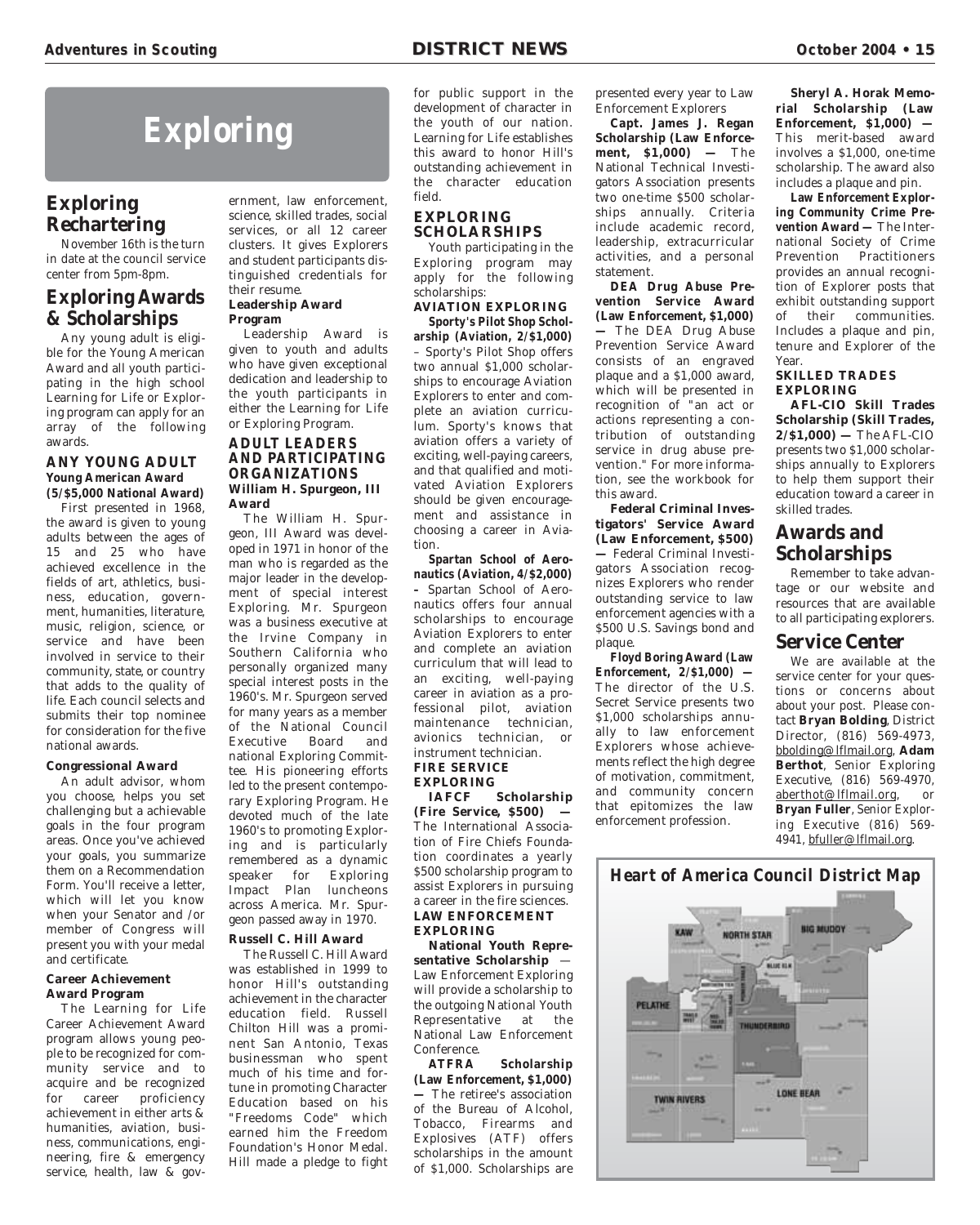# **Exploring**

# **Exploring Rechartering**

November 16th is the turn in date at the council service center from 5pm-8pm.

#### **Exploring Awards & Scholarships**

Any young adult is eligible for the Young American Award and all youth participating in the high school Learning for Life or Exploring program can apply for an array of the following awards.

#### **ANY YOUNG ADULT Young American Award (5/\$5,000 National Award)**

First presented in 1968, the award is given to young adults between the ages of 15 and 25 who have achieved excellence in the fields of art, athletics, business, education, government, humanities, literature, music, religion, science, or service and have been involved in service to their community, state, or country that adds to the quality of life. Each council selects and submits their top nominee for consideration for the five national awards.

#### **Congressional Award**

An adult advisor, whom you choose, helps you set challenging but a achievable goals in the four program areas. Once you've achieved your goals, you summarize them on a Recommendation Form. You'll receive a letter, which will let you know when your Senator and /or member of Congress will present you with your medal and certificate.

#### **Career Achievement Award Program**

The Learning for Life Career Achievement Award program allows young people to be recognized for community service and to acquire and be recognized for career proficiency achievement in either arts & humanities, aviation, business, communications, engineering, fire & emergency service, health, law & gov-

ernment, law enforcement, science, skilled trades, social services, or all 12 career clusters. It gives Explorers and student participants distinguished credentials for their resume.

#### **Leadership Award Program**

Leadership Award is given to youth and adults who have given exceptional dedication and leadership to the youth participants in either the Learning for Life or Exploring Program.

#### **ADULT LEADERS AND PARTICIPATING ORGANIZATIONS William H. Spurgeon, III Award**

The William H. Spurgeon, III Award was developed in 1971 in honor of the man who is regarded as the major leader in the development of special interest Exploring. Mr. Spurgeon was a business executive at the Irvine Company in Southern California who personally organized many special interest posts in the 1960's. Mr. Spurgeon served for many years as a member of the National Council Board and national Exploring Committee. His pioneering efforts led to the present contemporary Exploring Program. He devoted much of the late 1960's to promoting Exploring and is particularly remembered as a dynamic speaker for Exploring Impact Plan luncheons across America. Mr. Spurgeon passed away in 1970.

#### **Russell C. Hill Award**

The Russell C. Hill Award was established in 1999 to honor Hill's outstanding achievement in the character education field. Russell Chilton Hill was a prominent San Antonio, Texas businessman who spent much of his time and fortune in promoting Character Education based on his "Freedoms Code" which earned him the Freedom Foundation's Honor Medal. Hill made a pledge to fight for public support in the development of character in the youth of our nation. Learning for Life establishes this award to honor Hill's outstanding achievement in the character education field.

#### **EXPLORING SCHOLARSHIPS**

Youth participating in the Exploring program may apply for the following scholarships:

**AVIATION EXPLORING Sporty's Pilot Shop Scholarship (Aviation, 2/\$1,000)** – Sporty's Pilot Shop offers

two annual \$1,000 scholarships to encourage Aviation Explorers to enter and complete an aviation curriculum. Sporty's knows that aviation offers a variety of exciting, well-paying careers, and that qualified and motivated Aviation Explorers should be given encouragement and assistance in choosing a career in Aviation.

**Spartan School of Aeronautics (Aviation, 4/\$2,000) –** Spartan School of Aeronautics offers four annual scholarships to encourage Aviation Explorers to enter and complete an aviation curriculum that will lead to an exciting, well-paying career in aviation as a professional pilot, aviation maintenance technician, avionics technician, or instrument technician. **FIRE SERVICE**

**EXPLORING Scholarship (Fire Service, \$500) —** The International Association of Fire Chiefs Foundation coordinates a yearly \$500 scholarship program to assist Explorers in pursuing a career in the fire sciences. **LAW ENFORCEMENT EXPLORING**

**National Youth Representative Scholarship** — Law Enforcement Exploring will provide a scholarship to the outgoing National Youth Representative at the National Law Enforcement Conference.<br>ATFRA

**Scholarship (Law Enforcement, \$1,000) —** The retiree's association of the Bureau of Alcohol, Tobacco, Firearms and Explosives (ATF) offers scholarships in the amount of \$1,000. Scholarships are

presented every year to Law Enforcement Explorers

**Capt. James J. Regan Scholarship (Law Enforcement, \$1,000) —** The National Technical Investigators Association presents two one-time \$500 scholarships annually. Criteria include academic record, leadership, extracurricular activities, and a personal statement.

**DEA Drug Abuse Prevention Service Award (Law Enforcement, \$1,000) —** The DEA Drug Abuse Prevention Service Award consists of an engraved plaque and a \$1,000 award, which will be presented in recognition of "an act or actions representing a contribution of outstanding service in drug abuse prevention." For more information, see the workbook for this award.

**Federal Criminal Investigators' Service Award (Law Enforcement, \$500) —** Federal Criminal Investigators Association recognizes Explorers who render outstanding service to law enforcement agencies with a \$500 U.S. Savings bond and plaque.

**Floyd Boring Award (Law Enforcement, 2/\$1,000) —** The director of the U.S. Secret Service presents two \$1,000 scholarships annually to law enforcement Explorers whose achievements reflect the high degree of motivation, commitment, and community concern that epitomizes the law enforcement profession.

**Sheryl A. Horak Memorial Scholarship (Law Enforcement, \$1,000) —** This merit-based award involves a \$1,000, one-time scholarship. The award also includes a plaque and pin.

**Law Enforcement Exploring Community Crime Prevention Award —** The International Society of Crime Prevention Practitioners provides an annual recognition of Explorer posts that exhibit outstanding support of their communities. Includes a plaque and pin, tenure and Explorer of the Year.

#### **SKILLED TRADES EXPLORING**

**AFL-CIO Skill Trades Scholarship (Skill Trades, 2/\$1,000) —** The AFL-CIO presents two \$1,000 scholarships annually to Explorers to help them support their education toward a career in skilled trades.

## **Awards and Scholarships**

Remember to take advantage or our website and resources that are available to all participating explorers.

#### **Service Center**

We are available at the service center for your questions or concerns about about your post. Please contact **Bryan Bolding**, District Director, (816) 569-4973, bbolding@lflmail.org, **Adam Berthot**, Senior Exploring Executive, (816) 569-4970, aberthot@lflmail.org, or **Bryan Fuller**, Senior Exploring Executive (816) 569- 4941, bfuller@lflmail.org.

![](_page_14_Picture_44.jpeg)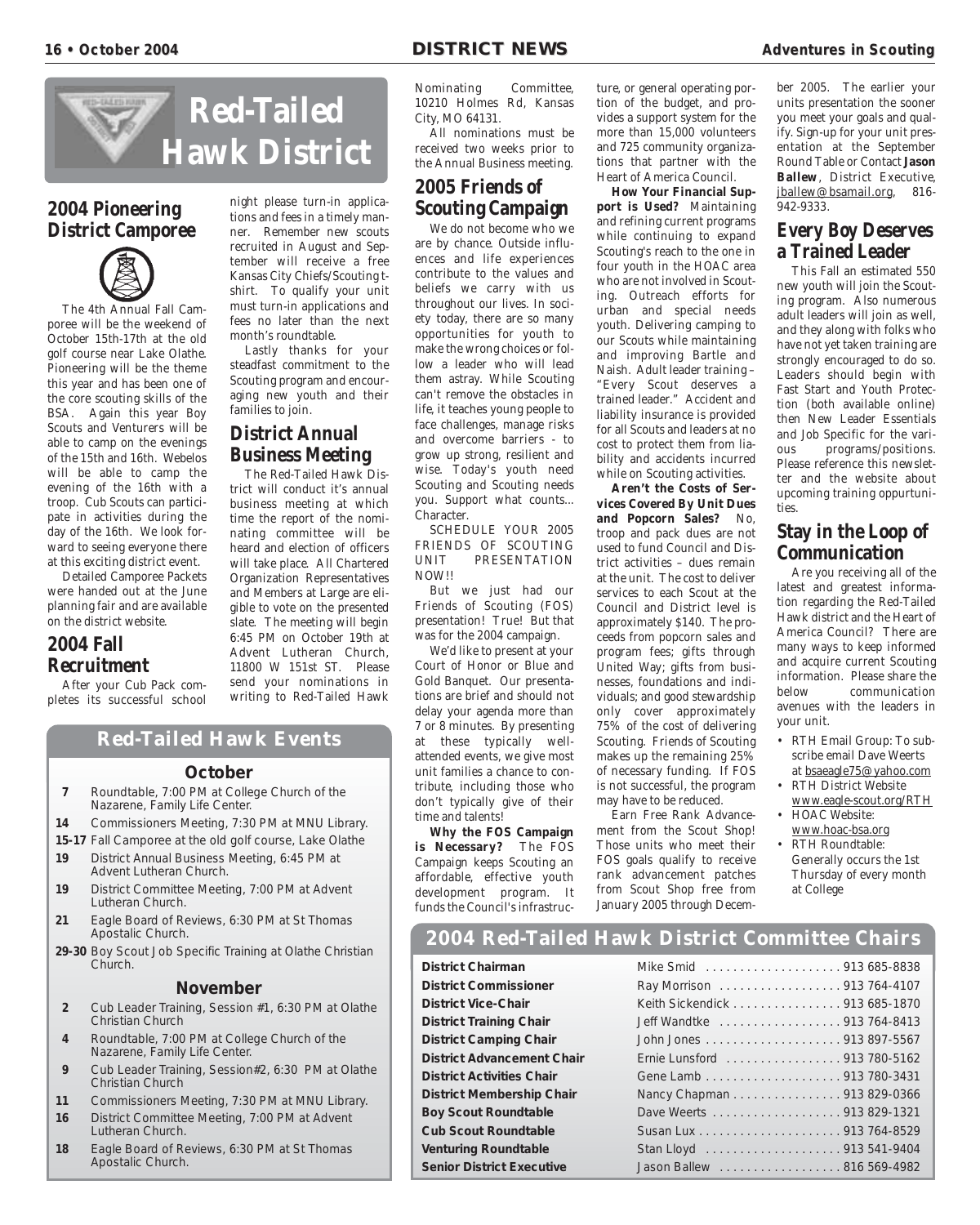![](_page_15_Picture_3.jpeg)

# **2004 Pioneering District Camporee**

![](_page_15_Picture_5.jpeg)

The 4th Annual Fall Camporee will be the weekend of October 15th-17th at the old golf course near Lake Olathe. Pioneering will be the theme this year and has been one of the core scouting skills of the BSA. Again this year Boy Scouts and Venturers will be able to camp on the evenings of the 15th and 16th. Webelos will be able to camp the evening of the 16th with a troop. Cub Scouts can participate in activities during the day of the 16th. We look forward to seeing everyone there at this exciting district event.

Detailed Camporee Packets were handed out at the June planning fair and are available on the district website.

## **2004 Fall Recruitment**

After your Cub Pack completes its successful school tions and fees in a timely manner. Remember new scouts recruited in August and September will receive a free Kansas City Chiefs/Scouting tshirt. To qualify your unit must turn-in applications and fees no later than the next month's roundtable.

night please turn-in applica-

Lastly thanks for your steadfast commitment to the Scouting program and encouraging new youth and their families to join.

# **District Annual Business Meeting**

The Red-Tailed Hawk District will conduct it's annual business meeting at which time the report of the nominating committee will be heard and election of officers will take place. All Chartered Organization Representatives and Members at Large are eligible to vote on the presented slate. The meeting will begin 6:45 PM on October 19th at Advent Lutheran Church, 11800 W 151st ST. Please send your nominations in writing to Red-Tailed Hawk

#### Nominating Committee, 10210 Holmes Rd, Kansas City, MO 64131.

All nominations must be received two weeks prior to the Annual Business meeting.

# **2005 Friends of Scouting Campaign**

We do not become who we are by chance. Outside influences and life experiences contribute to the values and beliefs we carry with us throughout our lives. In society today, there are so many opportunities for youth to make the wrong choices or follow a leader who will lead them astray. While Scouting can't remove the obstacles in life, it teaches young people to face challenges, manage risks and overcome barriers - to grow up strong, resilient and wise. Today's youth need Scouting and Scouting needs you. Support what counts... Character.

SCHEDULE YOUR 2005 FRIENDS OF SCOUTING UNIT PRESENTATION NOW!!

But we just had our Friends of Scouting (FOS) presentation! True! But that was for the 2004 campaign.

We'd like to present at your Court of Honor or Blue and Gold Banquet. Our presentations are brief and should not delay your agenda more than 7 or 8 minutes. By presenting at these typically wellattended events, we give most unit families a chance to contribute, including those who don't typically give of their time and talents!

**Why the FOS Campaign is Necessary?** The FOS Campaign keeps Scouting an affordable, effective youth development program. It funds the Council's infrastruc-

ture, or general operating portion of the budget, and provides a support system for the more than 15,000 volunteers and 725 community organizations that partner with the Heart of America Council.

**How Your Financial Support is Used?** Maintaining and refining current programs while continuing to expand Scouting's reach to the one in four youth in the HOAC area who are not involved in Scouting. Outreach efforts for urban and special needs youth. Delivering camping to our Scouts while maintaining and improving Bartle and Naish. Adult leader training – "Every Scout deserves a trained leader." Accident and liability insurance is provided for all Scouts and leaders at no cost to protect them from liability and accidents incurred while on Scouting activities.

**Aren't the Costs of Services Covered By Unit Dues and Popcorn Sales?** No, troop and pack dues are not used to fund Council and District activities – dues remain at the unit. The cost to deliver services to each Scout at the Council and District level is approximately \$140. The proceeds from popcorn sales and program fees; gifts through United Way; gifts from businesses, foundations and individuals; and good stewardship only cover approximately 75% of the cost of delivering Scouting. Friends of Scouting makes up the remaining 25% of necessary funding. If FOS is not successful, the program may have to be reduced.

Earn Free Rank Advancement from the Scout Shop! Those units who meet their FOS goals qualify to receive rank advancement patches from Scout Shop free from January 2005 through December 2005. The earlier your units presentation the sooner you meet your goals and qualify. Sign-up for your unit presentation at the September Round Table or Contact **Jason Ballew**, District Executive, jballew@bsamail.org, 816- 942-9333.

# **Every Boy Deserves a Trained Leader**

This Fall an estimated 550 new youth will join the Scouting program. Also numerous adult leaders will join as well, and they along with folks who have not yet taken training are strongly encouraged to do so. Leaders should begin with Fast Start and Youth Protection (both available online) then New Leader Essentials and Job Specific for the various programs/positions. Please reference this newsletter and the website about upcoming training oppurtunities.

# **Stay in the Loop of Communication**

Are you receiving all of the latest and greatest information regarding the Red-Tailed Hawk district and the Heart of America Council? There are many ways to keep informed and acquire current Scouting information. Please share the below communication avenues with the leaders in your unit.

- RTH Email Group: To subscribe email Dave Weerts at bsaeagle75@yahoo.com
- RTH District Website www.eagle-scout.org/RTH
- HOAC Website: www.hoac-bsa.org • RTH Roundtable:
	- Generally occurs the 1st Thursday of every month at College

#### **2004 Red-Tailed Hawk District Committee Chairs**

**District Chairman District Commissioner District Vice-Chair District Training Chair District Camping Chair District Advancement Chair District Activities Chair District Membership Chair Boy Scout Roundtable Cub Scout Roundtable Venturing Roundtable Senior District Executive** 

| Ray Morrison 913 764-4107     |
|-------------------------------|
| Keith Sickendick 913 685-1870 |
| Jeff Wandtke 913 764-8413     |
|                               |
| Ernie Lunsford 913 780-5162   |
|                               |
| Nancy Chapman 913 829-0366    |
| Dave Weerts 913 829-1321      |
|                               |
|                               |
| Jason Ballew 816 569-4982     |

# **Red-Tailed Hawk Events**

#### **October**

- **7** Roundtable, 7:00 PM at College Church of the Nazarene, Family Life Center.
- **14** Commissioners Meeting, 7:30 PM at MNU Library.
- **15-17** Fall Camporee at the old golf course, Lake Olathe
- **19** District Annual Business Meeting, 6:45 PM at Advent Lutheran Church.
- **19** District Committee Meeting, 7:00 PM at Advent Lutheran Church.
- **21** Eagle Board of Reviews, 6:30 PM at St Thomas Apostalic Church.
- **29-30** Boy Scout Job Specific Training at Olathe Christian Church.

#### **November**

- **2** Cub Leader Training, Session #1, 6:30 PM at Olathe Christian Church
- **4** Roundtable, 7:00 PM at College Church of the Nazarene, Family Life Center.
- **9** Cub Leader Training, Session#2, 6:30 PM at Olathe Christian Church
- **11** Commissioners Meeting, 7:30 PM at MNU Library.
- **16** District Committee Meeting, 7:00 PM at Advent Lutheran Church.
- **18** Eagle Board of Reviews, 6:30 PM at St Thomas Apostalic Church.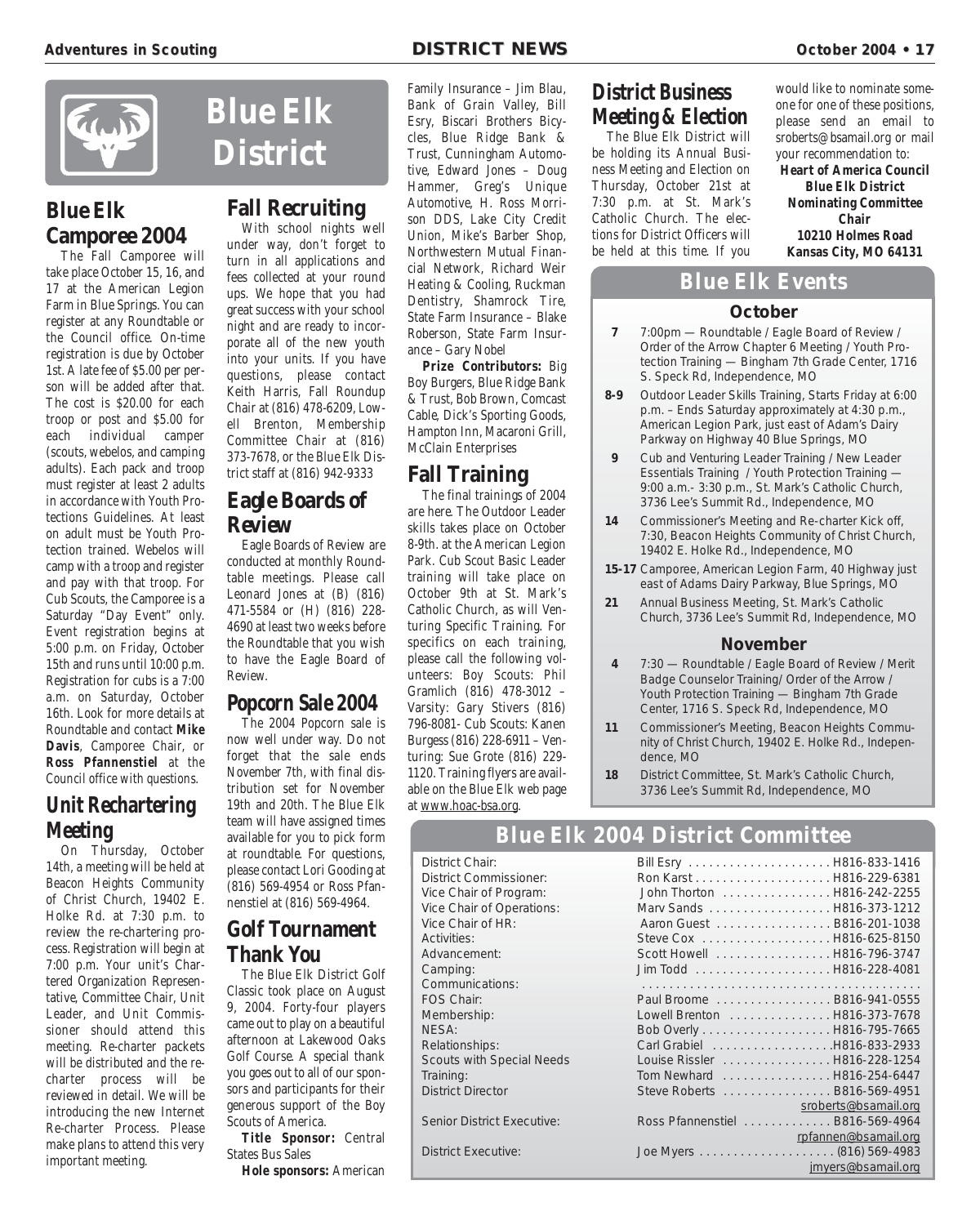![](_page_16_Picture_1.jpeg)

# **Blue Elk Camporee 2004**

The Fall Camporee will take place October 15, 16, and 17 at the American Legion Farm in Blue Springs. You can register at any Roundtable or the Council office. On-time registration is due by October 1st. A late fee of \$5.00 per person will be added after that. The cost is \$20.00 for each troop or post and \$5.00 for each individual camper (scouts, webelos, and camping adults). Each pack and troop must register at least 2 adults in accordance with Youth Protections Guidelines. At least on adult must be Youth Protection trained. Webelos will camp with a troop and register and pay with that troop. For Cub Scouts, the Camporee is a Saturday "Day Event" only. Event registration begins at 5:00 p.m. on Friday, October 15th and runs until 10:00 p.m. Registration for cubs is a 7:00 a.m. on Saturday, October 16th. Look for more details at Roundtable and contact **Mike Davis**, Camporee Chair, or **Ross Pfannenstiel** at the Council office with questions.

# **Unit Rechartering Meeting**

On Thursday, October 14th, a meeting will be held at Beacon Heights Community of Christ Church, 19402 E. Holke Rd. at 7:30 p.m. to review the re-chartering process. Registration will begin at 7:00 p.m. Your unit's Chartered Organization Representative, Committee Chair, Unit Leader, and Unit Commissioner should attend this meeting. Re-charter packets will be distributed and the recharter process will be reviewed in detail. We will be introducing the new Internet Re-charter Process. Please make plans to attend this very important meeting.

**Blue Elk District**

# **Fall Recruiting**

With school nights well under way, don't forget to turn in all applications and fees collected at your round ups. We hope that you had great success with your school night and are ready to incorporate all of the new youth into your units. If you have questions, please contact Keith Harris, Fall Roundup Chair at (816) 478-6209, Lowell Brenton, Membership Committee Chair at (816) 373-7678, or the Blue Elk District staff at (816) 942-9333

# **Eagle Boards of Review**

Eagle Boards of Review are conducted at monthly Roundtable meetings. Please call Leonard Jones at (B) (816) 471-5584 or (H) (816) 228- 4690 at least two weeks before the Roundtable that you wish to have the Eagle Board of Review.

# **Popcorn Sale 2004**

The 2004 Popcorn sale is now well under way. Do not forget that the sale ends November 7th, with final distribution set for November 19th and 20th. The Blue Elk team will have assigned times available for you to pick form at roundtable. For questions, please contact Lori Gooding at (816) 569-4954 or Ross Pfannenstiel at (816) 569-4964.

# **Golf Tournament Thank You**

The Blue Elk District Golf Classic took place on August 9, 2004. Forty-four players came out to play on a beautiful afternoon at Lakewood Oaks Golf Course. A special thank you goes out to all of our sponsors and participants for their generous support of the Boy Scouts of America.

**Title Sponsor:** Central States Bus Sales

**Hole sponsors:** American

Family Insurance – Jim Blau, Bank of Grain Valley, Bill Esry, Biscari Brothers Bicycles, Blue Ridge Bank & Trust, Cunningham Automotive, Edward Jones – Doug Hammer, Greg's Unique Automotive, H. Ross Morrison DDS, Lake City Credit Union, Mike's Barber Shop, Northwestern Mutual Financial Network, Richard Weir Heating & Cooling, Ruckman Dentistry, Shamrock Tire, State Farm Insurance – Blake Roberson, State Farm Insurance – Gary Nobel

**Prize Contributors:** Big Boy Burgers, Blue Ridge Bank & Trust, Bob Brown, Comcast Cable, Dick's Sporting Goods, Hampton Inn, Macaroni Grill, McClain Enterprises

# **Fall Training**

The final trainings of 2004 are here. The Outdoor Leader skills takes place on October 8-9th. at the American Legion Park. Cub Scout Basic Leader training will take place on October 9th at St. Mark's Catholic Church, as will Venturing Specific Training. For specifics on each training, please call the following volunteers: Boy Scouts: Phil Gramlich (816) 478-3012 – Varsity: Gary Stivers (816) 796-8081- Cub Scouts: Kanen Burgess (816) 228-6911 – Venturing: Sue Grote (816) 229- 1120. Training flyers are available on the Blue Elk web page at www.hoac-bsa.org.

# **District Business Meeting & Election**

The Blue Elk District will be holding its Annual Business Meeting and Election on Thursday, October 21st at 7:30 p.m. at St. Mark's Catholic Church. The elections for District Officers will be held at this time. If you

would like to nominate someone for one of these positions, please send an email to sroberts@bsamail.org or mail your recommendation to:

**Heart of America Council Blue Elk District Nominating Committee Chair 10210 Holmes Road Kansas City, MO 64131**

# **Blue Elk Events**

#### **October**

- **7** 7:00pm Roundtable / Eagle Board of Review / Order of the Arrow Chapter 6 Meeting / Youth Protection Training — Bingham 7th Grade Center, 1716 S. Speck Rd, Independence, MO
- **8-9** Outdoor Leader Skills Training, Starts Friday at 6:00 p.m. – Ends Saturday approximately at 4:30 p.m., American Legion Park, just east of Adam's Dairy Parkway on Highway 40 Blue Springs, MO
- **9** Cub and Venturing Leader Training / New Leader Essentials Training / Youth Protection Training — 9:00 a.m.- 3:30 p.m., St. Mark's Catholic Church, 3736 Lee's Summit Rd., Independence, MO
- **14** Commissioner's Meeting and Re-charter Kick off, 7:30, Beacon Heights Community of Christ Church, 19402 E. Holke Rd., Independence, MO
- **15-17** Camporee, American Legion Farm, 40 Highway just east of Adams Dairy Parkway, Blue Springs, MO
- **21** Annual Business Meeting, St. Mark's Catholic Church, 3736 Lee's Summit Rd, Independence, MO

#### **November**

- **4** 7:30 Roundtable / Eagle Board of Review / Merit Badge Counselor Training/ Order of the Arrow / Youth Protection Training — Bingham 7th Grade Center, 1716 S. Speck Rd, Independence, MO
- **11** Commissioner's Meeting, Beacon Heights Community of Christ Church, 19402 E. Holke Rd., Independence, MO

jmyers@bsamail.org

**18** District Committee, St. Mark's Catholic Church, 3736 Lee's Summit Rd, Independence, MO

# **Blue Elk 2004 District Committee**

| District Chair:                   |                                  |                      |
|-----------------------------------|----------------------------------|----------------------|
| District Commissioner:            |                                  |                      |
| Vice Chair of Program:            | John Thorton H816-242-2255       |                      |
| Vice Chair of Operations:         | Marv Sands H816-373-1212         |                      |
| Vice Chair of HR:                 | Aaron Guest B816-201-1038        |                      |
| Activities:                       |                                  |                      |
| Advancement:                      | Scott Howell H816-796-3747       |                      |
| Camping:                          |                                  |                      |
| Communications:                   |                                  |                      |
| FOS Chair:                        | Paul Broome B816-941-0555        |                      |
| Membership:                       | Lowell Brenton H816-373-7678     |                      |
| NESA:                             |                                  |                      |
| Relationships:                    |                                  |                      |
| <b>Scouts with Special Needs</b>  | Louise Rissler  H816-228-1254    |                      |
| Training:                         | Tom Newhard B816-254-6447        |                      |
| <b>District Director</b>          | Steve Roberts B816-569-4951      |                      |
|                                   |                                  | sroberts@bsamail.org |
| <b>Senior District Executive:</b> | Ross Pfannenstiel  B816-569-4964 |                      |
|                                   |                                  | rpfannen@bsamail.org |
| <b>District Executive:</b>        |                                  |                      |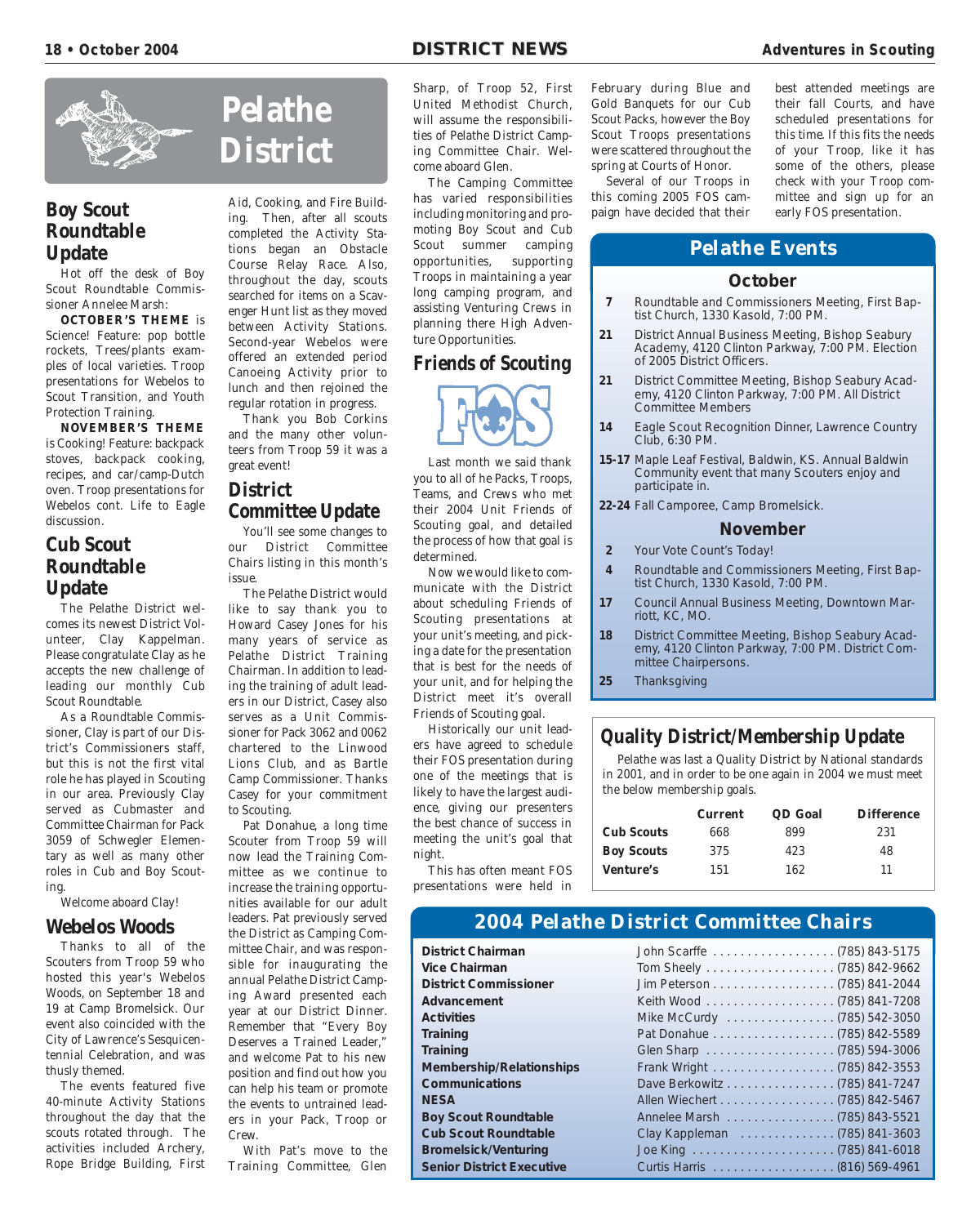![](_page_17_Picture_3.jpeg)

# **Boy Scout Roundtable Update**

Hot off the desk of Boy Scout Roundtable Commissioner Annelee Marsh:

**OCTOBER'S THEME** is Science! Feature: pop bottle rockets, Trees/plants examples of local varieties. Troop presentations for Webelos to Scout Transition, and Youth Protection Training.

**NOVEMBER'S THEME** is Cooking! Feature: backpack stoves, backpack cooking, recipes, and car/camp-Dutch oven. Troop presentations for Webelos cont. Life to Eagle discussion.

# **Cub Scout Roundtable Update**

The Pelathe District welcomes its newest District Volunteer, Clay Kappelman. Please congratulate Clay as he accepts the new challenge of leading our monthly Cub Scout Roundtable.

As a Roundtable Commissioner, Clay is part of our District's Commissioners staff, but this is not the first vital role he has played in Scouting in our area. Previously Clay served as Cubmaster and Committee Chairman for Pack 3059 of Schwegler Elementary as well as many other roles in Cub and Boy Scouting.

Welcome aboard Clay!

#### **Webelos Woods**

Thanks to all of the Scouters from Troop 59 who hosted this year's Webelos Woods, on September 18 and 19 at Camp Bromelsick. Our event also coincided with the City of Lawrence's Sesquicentennial Celebration, and was thusly themed.

The events featured five 40-minute Activity Stations throughout the day that the scouts rotated through. The activities included Archery, Rope Bridge Building, First

# **Pelathe District**

Aid, Cooking, and Fire Building. Then, after all scouts completed the Activity Stations began an Obstacle Course Relay Race. Also, throughout the day, scouts searched for items on a Scavenger Hunt list as they moved between Activity Stations. Second-year Webelos were offered an extended period Canoeing Activity prior to lunch and then rejoined the regular rotation in progress.

Thank you Bob Corkins and the many other volunteers from Troop 59 it was a great event!

# **District Committee Update**

You'll see some changes to our District Committee Chairs listing in this month's issue.

The Pelathe District would like to say thank you to Howard Casey Jones for his many years of service as Pelathe District Training Chairman. In addition to leading the training of adult leaders in our District, Casey also serves as a Unit Commissioner for Pack 3062 and 0062 chartered to the Linwood Lions Club, and as Bartle Camp Commissioner. Thanks Casey for your commitment to Scouting.

Pat Donahue, a long time Scouter from Troop 59 will now lead the Training Committee as we continue to increase the training opportunities available for our adult leaders. Pat previously served the District as Camping Committee Chair, and was responsible for inaugurating the annual Pelathe District Camping Award presented each year at our District Dinner. Remember that "Every Boy Deserves a Trained Leader," and welcome Pat to his new position and find out how you can help his team or promote the events to untrained leaders in your Pack, Troop or Crew.

With Pat's move to the Training Committee, Glen Sharp, of Troop 52, First United Methodist Church, will assume the responsibilities of Pelathe District Camping Committee Chair. Welcome aboard Glen.

The Camping Committee has varied responsibilities including monitoring and promoting Boy Scout and Cub Scout summer camping opportunities, supporting Troops in maintaining a year long camping program, and assisting Venturing Crews in planning there High Adventure Opportunities.

## **Friends of Scouting**

![](_page_17_Picture_26.jpeg)

Last month we said thank you to all of he Packs, Troops, Teams, and Crews who met their 2004 Unit Friends of Scouting goal, and detailed the process of how that goal is determined.

Now we would like to communicate with the District about scheduling Friends of Scouting presentations at your unit's meeting, and picking a date for the presentation that is best for the needs of your unit, and for helping the District meet it's overall Friends of Scouting goal.

Historically our unit leaders have agreed to schedule their FOS presentation during one of the meetings that is likely to have the largest audience, giving our presenters the best chance of success in meeting the unit's goal that night.

This has often meant FOS presentations were held in February during Blue and Gold Banquets for our Cub Scout Packs, however the Boy Scout Troops presentations were scattered throughout the spring at Courts of Honor.

Several of our Troops in this coming 2005 FOS campaign have decided that their

best attended meetings are their fall Courts, and have scheduled presentations for this time. If this fits the needs of your Troop, like it has some of the others, please check with your Troop committee and sign up for an early FOS presentation.

# **Pelathe Events**

#### **October**

- **7** Roundtable and Commissioners Meeting, First Baptist Church, 1330 Kasold, 7:00 PM.
- **21** District Annual Business Meeting, Bishop Seabury Academy, 4120 Clinton Parkway, 7:00 PM. Election of 2005 District Officers.
- **21** District Committee Meeting, Bishop Seabury Academy, 4120 Clinton Parkway, 7:00 PM. All District Committee Members
- **14** Eagle Scout Recognition Dinner, Lawrence Country Club, 6:30 PM.
- **15-17** Maple Leaf Festival, Baldwin, KS. Annual Baldwin Community event that many Scouters enjoy and participate in.
- **22-24** Fall Camporee, Camp Bromelsick.

#### **November**

- **2** Your Vote Count's Today!
- **4** Roundtable and Commissioners Meeting, First Baptist Church, 1330 Kasold, 7:00 PM.
- **17** Council Annual Business Meeting, Downtown Marriott, KC, MO.
- **18** District Committee Meeting, Bishop Seabury Academy, 4120 Clinton Parkway, 7:00 PM. District Committee Chairpersons.
- **25** Thanksgiving

#### **Quality District/Membership Update**

Pelathe was last a Quality District by National standards in 2001, and in order to be one again in 2004 we must meet the below membership goals.

|                   | <b>Current</b> | QD Goal | <b>Difference</b> |
|-------------------|----------------|---------|-------------------|
| <b>Cub Scouts</b> | 668            | 899     | 231               |
| <b>Boy Scouts</b> | 375            | 423     | 48                |
| <b>Venture's</b>  | 151            | 162     | 11                |

# **2004 Pelathe District Committee Chairs**

**District Chairman Vice Chairman District Commissioner Advancement Membership/Relationships Communications Boy Scout Roundtable Cub Scout Roundtable Bromelsick/Venturing Senior District Executive** 

| Vice Chairman<br><b>District Commissioner</b><br>Advancement<br><b>Activities</b><br>Mike McCurdy (785) 542-3050<br>Training<br><b>Training</b><br>Membership/Relationships<br><b>Communications</b><br>Dave Berkowitz (785) 841-7247<br>Allen Wiechert (785) 842-5467<br><b>NESA</b><br>Annelee Marsh (785) 843-5521<br><b>Boy Scout Roundtable</b><br><b>Cub Scout Roundtable</b><br>Clay Kappleman (785) 841-3603<br><b>Bromelsick/Venturing</b><br><b>Senior District Executive</b> | District Unairman | JONN SCarne (785) 843-5175 |
|-----------------------------------------------------------------------------------------------------------------------------------------------------------------------------------------------------------------------------------------------------------------------------------------------------------------------------------------------------------------------------------------------------------------------------------------------------------------------------------------|-------------------|----------------------------|
|                                                                                                                                                                                                                                                                                                                                                                                                                                                                                         |                   |                            |
|                                                                                                                                                                                                                                                                                                                                                                                                                                                                                         |                   |                            |
|                                                                                                                                                                                                                                                                                                                                                                                                                                                                                         |                   |                            |
|                                                                                                                                                                                                                                                                                                                                                                                                                                                                                         |                   |                            |
|                                                                                                                                                                                                                                                                                                                                                                                                                                                                                         |                   |                            |
|                                                                                                                                                                                                                                                                                                                                                                                                                                                                                         |                   |                            |
|                                                                                                                                                                                                                                                                                                                                                                                                                                                                                         |                   |                            |
|                                                                                                                                                                                                                                                                                                                                                                                                                                                                                         |                   |                            |
|                                                                                                                                                                                                                                                                                                                                                                                                                                                                                         |                   |                            |
|                                                                                                                                                                                                                                                                                                                                                                                                                                                                                         |                   |                            |
|                                                                                                                                                                                                                                                                                                                                                                                                                                                                                         |                   |                            |
|                                                                                                                                                                                                                                                                                                                                                                                                                                                                                         |                   |                            |
|                                                                                                                                                                                                                                                                                                                                                                                                                                                                                         |                   |                            |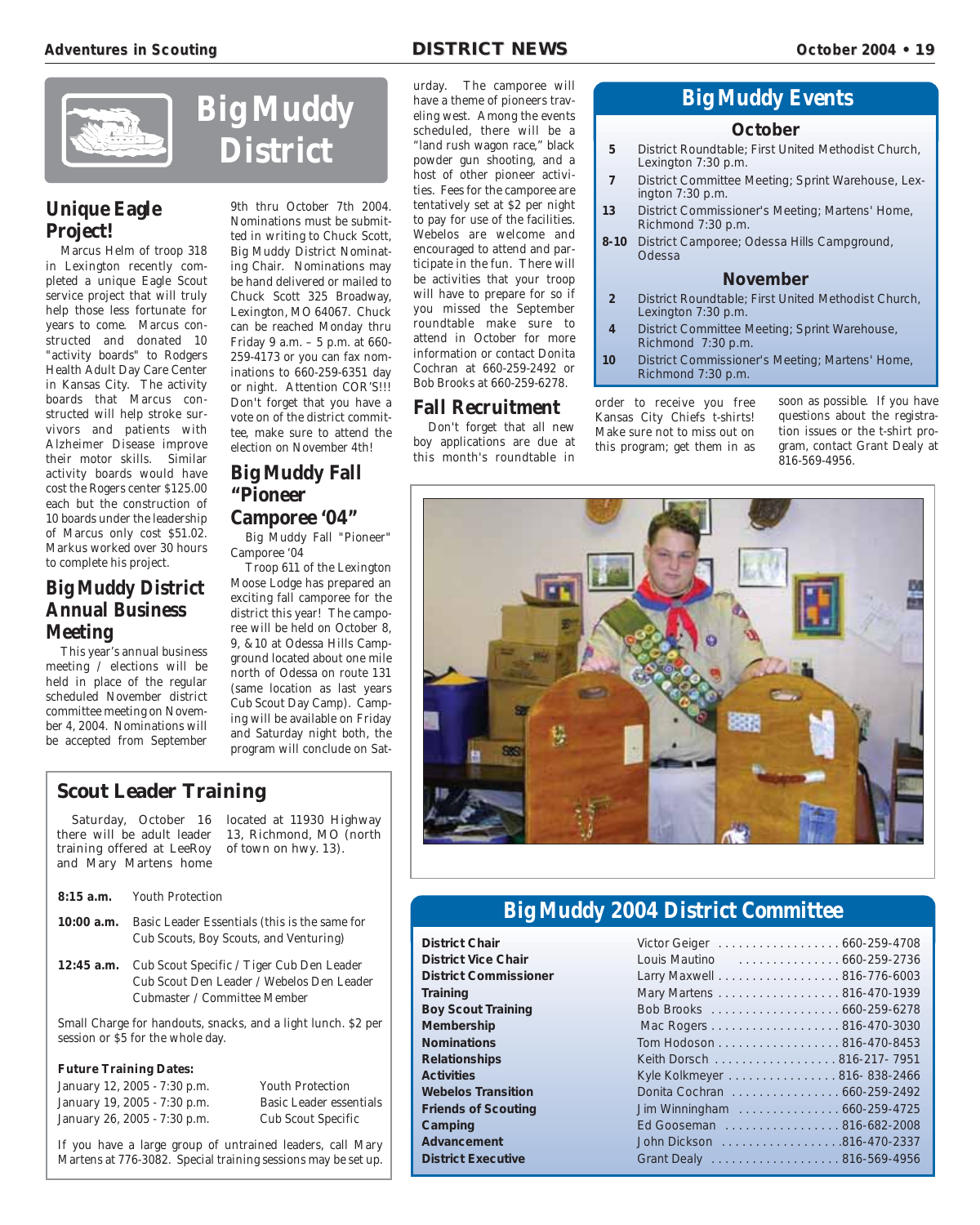![](_page_18_Picture_3.jpeg)

# **Unique Eagle Project!**

Marcus Helm of troop 318 in Lexington recently completed a unique Eagle Scout service project that will truly help those less fortunate for years to come. Marcus constructed and donated 10 "activity boards" to Rodgers Health Adult Day Care Center in Kansas City. The activity boards that Marcus constructed will help stroke survivors and patients with Alzheimer Disease improve their motor skills. Similar activity boards would have cost the Rogers center \$125.00 each but the construction of 10 boards under the leadership of Marcus only cost \$51.02. Markus worked over 30 hours to complete his project.

# **Big Muddy District Annual Business Meeting**

This year's annual business meeting / elections will be held in place of the regular scheduled November district committee meeting on November 4, 2004. Nominations will be accepted from September

## **District** 9th thru October 7th 2004. Nominations must be submitted in writing to Chuck Scott, Big Muddy District Nominating Chair. Nominations may be hand delivered or mailed to Chuck Scott 325 Broadway, Lexington, MO 64067. Chuck can be reached Monday thru Friday 9 a.m. – 5 p.m. at 660-

259-4173 or you can fax nominations to 660-259-6351 day or night. Attention COR'S!!! Don't forget that you have a vote on of the district committee, make sure to attend the election on November 4th!

# **Big Muddy Fall "Pioneer Camporee '04"**

Big Muddy Fall "Pioneer" Camporee '04

Troop 611 of the Lexington Moose Lodge has prepared an exciting fall camporee for the district this year! The camporee will be held on October 8, 9, &10 at Odessa Hills Campground located about one mile north of Odessa on route 131 (same location as last years Cub Scout Day Camp). Camping will be available on Friday and Saturday night both, the program will conclude on Sat-

# **Scout Leader Training**

| Saturday, October 16       |
|----------------------------|
| there will be adult leader |
| training offered at LeeRoy |
| and Mary Martens home      |

located at 11930 Highway 13, Richmond, MO (north of town on hwy. 13).

**8:15 a.m.** Youth Protection

**10:00 a.m.** Basic Leader Essentials (this is the same for Cub Scouts, Boy Scouts, and Venturing)

**12:45 a.m.** Cub Scout Specific / Tiger Cub Den Leader Cub Scout Den Leader / Webelos Den Leader Cubmaster / Committee Member

Small Charge for handouts, snacks, and a light lunch. \$2 per session or \$5 for the whole day.

#### **Future Training Dates:**

| January 12, 2005 - 7:30 p.m. |  |
|------------------------------|--|
| January 19, 2005 - 7:30 p.m. |  |
| January 26, 2005 - 7:30 p.m. |  |

Cub Scout Specific

Youth Protection Basic Leader essentials

If you have a large group of untrained leaders, call Mary Martens at 776-3082. Special training sessions may be set up.

urday. The camporee will have a theme of pioneers traveling west. Among the events scheduled, there will be a "land rush wagon race," black powder gun shooting, and a host of other pioneer activities. Fees for the camporee are tentatively set at \$2 per night to pay for use of the facilities. Webelos are welcome and encouraged to attend and participate in the fun. There will be activities that your troop will have to prepare for so if you missed the September roundtable make sure to attend in October for more information or contact Donita Cochran at 660-259-2492 or Bob Brooks at 660-259-6278.

#### **Fall Recruitment**

Don't forget that all new boy applications are due at this month's roundtable in

# **Big Muddy Events**

#### **October**

- **5** District Roundtable; First United Methodist Church, Lexington 7:30 p.m.
- **7** District Committee Meeting; Sprint Warehouse, Lexington 7:30 p.m.
- **13** District Commissioner's Meeting; Martens' Home, Richmond 7:30 p.m.
- **8-10** District Camporee; Odessa Hills Campground, **Odessa**

#### **November**

- **2** District Roundtable; First United Methodist Church, Lexington 7:30 p.m.
- **4** District Committee Meeting; Sprint Warehouse, Richmond 7:30 p.m.
- **10** District Commissioner's Meeting; Martens' Home, Richmond 7:30 p.m.

order to receive you free Kansas City Chiefs t-shirts! Make sure not to miss out on this program; get them in as soon as possible. If you have questions about the registration issues or the t-shirt program, contact Grant Dealy at 816-569-4956.

![](_page_18_Picture_39.jpeg)

# **Big Muddy 2004 District Committee**

| <b>District Chair</b>        | Victor Geiger 660-259-4708  |  |
|------------------------------|-----------------------------|--|
| <b>District Vice Chair</b>   | Louis Mautino  660-259-2736 |  |
| <b>District Commissioner</b> | Larry Maxwell 816-776-6003  |  |
| <b>Training</b>              | Mary Martens 816-470-1939   |  |
| <b>Boy Scout Training</b>    |                             |  |
| <b>Membership</b>            |                             |  |
| <b>Nominations</b>           | Tom Hodoson 816-470-8453    |  |
| <b>Relationships</b>         | Keith Dorsch 816-217-7951   |  |
| <b>Activities</b>            | Kyle Kolkmeyer 816-838-2466 |  |
| <b>Webelos Transition</b>    | Donita Cochran 660-259-2492 |  |
| <b>Friends of Scouting</b>   | Jim Winningham 660-259-4725 |  |
| Camping                      | Ed Gooseman 816-682-2008    |  |
| Advancement                  | John Dickson 816-470-2337   |  |
| <b>District Executive</b>    | Grant Dealy 816-569-4956    |  |
|                              |                             |  |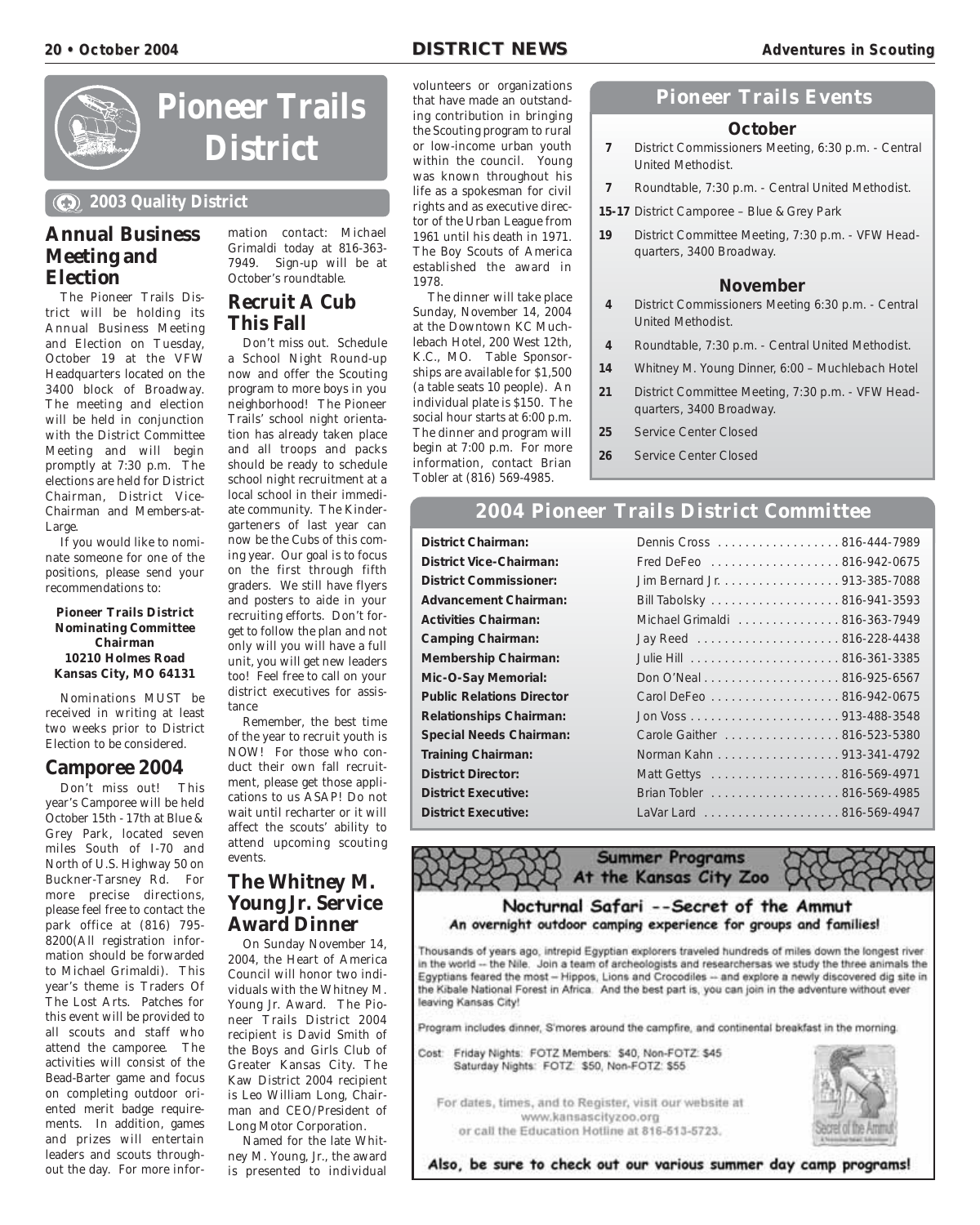#### **20** • October 2004 **• OCTOBER 2004 DISTRICT NEWS Adventures in Scouting**

![](_page_19_Picture_3.jpeg)

![](_page_19_Picture_4.jpeg)

**2003 Quality District**

# **Annual Business Meeting and Election**

The Pioneer Trails District will be holding its Annual Business Meeting and Election on Tuesday, October 19 at the VFW Headquarters located on the 3400 block of Broadway. The meeting and election will be held in conjunction with the District Committee Meeting and will begin promptly at 7:30 p.m. The elections are held for District Chairman, District Vice-Chairman and Members-at-Large.

If you would like to nominate someone for one of the positions, please send your recommendations to:

**Pioneer Trails District Nominating Committee Chairman 10210 Holmes Road Kansas City, MO 64131**

Nominations MUST be received in writing at least two weeks prior to District Election to be considered.

#### **Camporee 2004**

Don't miss out! This year's Camporee will be held October 15th - 17th at Blue & Grey Park, located seven miles South of I-70 and North of U.S. Highway 50 on Buckner-Tarsney Rd. For more precise directions, please feel free to contact the park office at (816) 795- 8200(All registration information should be forwarded to Michael Grimaldi). This year's theme is Traders Of The Lost Arts. Patches for this event will be provided to all scouts and staff who attend the camporee. The activities will consist of the Bead-Barter game and focus on completing outdoor oriented merit badge requirements. In addition, games and prizes will entertain leaders and scouts throughout the day. For more information contact: Michael Grimaldi today at 816-363- 7949. Sign-up will be at October's roundtable.

# **Recruit A Cub This Fall**

Don't miss out. Schedule a School Night Round-up now and offer the Scouting program to more boys in you neighborhood! The Pioneer Trails' school night orientation has already taken place and all troops and packs should be ready to schedule school night recruitment at a local school in their immediate community. The Kindergarteners of last year can now be the Cubs of this coming year. Our goal is to focus on the first through fifth graders. We still have flyers and posters to aide in your recruiting efforts. Don't forget to follow the plan and not only will you will have a full unit, you will get new leaders too! Feel free to call on your district executives for assistance

Remember, the best time of the year to recruit youth is NOW! For those who conduct their own fall recruitment, please get those applications to us ASAP! Do not wait until recharter or it will affect the scouts' ability to attend upcoming scouting events.

# **The Whitney M. Young Jr. Service Award Dinner**

On Sunday November 14, 2004, the Heart of America Council will honor two individuals with the Whitney M. Young Jr. Award. The Pioneer Trails District 2004 recipient is David Smith of the Boys and Girls Club of Greater Kansas City. The Kaw District 2004 recipient is Leo William Long, Chairman and CEO/President of Long Motor Corporation.

Named for the late Whitney M. Young, Jr., the award is presented to individual volunteers or organizations that have made an outstanding contribution in bringing the Scouting program to rural or low-income urban youth within the council. Young was known throughout his life as a spokesman for civil rights and as executive director of the Urban League from 1961 until his death in 1971. The Boy Scouts of America established the award in 1978.

The dinner will take place Sunday, November 14, 2004 at the Downtown KC Muchlebach Hotel, 200 West 12th, K.C., MO. Table Sponsorships are available for \$1,500 (a table seats 10 people). An individual plate is \$150. The social hour starts at 6:00 p.m. The dinner and program will begin at 7:00 p.m. For more information, contact Brian Tobler at (816) 569-4985.

# **Pioneer Trails Events**

#### **October**

- **7** District Commissioners Meeting, 6:30 p.m. Central United Methodist.
- **7** Roundtable, 7:30 p.m. Central United Methodist.
- **15-17** District Camporee Blue & Grey Park
- **19** District Committee Meeting, 7:30 p.m. VFW Headquarters, 3400 Broadway.

#### **November**

- **4** District Commissioners Meeting 6:30 p.m. Central United Methodist.
- **4** Roundtable, 7:30 p.m. Central United Methodist.
- **14** Whitney M. Young Dinner, 6:00 Muchlebach Hotel
- **21** District Committee Meeting, 7:30 p.m. VFW Headquarters, 3400 Broadway.
- **25** Service Center Closed
- **26** Service Center Closed

# **2004 Pioneer Trails District Committee**

**District Chairman: District Vice-Chairman: District Commissioner: Advancement Chairman: Activities Chairman: Camping Chairman: Membership Chairman: Mic-O-Say Memorial: Public Relations Director Relationships Chairman: Special Needs Chairman: Training Chairman: District Director: District Executive: District Executive:** 

| Dennis Cross 816-444-7989     |
|-------------------------------|
| Fred DeFeo 816-942-0675       |
| Jim Bernard Jr. 913-385-7088  |
| Bill Tabolsky 816-941-3593    |
| Michael Grimaldi 816-363-7949 |
|                               |
|                               |
|                               |
| Carol DeFeo 816-942-0675      |
|                               |
| Carole Gaither 816-523-5380   |
| Norman Kahn 913-341-4792      |
| Matt Gettys 816-569-4971      |
| Brian Tobler 816-569-4985     |
|                               |

**Summer Programs** At the Kansas City Zoo

#### Nocturnal Safari --Secret of the Ammut An overnight outdoor camping experience for groups and families!

Thousands of years ago, intrepid Egyptian explorers traveled hundreds of miles down the longest river in the world -- the Nile. Join a team of archeologists and researchersas we study the three animals the Egyptians feared the most - Hippos, Lions and Crocodiles -- and explore a newly discovered dig site in the Kibale National Forest in Africa. And the best part is, you can join in the adventure without ever leaving Kansas City!

Program includes dinner, S'mores around the campfire, and continental breakfast in the morning.

Cost: Friday Nights: FOTZ Members: \$40, Non-FOTZ: \$45 Saturday Nights: FOTZ: \$50, Non-FOTZ: \$55

For dates, times, and to Register, visit our website at www.kansascityzoo.org or call the Education Hotline at 816-513-5723.

![](_page_19_Picture_44.jpeg)

Also, be sure to check out our various summer day camp programs!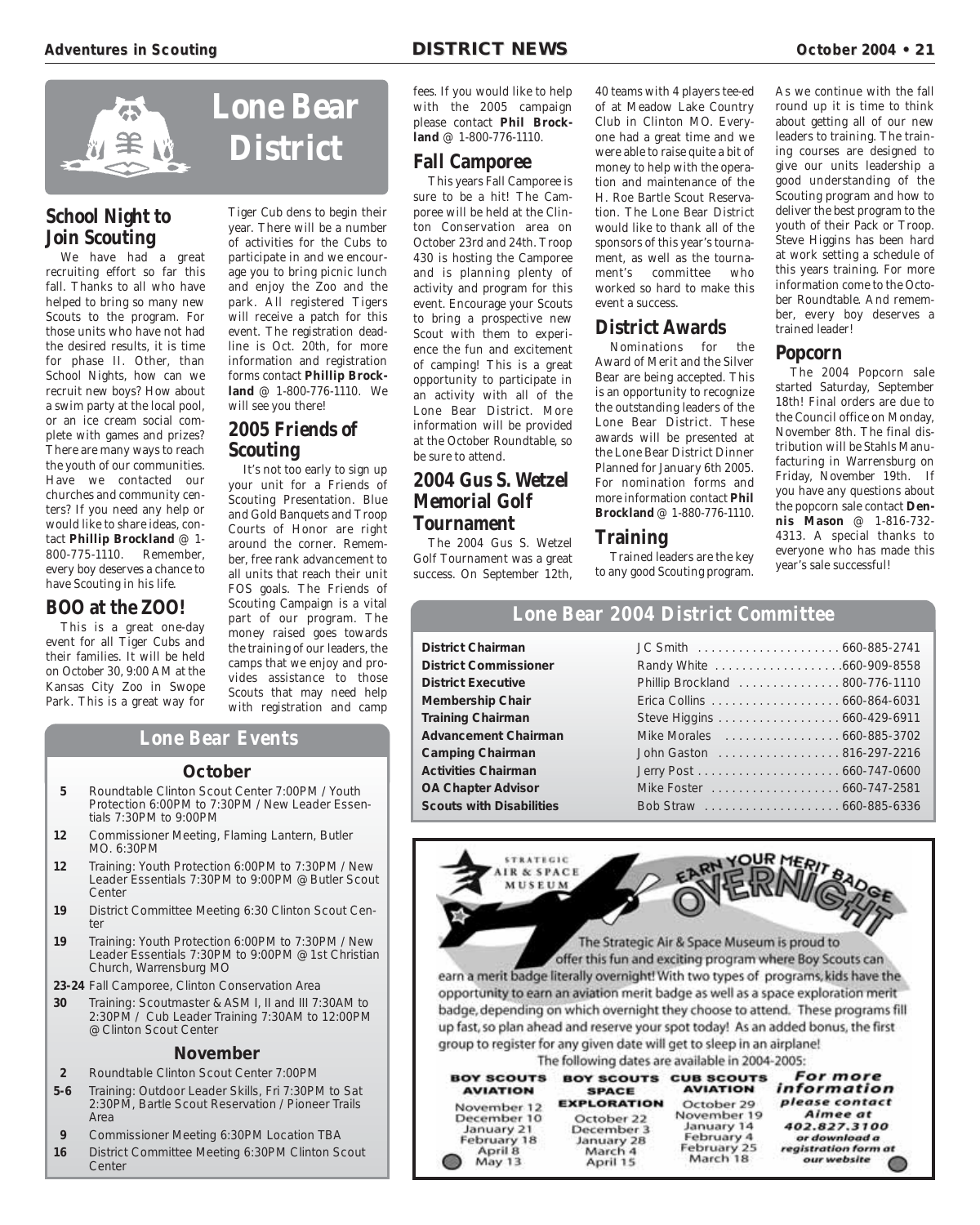![](_page_20_Picture_3.jpeg)

# **School Night to Join Scouting**

We have had a great recruiting effort so far this fall. Thanks to all who have helped to bring so many new Scouts to the program. For those units who have not had the desired results, it is time for phase II. Other, than School Nights, how can we recruit new boys? How about a swim party at the local pool, or an ice cream social complete with games and prizes? There are many ways to reach the youth of our communities. Have we contacted our churches and community centers? If you need any help or would like to share ideas, contact **Phillip Brockland** @ 1- 800-775-1110. Remember, every boy deserves a chance to have Scouting in his life.

#### **BOO at the ZOO!**

This is a great one-day event for all Tiger Cubs and their families. It will be held on October 30, 9:00 AM at the Kansas City Zoo in Swope Park. This is a great way for

Tiger Cub dens to begin their year. There will be a number of activities for the Cubs to participate in and we encourage you to bring picnic lunch and enjoy the Zoo and the park. All registered Tigers will receive a patch for this event. The registration deadline is Oct. 20th, for more information and registration forms contact **Phillip Brockland** @ 1-800-776-1110. We will see you there!

# **2005 Friends of Scouting**

It's not too early to sign up your unit for a Friends of Scouting Presentation. Blue and Gold Banquets and Troop Courts of Honor are right around the corner. Remember, free rank advancement to all units that reach their unit FOS goals. The Friends of Scouting Campaign is a vital part of our program. The money raised goes towards the training of our leaders, the camps that we enjoy and provides assistance to those Scouts that may need help with registration and camp

#### fees. If you would like to help with the 2005 campaign please contact **Phil Brockland** @ 1-800-776-1110.

## **Fall Camporee**

This years Fall Camporee is sure to be a hit! The Camporee will be held at the Clinton Conservation area on October 23rd and 24th. Troop 430 is hosting the Camporee and is planning plenty of activity and program for this event. Encourage your Scouts to bring a prospective new Scout with them to experience the fun and excitement of camping! This is a great opportunity to participate in an activity with all of the Lone Bear District. More information will be provided at the October Roundtable, so be sure to attend.

# **2004 Gus S. Wetzel Memorial Golf Tournament**

The 2004 Gus S. Wetzel Golf Tournament was a great success. On September 12th,

40 teams with 4 players tee-ed of at Meadow Lake Country Club in Clinton MO. Everyone had a great time and we were able to raise quite a bit of money to help with the operation and maintenance of the H. Roe Bartle Scout Reservation. The Lone Bear District would like to thank all of the sponsors of this year's tournament, as well as the tournament's committee who worked so hard to make this event a success.

# **District Awards**

Nominations for the Award of Merit and the Silver Bear are being accepted. This is an opportunity to recognize the outstanding leaders of the Lone Bear District. These awards will be presented at the Lone Bear District Dinner Planned for January 6th 2005. For nomination forms and more information contact **Phil Brockland** @ 1-880-776-1110.

#### **Training**

Trained leaders are the key to any good Scouting program. As we continue with the fall round up it is time to think about getting all of our new leaders to training. The training courses are designed to give our units leadership a good understanding of the Scouting program and how to deliver the best program to the youth of their Pack or Troop. Steve Higgins has been hard at work setting a schedule of this years training. For more information come to the October Roundtable. And remember, every boy deserves a trained leader!

#### **Popcorn**

The 2004 Popcorn sale started Saturday, September 18th! Final orders are due to the Council office on Monday, November 8th. The final distribution will be Stahls Manufacturing in Warrensburg on Friday, November 19th. If you have any questions about the popcorn sale contact **Dennis Mason** @ 1-816-732- 4313. A special thanks to everyone who has made this year's sale successful!

## **Lone Bear 2004 District Committee**

**District Chairman District Commissioner District Executive Membership Chair Training Chairman Advancement Chairman Camping Chairman Activities Chairman OA Chapter Advisor Scouts with Disabilities** 

> **STRATEGIC** IR & SPACE MUSEUM

| Phillip Brockland 800-776-1110 |  |
|--------------------------------|--|
|                                |  |
| Steve Higgins 660-429-6911     |  |
| Mike Morales  660-885-3702     |  |
| John Gaston 816-297-2216       |  |
|                                |  |
| Mike Foster 660-747-2581       |  |
|                                |  |
|                                |  |

**Lone Bear Events**

- **5** Roundtable Clinton Scout Center 7:00PM / Youth Protection 6:00PM to 7:30PM / New Leader Essentials 7:30PM to 9:00PM
- **12** Commissioner Meeting, Flaming Lantern, Butler MO. 6:30PM
- **12** Training: Youth Protection 6:00PM to 7:30PM / New Leader Essentials 7:30PM to 9:00PM @ Butler Scout **Center**
- **19** District Committee Meeting 6:30 Clinton Scout Center
- **19** Training: Youth Protection 6:00PM to 7:30PM / New Leader Essentials 7:30PM to 9:00PM @ 1st Christian Church, Warrensburg MO
- **23-24** Fall Camporee, Clinton Conservation Area
- **30** Training: Scoutmaster & ASM I, II and III 7:30AM to 2:30PM / Cub Leader Training 7:30AM to 12:00PM @ Clinton Scout Center

#### **November**

- **2** Roundtable Clinton Scout Center 7:00PM
- **5-6** Training: Outdoor Leader Skills, Fri 7:30PM to Sat 2:30PM, Bartle Scout Reservation / Pioneer Trails Area
- **9** Commissioner Meeting 6:30PM Location TBA
- **16** District Committee Meeting 6:30PM Clinton Scout Center

The Strategic Air & Space Museum is proud to offer this fun and exciting program where Boy Scouts can earn a merit badge literally overnight! With two types of programs, kids have the opportunity to earn an aviation merit badge as well as a space exploration merit badge, depending on which overnight they choose to attend. These programs fill up fast, so plan ahead and reserve your spot today! As an added bonus, the first group to register for any given date will get to sleep in an airplane!

The following dates are available in 2004-2005:

| <b>BOY SCOUTS</b><br><b>AVIATION</b>                          | <b>BOY SCOUTS</b><br><b>SPACE</b>                             | <b>CUB SCOUTS</b><br><b>AVIATION</b>                                                              | For more<br>information                                                                                     |
|---------------------------------------------------------------|---------------------------------------------------------------|---------------------------------------------------------------------------------------------------|-------------------------------------------------------------------------------------------------------------|
| November 12                                                   | <b>EXPLORATION</b>                                            | October 29                                                                                        | please contact                                                                                              |
| December 10<br>January 21<br>February 18<br>April 8<br>May 13 | October 22<br>December 3<br>January 28<br>March 4<br>April 15 | November 19<br>January 14<br>February 4<br>February 25<br>March 18<br>TA 1987년 2월 19일 - 일본 1월 10일 | Aimee at<br>402.827.3100<br>or download a<br>registration form at<br>our website<br>다 그는 일에 대한 안 되고 있어서 아니? |

# **October**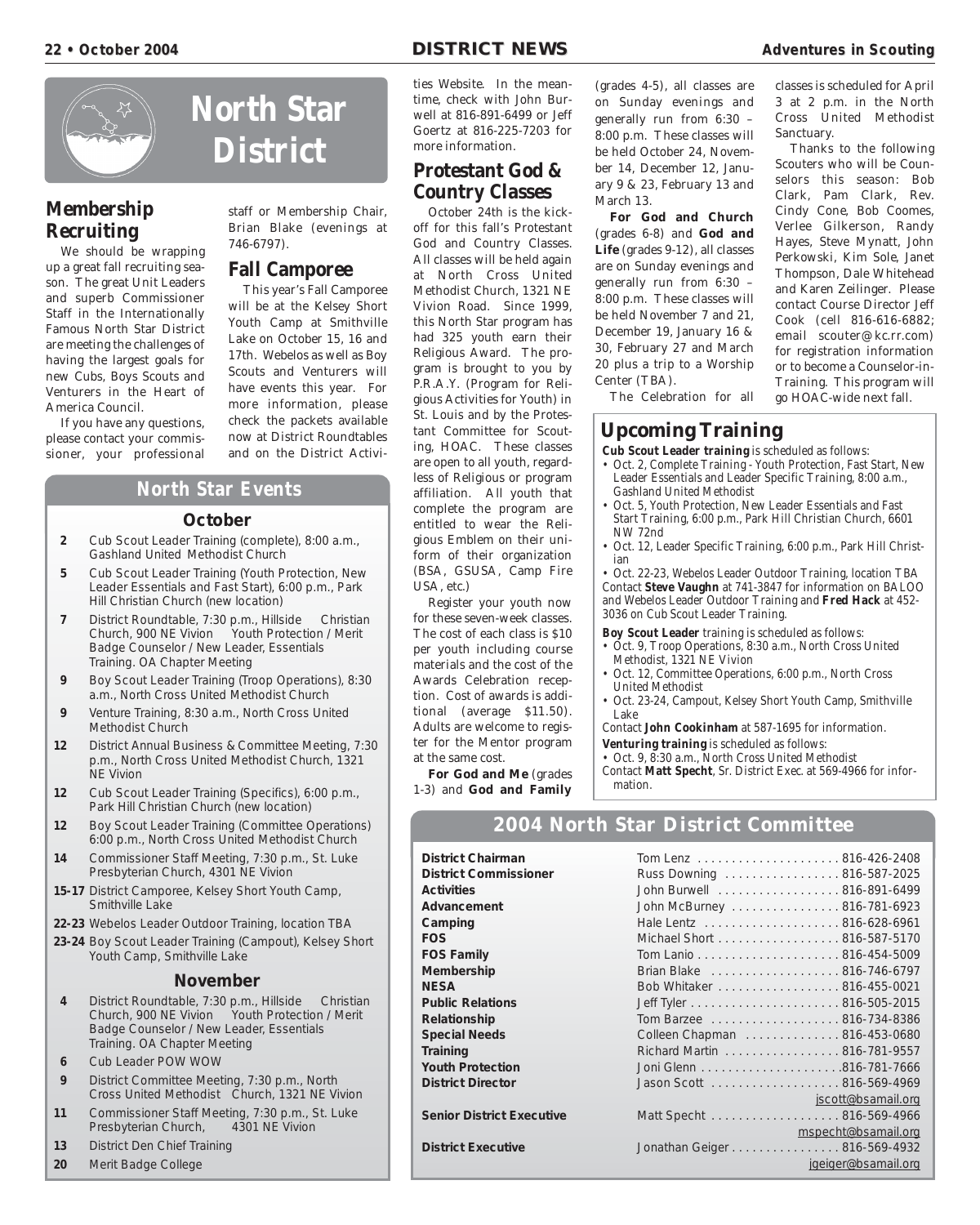![](_page_21_Picture_3.jpeg)

# **Membership Recruiting**

We should be wrapping up a great fall recruiting season. The great Unit Leaders and superb Commissioner Staff in the Internationally Famous North Star District are meeting the challenges of having the largest goals for new Cubs, Boys Scouts and Venturers in the Heart of America Council.

If you have any questions, please contact your commissioner, your professional

**North Star District**

> staff or Membership Chair, Brian Blake (evenings at 746-6797).

## **Fall Camporee**

This year's Fall Camporee will be at the Kelsey Short Youth Camp at Smithville Lake on October 15, 16 and 17th. Webelos as well as Boy Scouts and Venturers will have events this year. For more information, please check the packets available now at District Roundtables

# **North Star Events**

#### **October**

- **2** Cub Scout Leader Training (complete), 8:00 a.m., Gashland United Methodist Church
- **5** Cub Scout Leader Training (Youth Protection, New Leader Essentials and Fast Start), 6:00 p.m., Park Hill Christian Church (new location)
- **7** District Roundtable, 7:30 p.m., Hillside Christian Church, 900 NE Vivion Youth Protection / Merit Badge Counselor / New Leader, Essentials Training. OA Chapter Meeting
- **9** Boy Scout Leader Training (Troop Operations), 8:30 a.m., North Cross United Methodist Church
- **9** Venture Training, 8:30 a.m., North Cross United Methodist Church
- **12** District Annual Business & Committee Meeting, 7:30 p.m., North Cross United Methodist Church, 1321 NE Vivion
- **12** Cub Scout Leader Training (Specifics), 6:00 p.m., Park Hill Christian Church (new location)
- **12** Boy Scout Leader Training (Committee Operations) 6:00 p.m., North Cross United Methodist Church
- **14** Commissioner Staff Meeting, 7:30 p.m., St. Luke Presbyterian Church, 4301 NE Vivion
- **15-17** District Camporee, Kelsey Short Youth Camp, Smithville Lake
- **22-23** Webelos Leader Outdoor Training, location TBA
- **23-24** Boy Scout Leader Training (Campout), Kelsey Short Youth Camp, Smithville Lake

#### **November**

- **4** District Roundtable, 7:30 p.m., Hillside Christian Church, 900 NE Vivion Youth Protection / Merit Badge Counselor / New Leader, Essentials Training. OA Chapter Meeting
- **6** Cub Leader POW WOW
- **9** District Committee Meeting, 7:30 p.m., North Cross United Methodist Church, 1321 NE Vivion
- **11** Commissioner Staff Meeting, 7:30 p.m., St. Luke Presbyterian Church,
- **13** District Den Chief Training
- **20** Merit Badge College

ties Website. In the meantime, check with John Burwell at 816-891-6499 or Jeff Goertz at 816-225-7203 for more information.

# **Protestant God & Country Classes**

October 24th is the kickoff for this fall's Protestant God and Country Classes. All classes will be held again at North Cross United Methodist Church, 1321 NE Vivion Road. Since 1999, this North Star program has had 325 youth earn their Religious Award. The program is brought to you by P.R.A.Y. (Program for Religious Activities for Youth) in St. Louis and by the Protestant Committee for Scouting, HOAC. These classes are open to all youth, regardless of Religious or program affiliation. All youth that complete the program are entitled to wear the Religious Emblem on their uniform of their organization (BSA, GSUSA, Camp Fire USA, etc.)

Register your youth now for these seven-week classes. The cost of each class is \$10 per youth including course materials and the cost of the Awards Celebration reception. Cost of awards is additional (average \$11.50). Adults are welcome to register for the Mentor program at the same cost.

**For God and Me** (grades 1-3) and **God and Family**

(grades 4-5), all classes are on Sunday evenings and generally run from 6:30 – 8:00 p.m. These classes will be held October 24, November 14, December 12, January 9 & 23, February 13 and March 13.

**For God and Church** (grades 6-8) and **God and Life** (grades 9-12), all classes are on Sunday evenings and generally run from 6:30 – 8:00 p.m. These classes will be held November 7 and 21, December 19, January 16 & 30, February 27 and March 20 plus a trip to a Worship Center (TBA).

classes is scheduled for April 3 at 2 p.m. in the North Cross United Methodist Sanctuary.

Thanks to the following Scouters who will be Counselors this season: Bob Clark, Pam Clark, Rev. Cindy Cone, Bob Coomes, Verlee Gilkerson, Randy Hayes, Steve Mynatt, John Perkowski, Kim Sole, Janet Thompson, Dale Whitehead and Karen Zeilinger. Please contact Course Director Jeff Cook (cell 816-616-6882; email scouter@kc.rr.com) for registration information or to become a Counselor-in-Training. This program will go HOAC-wide next fall.

The Celebration for all

# **Upcoming Training**

and on the District Activi- **Cub Scout Leader training** is scheduled as follows:

- Oct. 2, Complete Training Youth Protection, Fast Start, New Leader Essentials and Leader Specific Training, 8:00 a.m., Gashland United Methodist
- Oct. 5, Youth Protection, New Leader Essentials and Fast Start Training, 6:00 p.m., Park Hill Christian Church, 6601 NW 72nd
- Oct. 12, Leader Specific Training, 6:00 p.m., Park Hill Christian

• Oct. 22-23, Webelos Leader Outdoor Training, location TBA Contact **Steve Vaughn** at 741-3847 for information on BALOO and Webelos Leader Outdoor Training and **Fred Hack** at 452- 3036 on Cub Scout Leader Training.

- **Boy Scout Leader** training is scheduled as follows:
- Oct. 9, Troop Operations, 8:30 a.m., North Cross United Methodist, 1321 NE Vivion
- Oct. 12, Committee Operations, 6:00 p.m., North Cross United Methodist
- Oct. 23-24, Campout, Kelsey Short Youth Camp, Smithville Lake

Contact **John Cookinham** at 587-1695 for information.

**Venturing training** is scheduled as follows:

• Oct. 9, 8:30 a.m., North Cross United Methodist Contact **Matt Specht**, Sr. District Exec. at 569-4966 for information.

## **2004 North Star District Committee**

**District Chairman** Tom Lenz . . . . . . . . . . . . . . . . . . . . . 816-426-2408

**District Commissioner** Russ Downing . . . . . . . . . . . . . . . 816-587-2025 Activities **Activities John Burwell** . . . . . . . . . . . . . . . . 816-891-6499 **Advancement** John McBurney . . . . . . . . . . . . . . . . 816-781-6923 **Camping** Hale Lentz . . . . . . . . . . . . . . . . . . . . 816-628-6961 **FOS** Michael Short . . . . . . . . . . . . . . . . . . 816-587-5170 **FOS Family** Tom Lanio . . . . . . . . . . . . . . . . . . 816-454-5009 **Membership** Brian Blake . . . . . . . . . . . . . . . . . 816-746-6797 **NESA** Bob Whitaker . . . . . . . . . . . . . . . . . 816-455-0021 **Public Relations** Jeff Tyler . . . . . . . . . . . . . . . . . . . . . . 816-505-2015 **Relationship** Tom Barzee .......................... 816-734-8386 **Special Needs** Colleen Chapman . . . . . . . . . . . . . 816-453-0680 **Training** Richard Martin . . . . . . . . . . . . . . . . . 816-781-9557 **Youth Protection** Joni Glenn . . . . . . . . . . . . . . . . . . . . .816-781-7666 **District Director** Jason Scott . . . . . . . . . . . . . . . . . . . 816-569-4969 jscott@bsamail.org Senior District Executive **Matt Specht . . . . . . . . . . . . . . . . . . 816-569-4966** mspecht@bsamail.org **District Executive** Jonathan Geiger . . . . . . . . . . . . . . . . 816-569-4932 jgeiger@bsamail.org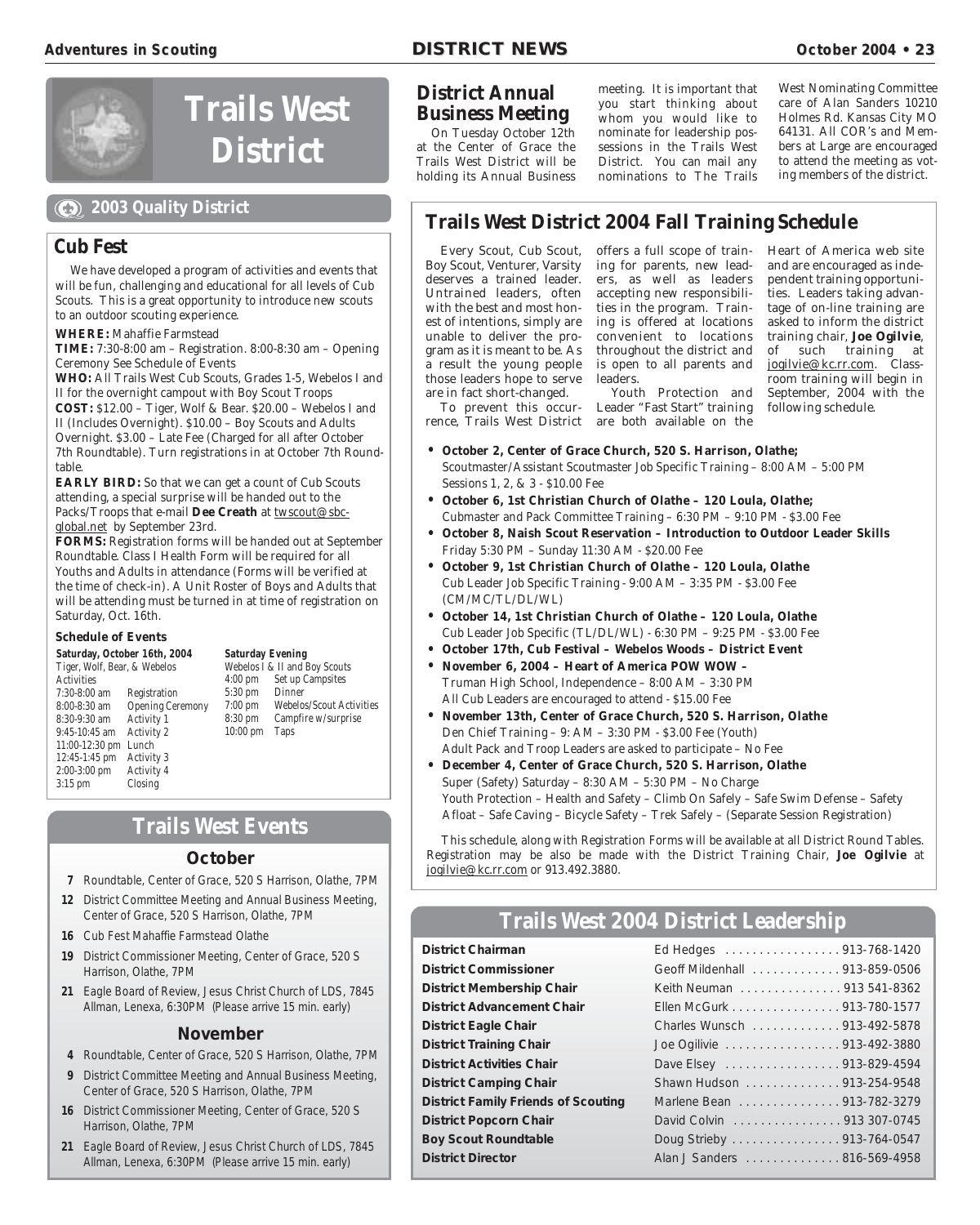![](_page_22_Picture_3.jpeg)

# **Trails West District**

# **2003 Quality District**

#### **Cub Fest**

We have developed a program of activities and events that will be fun, challenging and educational for all levels of Cub Scouts. This is a great opportunity to introduce new scouts to an outdoor scouting experience.

**WHERE:** Mahaffie Farmstead

**TIME:** 7:30-8:00 am – Registration. 8:00-8:30 am – Opening Ceremony See Schedule of Events

**WHO:** All Trails West Cub Scouts, Grades 1-5, Webelos I and II for the overnight campout with Boy Scout Troops **COST:** \$12.00 – Tiger, Wolf & Bear. \$20.00 – Webelos I and II (Includes Overnight). \$10.00 – Boy Scouts and Adults Overnight. \$3.00 – Late Fee (Charged for all after October

7th Roundtable). Turn registrations in at October 7th Roundtable. **EARLY BIRD:** So that we can get a count of Cub Scouts

attending, a special surprise will be handed out to the Packs/Troops that e-mail Dee Creath at twscout@sbcglobal.net by September 23rd.

**FORMS:** Registration forms will be handed out at September Roundtable. Class I Health Form will be required for all Youths and Adults in attendance (Forms will be verified at the time of check-in). A Unit Roster of Boys and Adults that will be attending must be turned in at time of registration on Saturday, Oct. 16th.

#### **Schedule of Events**

**Saturday, October 16th, 2004** Tiger, Wolf, Bear, & Webelos Activities 7:30-8:00 am Registration Opening Ceremony<br>Activity 1  $8:30-9:30$  am 9:45-10:45 am Activity 2 11:00-12:30 pm Lunch 12:45-1:45 pm Activity 3 2:00-3:00 pm Activity 4 3:15 pm Closing

**Saturday Evening** Webelos I & II and Boy Scouts 4:00 pm Set up Campsites 5:30 pm Dinner 7:00 pm Webelos/Scout Activities Campfire w/surprise 10:00 pm Taps

# **Trails West Events**

#### **October**

- **7** Roundtable, Center of Grace, 520 S Harrison, Olathe, 7PM
- **12** District Committee Meeting and Annual Business Meeting, Center of Grace, 520 S Harrison, Olathe, 7PM
- **16** Cub Fest Mahaffie Farmstead Olathe
- **19** District Commissioner Meeting, Center of Grace, 520 S Harrison, Olathe, 7PM
- **21** Eagle Board of Review, Jesus Christ Church of LDS, 7845 Allman, Lenexa, 6:30PM (Please arrive 15 min. early)

#### **November**

- **4** Roundtable, Center of Grace, 520 S Harrison, Olathe, 7PM
- **9** District Committee Meeting and Annual Business Meeting, Center of Grace, 520 S Harrison, Olathe, 7PM
- **16** District Commissioner Meeting, Center of Grace, 520 S Harrison, Olathe, 7PM
- **21** Eagle Board of Review, Jesus Christ Church of LDS, 7845 Allman, Lenexa, 6:30PM (Please arrive 15 min. early)

# **District Annual Business Meeting**

On Tuesday October 12th at the Center of Grace the Trails West District will be holding its Annual Business meeting. It is important that you start thinking about whom you would like to nominate for leadership possessions in the Trails West District. You can mail any nominations to The Trails

West Nominating Committee care of Alan Sanders 10210 Holmes Rd. Kansas City MO 64131. All COR's and Members at Large are encouraged to attend the meeting as voting members of the district.

# **Trails West District 2004 Fall Training Schedule**

Every Scout, Cub Scout, Boy Scout, Venturer, Varsity deserves a trained leader. Untrained leaders, often with the best and most honest of intentions, simply are unable to deliver the program as it is meant to be. As a result the young people those leaders hope to serve are in fact short-changed.

To prevent this occurrence, Trails West District are both available on the

offers a full scope of training for parents, new leaders, as well as leaders accepting new responsibilities in the program. Training is offered at locations convenient to locations throughout the district and is open to all parents and leaders.

Youth Protection and Leader "Fast Start" training

Heart of America web site and are encouraged as independent training opportunities. Leaders taking advantage of on-line training are asked to inform the district training chair, **Joe Ogilvie**, of such training at jogilvie@kc.rr.com. Classroom training will begin in September, 2004 with the following schedule.

- **October 2, Center of Grace Church, 520 S. Harrison, Olathe;** Scoutmaster/Assistant Scoutmaster Job Specific Training – 8:00 AM – 5:00 PM Sessions 1, 2, & 3 - \$10.00 Fee
- **October 6, 1st Christian Church of Olathe 120 Loula, Olathe;** Cubmaster and Pack Committee Training – 6:30 PM – 9:10 PM - \$3.00 Fee
- **October 8, Naish Scout Reservation Introduction to Outdoor Leader Skills** Friday 5:30 PM – Sunday 11:30 AM - \$20.00 Fee
- **October 9, 1st Christian Church of Olathe 120 Loula, Olathe** Cub Leader Job Specific Training - 9:00 AM – 3:35 PM - \$3.00 Fee (CM/MC/TL/DL/WL)
- **October 14, 1st Christian Church of Olathe 120 Loula, Olathe** Cub Leader Job Specific (TL/DL/WL) - 6:30 PM – 9:25 PM - \$3.00 Fee
- **October 17th, Cub Festival Webelos Woods District Event**
- **November 6, 2004 Heart of America POW WOW**  Truman High School, Independence – 8:00 AM – 3:30 PM All Cub Leaders are encouraged to attend - \$15.00 Fee
- **November 13th, Center of Grace Church, 520 S. Harrison, Olathe** Den Chief Training – 9: AM – 3:30 PM - \$3.00 Fee (Youth) Adult Pack and Troop Leaders are asked to participate – No Fee
- **December 4, Center of Grace Church, 520 S. Harrison, Olathe** Super (Safety) Saturday – 8:30 AM – 5:30 PM – No Charge Youth Protection – Health and Safety – Climb On Safely – Safe Swim Defense – Safety Afloat – Safe Caving – Bicycle Safety – Trek Safely – (Separate Session Registration)

This schedule, along with Registration Forms will be available at all District Round Tables. Registration may be also be made with the District Training Chair, **Joe Ogilvie** at jogilvie@kc.rr.com or 913.492.3880.

# **Trails West 2004 District Leadership**

**District Chairman District Commissioner District Membership Chair District Advancement Chair District Eagle Chair District Training Chair District Activities Chair District Camping Chair**  $\blacksquare$ **District Family Friends of Scouting District Popcorn Chair Boy Scout Roundtable District Director** 

| Ed Hedges 913-768-1420        |
|-------------------------------|
| Geoff Mildenhall 913-859-0506 |
| Keith Neuman 913 541-8362     |
| Ellen McGurk 913-780-1577     |
| Charles Wunsch 913-492-5878   |
| Joe Ogilivie 913-492-3880     |
| Dave Elsey 913-829-4594       |
| Shawn Hudson 913-254-9548     |
| Marlene Bean 913-782-3279     |
| David Colvin 913 307-0745     |
| Doug Strieby 913-764-0547     |
| Alan J Sanders 816-569-4958   |
|                               |